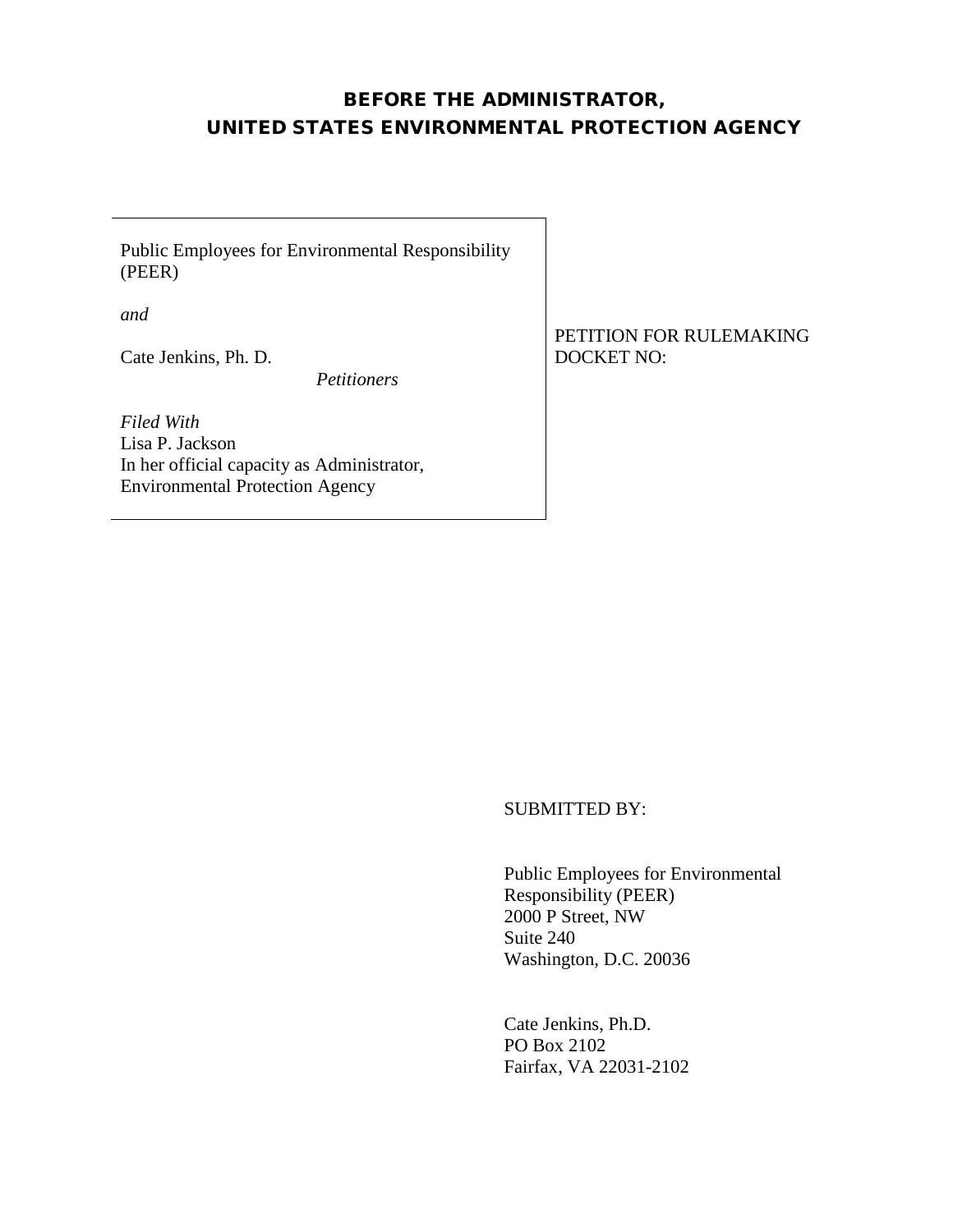### BEFORE THE ADMINISTRATOR, UNITED STATES ENVIRONMENTAL PROTECTION AGENCY

Public Employees for Environmental Responsibility (PEER)

*and* 

Cate Jenkins, Ph. D.

 *Petitioners*

*Filed With* Lisa P. Jackson In her official capacity as Administrator, Environmental Protection Agency

PETITION FOR RULEMAKING DOCKET NO:

SUBMITTED BY:

Public Employees for Environmental Responsibility (PEER) 2000 P Street, NW Suite 240 Washington, D.C. 20036

Cate Jenkins, Ph.D. PO Box 2102 Fairfax, VA 22031-2102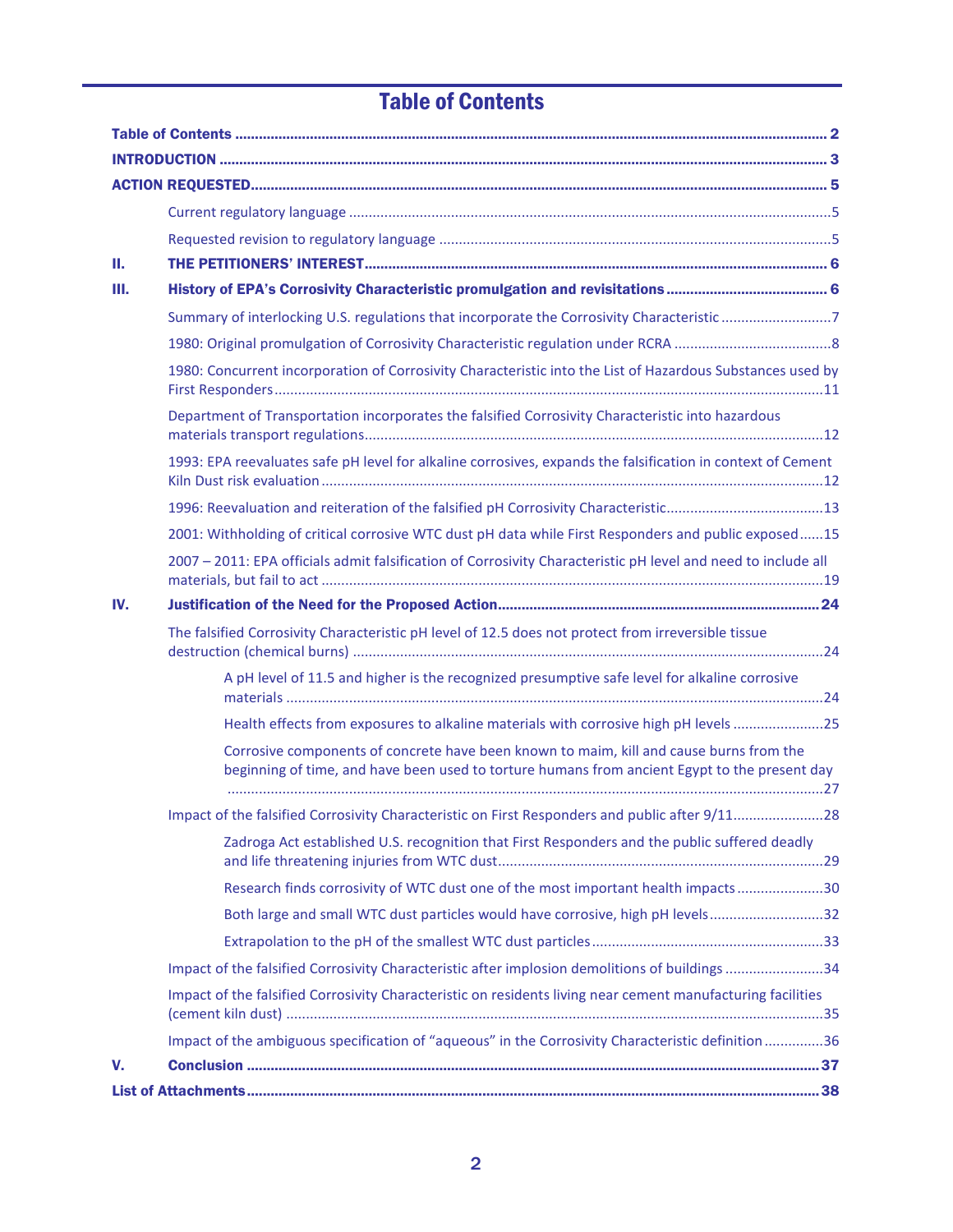# Table of Contents

<span id="page-1-0"></span>

| Ш.  |                                                                                                                                                                                          |  |
|-----|------------------------------------------------------------------------------------------------------------------------------------------------------------------------------------------|--|
| Ш.  |                                                                                                                                                                                          |  |
|     | Summary of interlocking U.S. regulations that incorporate the Corrosivity Characteristic 7                                                                                               |  |
|     |                                                                                                                                                                                          |  |
|     | 1980: Concurrent incorporation of Corrosivity Characteristic into the List of Hazardous Substances used by                                                                               |  |
|     | Department of Transportation incorporates the falsified Corrosivity Characteristic into hazardous                                                                                        |  |
|     | 1993: EPA reevaluates safe pH level for alkaline corrosives, expands the falsification in context of Cement                                                                              |  |
|     |                                                                                                                                                                                          |  |
|     | 2001: Withholding of critical corrosive WTC dust pH data while First Responders and public exposed15                                                                                     |  |
|     | 2007 - 2011: EPA officials admit falsification of Corrosivity Characteristic pH level and need to include all                                                                            |  |
| IV. |                                                                                                                                                                                          |  |
|     | The falsified Corrosivity Characteristic pH level of 12.5 does not protect from irreversible tissue                                                                                      |  |
|     | A pH level of 11.5 and higher is the recognized presumptive safe level for alkaline corrosive                                                                                            |  |
|     | Health effects from exposures to alkaline materials with corrosive high pH levels 25                                                                                                     |  |
|     | Corrosive components of concrete have been known to maim, kill and cause burns from the<br>beginning of time, and have been used to torture humans from ancient Egypt to the present day |  |
|     | Impact of the falsified Corrosivity Characteristic on First Responders and public after 9/1128                                                                                           |  |
|     | Zadroga Act established U.S. recognition that First Responders and the public suffered deadly                                                                                            |  |
|     | Research finds corrosivity of WTC dust one of the most important health impacts 30                                                                                                       |  |
|     | Both large and small WTC dust particles would have corrosive, high pH levels32                                                                                                           |  |
|     |                                                                                                                                                                                          |  |
|     | Impact of the falsified Corrosivity Characteristic after implosion demolitions of buildings34                                                                                            |  |
|     | Impact of the falsified Corrosivity Characteristic on residents living near cement manufacturing facilities                                                                              |  |
|     | Impact of the ambiguous specification of "aqueous" in the Corrosivity Characteristic definition 36                                                                                       |  |
| V.  |                                                                                                                                                                                          |  |
|     |                                                                                                                                                                                          |  |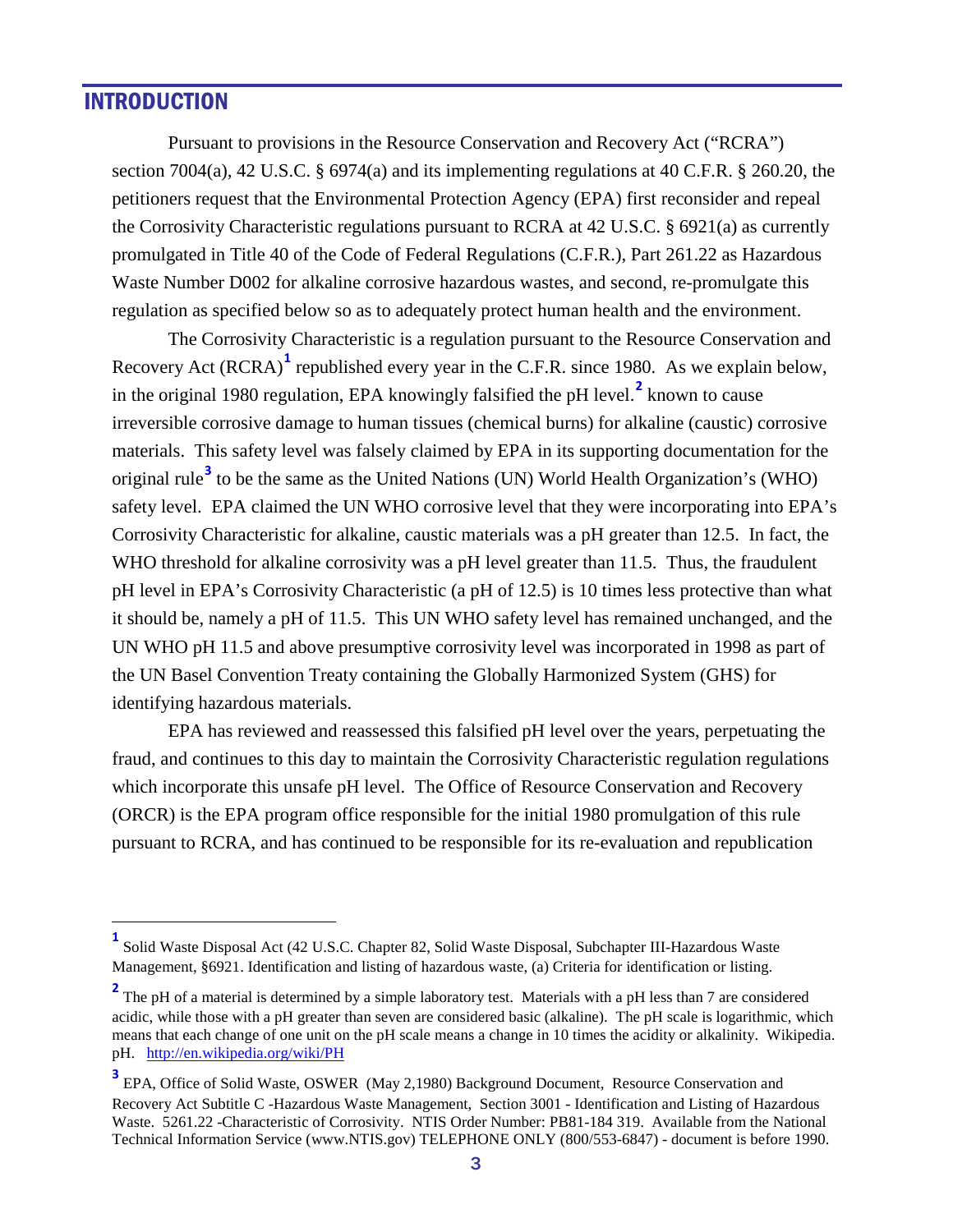### <span id="page-2-0"></span>INTRODUCTION

Pursuant to provisions in the Resource Conservation and Recovery Act ("RCRA") section 7004(a), 42 U.S.C. § 6974(a) and its implementing regulations at 40 C.F.R. § 260.20, the petitioners request that the Environmental Protection Agency (EPA) first reconsider and repeal the Corrosivity Characteristic regulations pursuant to RCRA at 42 U.S.C. § 6921(a) as currently promulgated in Title 40 of the Code of Federal Regulations (C.F.R.), Part 261.22 as Hazardous Waste Number D002 for alkaline corrosive hazardous wastes, and second, re-promulgate this regulation as specified below so as to adequately protect human health and the environment.

The Corrosivity Characteristic is a regulation pursuant to the Resource Conservation and Recovery Act (RCRA)**[1](#page-2-1)** republished every year in the C.F.R. since 1980. As we explain below, in the original 1980 regulation, EPA knowingly falsified the pH level. **[2](#page-2-2)** known to cause irreversible corrosive damage to human tissues (chemical burns) for alkaline (caustic) corrosive materials. This safety level was falsely claimed by EPA in its supporting documentation for the original rule**[3](#page-2-3)** to be the same as the United Nations (UN) World Health Organization's (WHO) safety level. EPA claimed the UN WHO corrosive level that they were incorporating into EPA's Corrosivity Characteristic for alkaline, caustic materials was a pH greater than 12.5. In fact, the WHO threshold for alkaline corrosivity was a pH level greater than 11.5. Thus, the fraudulent pH level in EPA's Corrosivity Characteristic (a pH of 12.5) is 10 times less protective than what it should be, namely a pH of 11.5. This UN WHO safety level has remained unchanged, and the UN WHO pH 11.5 and above presumptive corrosivity level was incorporated in 1998 as part of the UN Basel Convention Treaty containing the Globally Harmonized System (GHS) for identifying hazardous materials.

EPA has reviewed and reassessed this falsified pH level over the years, perpetuating the fraud, and continues to this day to maintain the Corrosivity Characteristic regulation regulations which incorporate this unsafe pH level. The Office of Resource Conservation and Recovery (ORCR) is the EPA program office responsible for the initial 1980 promulgation of this rule pursuant to RCRA, and has continued to be responsible for its re-evaluation and republication

<span id="page-2-1"></span>**<sup>1</sup>** Solid Waste Disposal Act (42 U.S.C. Chapter 82, Solid Waste Disposal, Subchapter III-Hazardous Waste Management, §6921. Identification and listing of hazardous waste, (a) Criteria for identification or listing.

<span id="page-2-2"></span><sup>&</sup>lt;sup>2</sup> The pH of a material is determined by a simple laboratory test. Materials with a pH less than 7 are considered acidic, while those with a pH greater than seven are considered basic (alkaline). The pH scale is logarithmic, which means that each change of one unit on the pH scale means a change in 10 times the acidity or alkalinity. Wikipedia. pH. <http://en.wikipedia.org/wiki/PH>

<span id="page-2-3"></span><sup>&</sup>lt;sup>3</sup> EPA, Office of Solid Waste, OSWER (May 2,1980) Background Document, Resource Conservation and Recovery Act Subtitle C -Hazardous Waste Management, Section 3001 - Identification and Listing of Hazardous Waste. 5261.22 -Characteristic of Corrosivity. NTIS Order Number: PB81-184 319. Available from the National Technical Information Service (www.NTIS.gov) TELEPHONE ONLY (800/553-6847) - document is before 1990.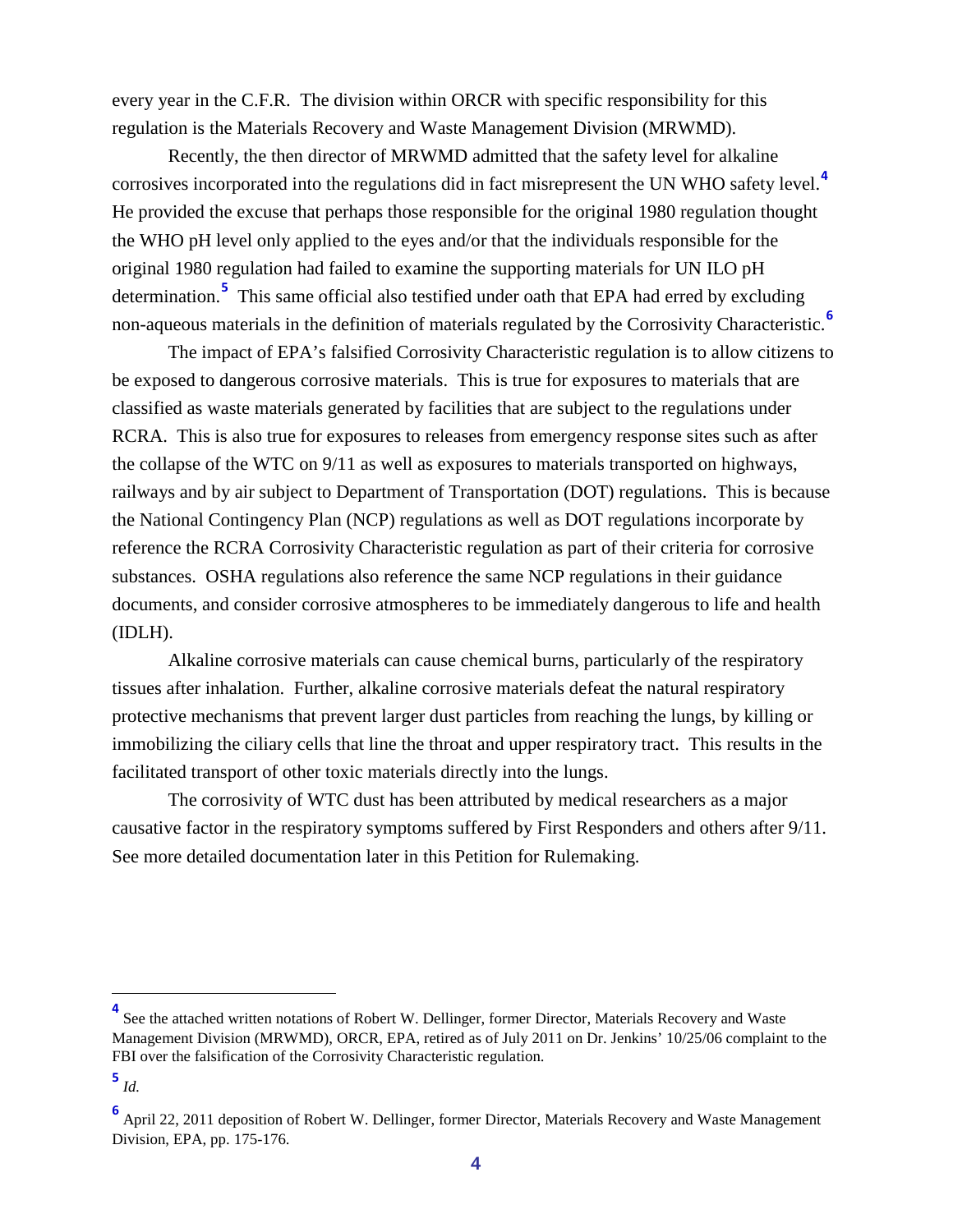every year in the C.F.R. The division within ORCR with specific responsibility for this regulation is the Materials Recovery and Waste Management Division (MRWMD).

Recently, the then director of MRWMD admitted that the safety level for alkaline corrosives incorporated into the regulations did in fact misrepresent the UN WHO safety level.**[4](#page-3-0)** He provided the excuse that perhaps those responsible for the original 1980 regulation thought the WHO pH level only applied to the eyes and/or that the individuals responsible for the original 1980 regulation had failed to examine the supporting materials for UN ILO pH determination.**[5](#page-3-1)** This same official also testified under oath that EPA had erred by excluding non-aqueous materials in the definition of materials regulated by the Corrosivity Characteristic.**[6](#page-3-2)**

The impact of EPA's falsified Corrosivity Characteristic regulation is to allow citizens to be exposed to dangerous corrosive materials. This is true for exposures to materials that are classified as waste materials generated by facilities that are subject to the regulations under RCRA. This is also true for exposures to releases from emergency response sites such as after the collapse of the WTC on 9/11 as well as exposures to materials transported on highways, railways and by air subject to Department of Transportation (DOT) regulations. This is because the National Contingency Plan (NCP) regulations as well as DOT regulations incorporate by reference the RCRA Corrosivity Characteristic regulation as part of their criteria for corrosive substances. OSHA regulations also reference the same NCP regulations in their guidance documents, and consider corrosive atmospheres to be immediately dangerous to life and health (IDLH).

Alkaline corrosive materials can cause chemical burns, particularly of the respiratory tissues after inhalation. Further, alkaline corrosive materials defeat the natural respiratory protective mechanisms that prevent larger dust particles from reaching the lungs, by killing or immobilizing the ciliary cells that line the throat and upper respiratory tract. This results in the facilitated transport of other toxic materials directly into the lungs.

The corrosivity of WTC dust has been attributed by medical researchers as a major causative factor in the respiratory symptoms suffered by First Responders and others after 9/11. See more detailed documentation later in this Petition for Rulemaking.

<span id="page-3-0"></span><sup>&</sup>lt;sup>4</sup> See the attached written notations of Robert W. Dellinger, former Director, Materials Recovery and Waste Management Division (MRWMD), ORCR, EPA, retired as of July 2011 on Dr. Jenkins' 10/25/06 complaint to the FBI over the falsification of the Corrosivity Characteristic regulation.

<span id="page-3-1"></span>**<sup>5</sup>** *Id.*

<span id="page-3-2"></span>**<sup>6</sup>** April 22, 2011 deposition of Robert W. Dellinger, former Director, Materials Recovery and Waste Management Division, EPA, pp. 175-176.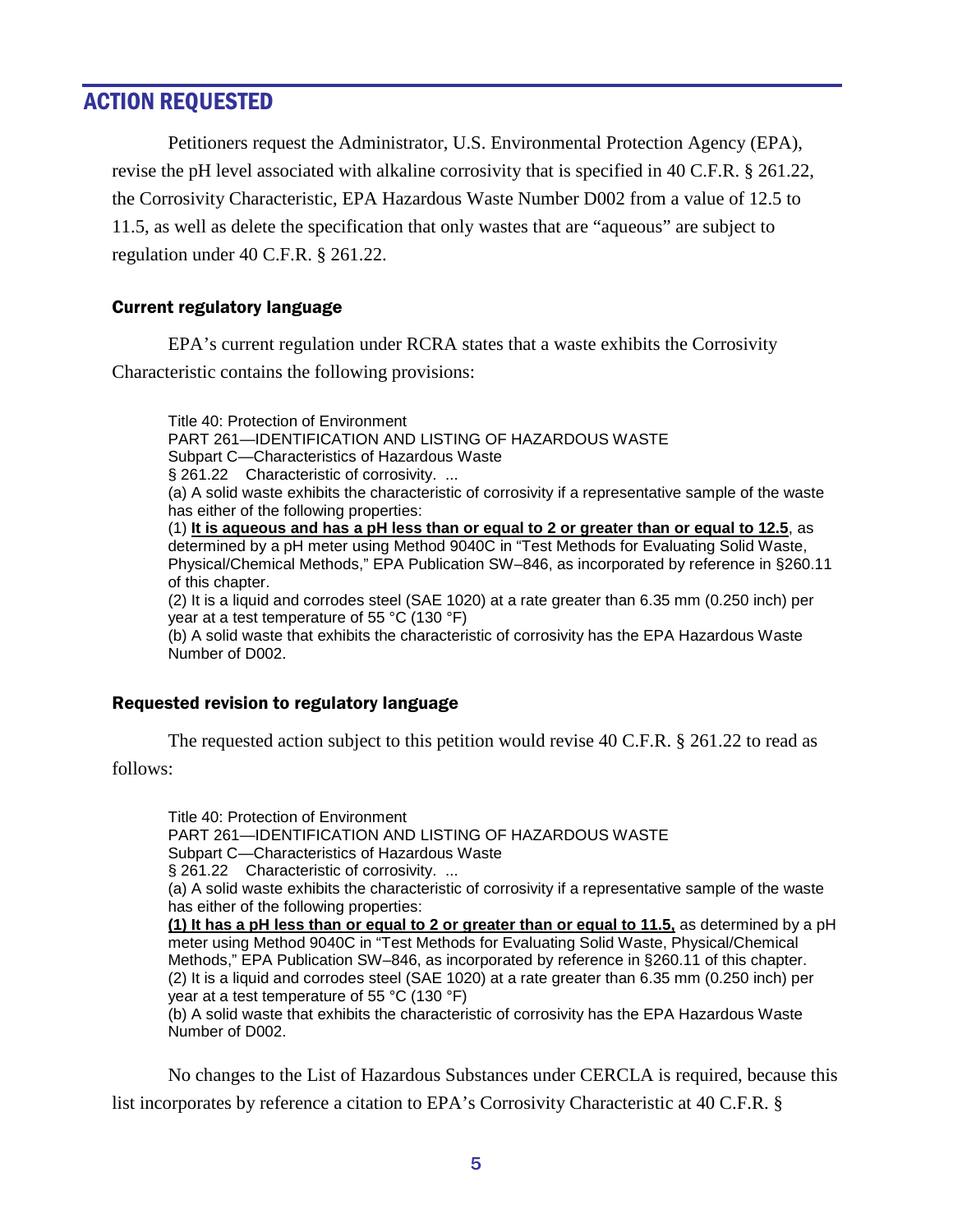## <span id="page-4-0"></span>ACTION REQUESTED

Petitioners request the Administrator, U.S. Environmental Protection Agency (EPA), revise the pH level associated with alkaline corrosivity that is specified in 40 C.F.R. § 261.22, the Corrosivity Characteristic, EPA Hazardous Waste Number D002 from a value of 12.5 to 11.5, as well as delete the specification that only wastes that are "aqueous" are subject to regulation under 40 C.F.R. § 261.22.

#### <span id="page-4-1"></span>Current regulatory language

EPA's current regulation under RCRA states that a waste exhibits the Corrosivity Characteristic contains the following provisions:

Title 40: Protection of Environment PART 261—IDENTIFICATION AND LISTING OF HAZARDOUS WASTE Subpart C—Characteristics of Hazardous Waste § 261.22 Characteristic of corrosivity. ... (a) A solid waste exhibits the characteristic of corrosivity if a representative sample of the waste has either of the following properties: (1) **It is aqueous and has a pH less than or equal to 2 or greater than or equal to 12.5** , as (2) It is a liquid and corrodes steel (SAE 1020) at a rate greater than 6.35 mm (0.250 inch) per year at a test temperature of 55 °C (130 °F) determined by a pH meter using Method 9040C in "Test Methods for Evaluating Solid Waste, Physical/Chemical Methods," EPA Publication SW–846, as incorporated by reference in §260.11 of this chapter. (b) A solid waste that exhibits the characteristic of corrosivity has the EPA Hazardous Waste Number of D002.

#### <span id="page-4-2"></span>Requested revision to regulatory language

The requested action subject to this petition would revise 40 C.F.R. § 261.22 to read as follows:

Title 40: Protection of Environment PART 261—IDENTIFICATION AND LISTING OF HAZARDOUS WASTE Subpart C—Characteristics of Hazardous Waste § 261.22 Characteristic of corrosivity. ... (a) A solid waste exhibits the characteristic of corrosivity if a representative sample of the waste has either of the following properties: **(1) It has a pH less than or equal to 2 or greater than or equal to 11.5,** as determined by a pH

(2) It is a liquid and corrodes steel (SAE 1020) at a rate greater than 6.35 mm (0.250 inch) per year at a test temperature of 55 °C (130 °F) meter using Method 9040C in "Test Methods for Evaluating Solid Waste, Physical/Chemical Methods," EPA Publication SW–846, as incorporated by reference in §260.11 of this chapter.

(b) A solid waste that exhibits the characteristic of corrosivity has the EPA Hazardous Waste Number of D002.

No changes to the List of Hazardous Substances under CERCLA is required, because this list incorporates by reference a citation to EPA's Corrosivity Characteristic at 40 C.F.R. §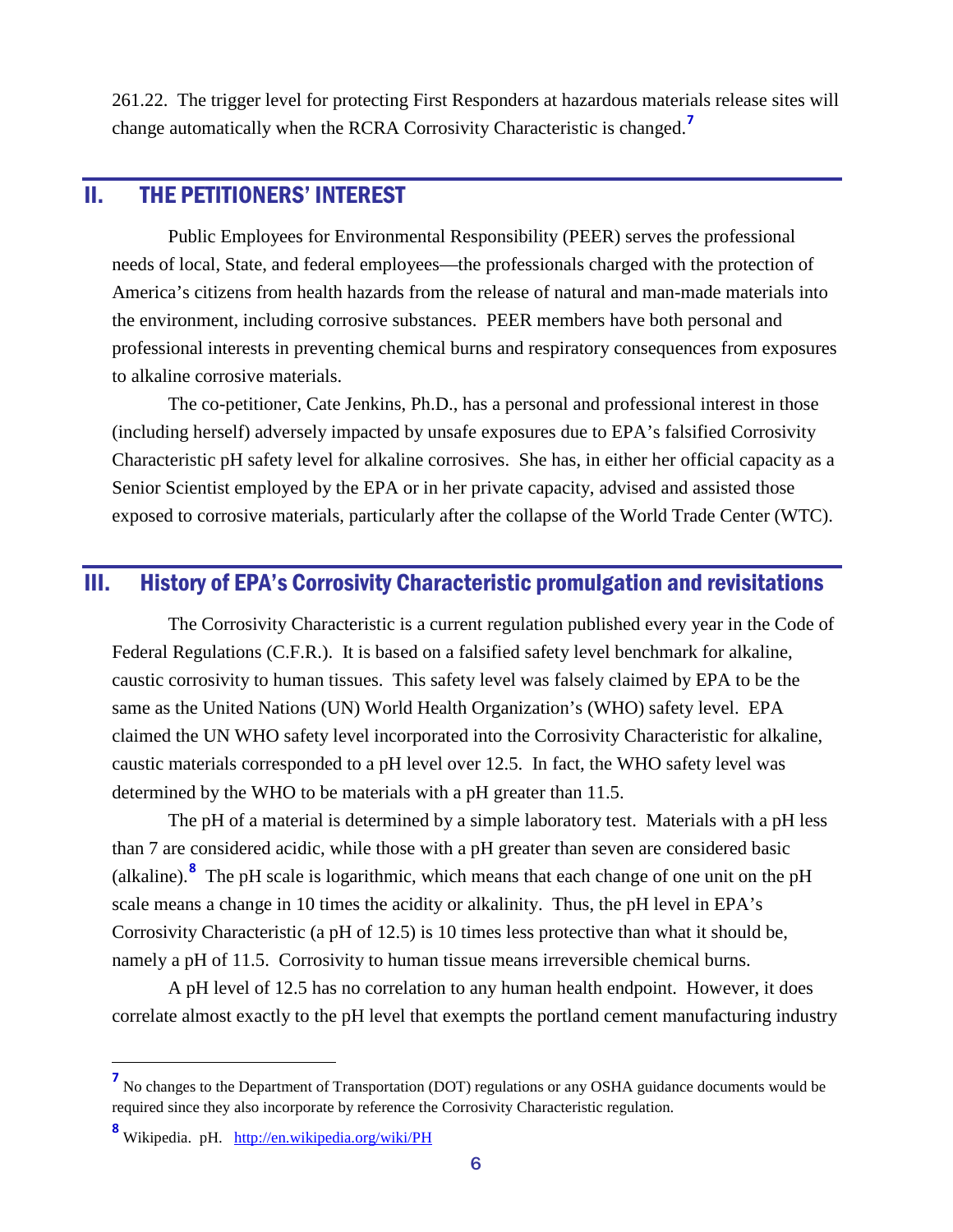261.22. The trigger level for protecting First Responders at hazardous materials release sites will change automatically when the RCRA Corrosivity Characteristic is changed.**[7](#page-5-2)**

## <span id="page-5-0"></span>II. THE PETITIONERS' INTEREST

Public Employees for Environmental Responsibility (PEER) serves the professional needs of local, State, and federal employees—the professionals charged with the protection of America's citizens from health hazards from the release of natural and man-made materials into the environment, including corrosive substances. PEER members have both personal and professional interests in preventing chemical burns and respiratory consequences from exposures to alkaline corrosive materials.

The co-petitioner, Cate Jenkins, Ph.D., has a personal and professional interest in those (including herself) adversely impacted by unsafe exposures due to EPA's falsified Corrosivity Characteristic pH safety level for alkaline corrosives. She has, in either her official capacity as a Senior Scientist employed by the EPA or in her private capacity, advised and assisted those exposed to corrosive materials, particularly after the collapse of the World Trade Center (WTC).

### <span id="page-5-1"></span>III. History of EPA's Corrosivity Characteristic promulgation and revisitations

The Corrosivity Characteristic is a current regulation published every year in the Code of Federal Regulations (C.F.R.). It is based on a falsified safety level benchmark for alkaline, caustic corrosivity to human tissues. This safety level was falsely claimed by EPA to be the same as the United Nations (UN) World Health Organization's (WHO) safety level. EPA claimed the UN WHO safety level incorporated into the Corrosivity Characteristic for alkaline, caustic materials corresponded to a pH level over 12.5. In fact, the WHO safety level was determined by the WHO to be materials with a pH greater than 11.5.

The pH of a material is determined by a simple laboratory test. Materials with a pH less than 7 are considered acidic, while those with a pH greater than seven are considered basic (alkaline).**[8](#page-5-3)** The pH scale is logarithmic, which means that each change of one unit on the pH scale means a change in 10 times the acidity or alkalinity. Thus, the pH level in EPA's Corrosivity Characteristic (a pH of 12.5) is 10 times less protective than what it should be, namely a pH of 11.5. Corrosivity to human tissue means irreversible chemical burns.

A pH level of 12.5 has no correlation to any human health endpoint. However, it does correlate almost exactly to the pH level that exempts the portland cement manufacturing industry

<span id="page-5-2"></span>**<sup>7</sup>** No changes to the Department of Transportation (DOT) regulations or any OSHA guidance documents would be required since they also incorporate by reference the Corrosivity Characteristic regulation.

<span id="page-5-3"></span>**<sup>8</sup>** Wikipedia. pH. <http://en.wikipedia.org/wiki/PH>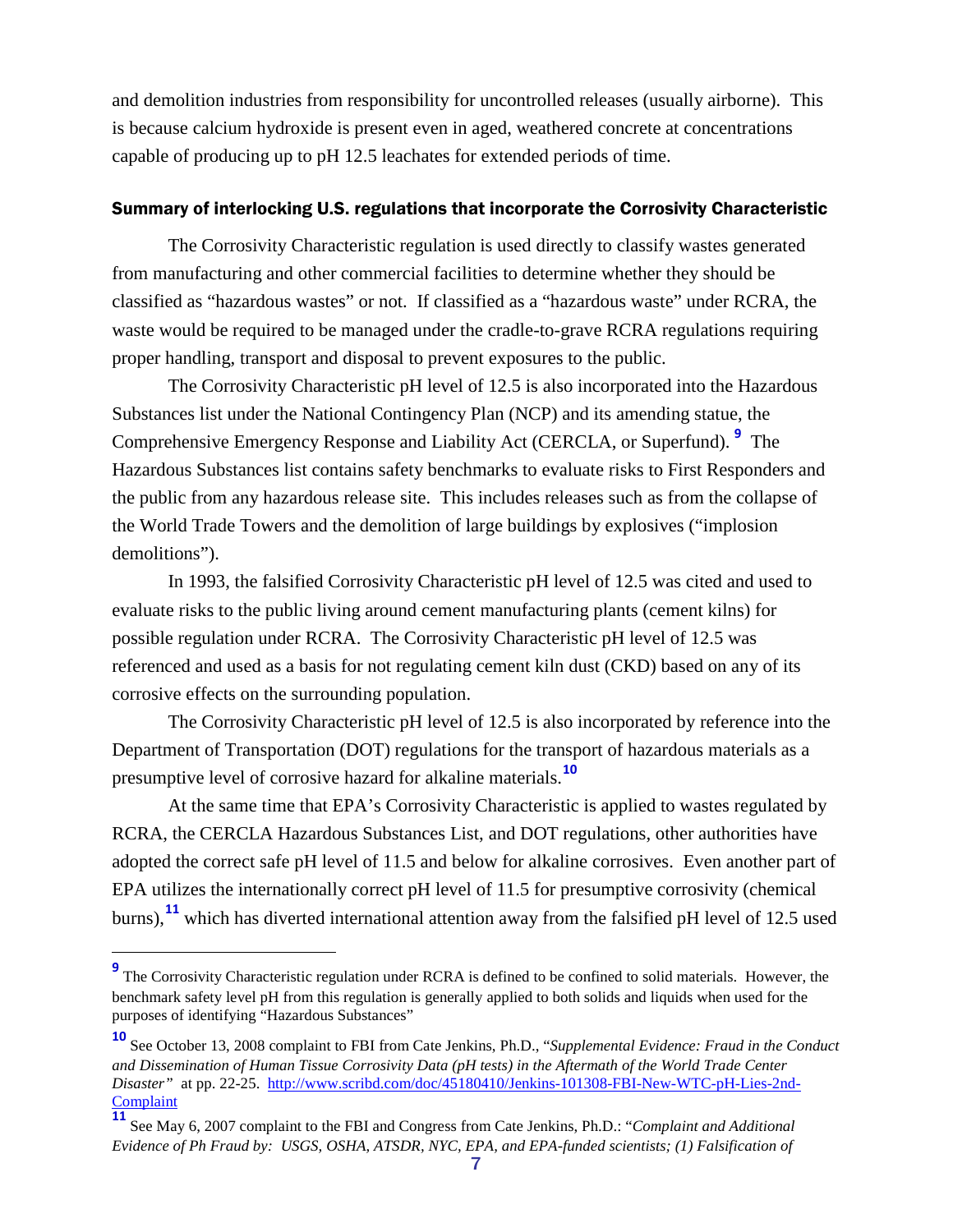and demolition industries from responsibility for uncontrolled releases (usually airborne). This is because calcium hydroxide is present even in aged, weathered concrete at concentrations capable of producing up to pH 12.5 leachates for extended periods of time.

#### <span id="page-6-0"></span>Summary of interlocking U.S. regulations that incorporate the Corrosivity Characteristic

The Corrosivity Characteristic regulation is used directly to classify wastes generated from manufacturing and other commercial facilities to determine whether they should be classified as "hazardous wastes" or not. If classified as a "hazardous waste" under RCRA, the waste would be required to be managed under the cradle-to-grave RCRA regulations requiring proper handling, transport and disposal to prevent exposures to the public.

The Corrosivity Characteristic pH level of 12.5 is also incorporated into the Hazardous Substances list under the National Contingency Plan (NCP) and its amending statue, the Comprehensive Emergency Response and Liability Act (CERCLA, or Superfund). **[9](#page-6-1)** The Hazardous Substances list contains safety benchmarks to evaluate risks to First Responders and the public from any hazardous release site. This includes releases such as from the collapse of the World Trade Towers and the demolition of large buildings by explosives ("implosion demolitions").

In 1993, the falsified Corrosivity Characteristic pH level of 12.5 was cited and used to evaluate risks to the public living around cement manufacturing plants (cement kilns) for possible regulation under RCRA. The Corrosivity Characteristic pH level of 12.5 was referenced and used as a basis for not regulating cement kiln dust (CKD) based on any of its corrosive effects on the surrounding population.

The Corrosivity Characteristic pH level of 12.5 is also incorporated by reference into the Department of Transportation (DOT) regulations for the transport of hazardous materials as a presumptive level of corrosive hazard for alkaline materials.**[10](#page-6-2)**

At the same time that EPA's Corrosivity Characteristic is applied to wastes regulated by RCRA, the CERCLA Hazardous Substances List, and DOT regulations, other authorities have adopted the correct safe pH level of 11.5 and below for alkaline corrosives. Even another part of EPA utilizes the internationally correct pH level of 11.5 for presumptive corrosivity (chemical burns), **[11](#page-6-3)** which has diverted international attention away from the falsified pH level of 12.5 used

<span id="page-6-1"></span><sup>&</sup>lt;sup>9</sup> The Corrosivity Characteristic regulation under RCRA is defined to be confined to solid materials. However, the benchmark safety level pH from this regulation is generally applied to both solids and liquids when used for the purposes of identifying "Hazardous Substances"

<span id="page-6-2"></span>**<sup>10</sup>** See October 13, 2008 complaint to FBI from Cate Jenkins, Ph.D., "*Supplemental Evidence: Fraud in the Conduct and Dissemination of Human Tissue Corrosivity Data (pH tests) in the Aftermath of the World Trade Center Disaster"* at pp. 22-25. [http://www.scribd.com/doc/45180410/Jenkins-101308-FBI-New-WTC-pH-Lies-2nd-](http://www.scribd.com/doc/45180410/Jenkins-101308-FBI-New-WTC-pH-Lies-2nd-Complaint)**[Complaint](http://www.scribd.com/doc/45180410/Jenkins-101308-FBI-New-WTC-pH-Lies-2nd-Complaint)** 

<span id="page-6-3"></span>**<sup>11</sup>** See May 6, 2007 complaint to the FBI and Congress from Cate Jenkins, Ph.D.: "*Complaint and Additional Evidence of Ph Fraud by: USGS, OSHA, ATSDR, NYC, EPA, and EPA-funded scientists; (1) Falsification of*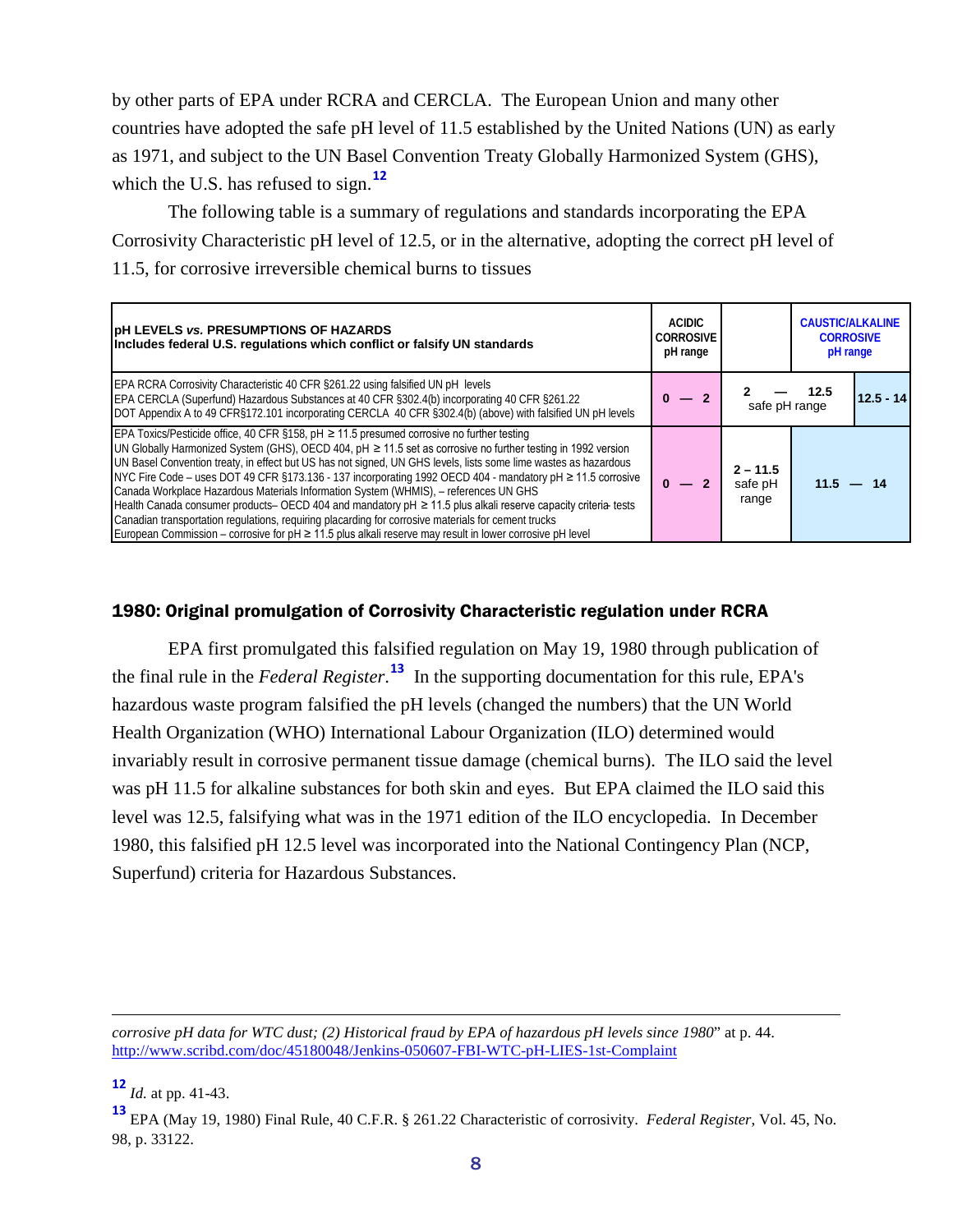by other parts of EPA under RCRA and CERCLA. The European Union and many other countries have adopted the safe pH level of 11.5 established by the United Nations (UN) as early as 1971, and subject to the UN Basel Convention Treaty Globally Harmonized System (GHS), which the U.S. has refused to sign.<sup>[12](#page-7-1)</sup>

The following table is a summary of regulations and standards incorporating the EPA Corrosivity Characteristic pH level of 12.5, or in the alternative, adopting the correct pH level of 11.5, for corrosive irreversible chemical burns to tissues

| <b>DH LEVELS vs. PRESUMPTIONS OF HAZARDS</b><br><b>CORROSIVE</b><br>Includes federal U.S. regulations which conflict or falsify UN standards                                                                                                                                                                                                                                                                                                                                                                                                                                                                                                                                                                                                                                                                                                                                         |  | <b>CAUSTIC/ALKALINE</b><br><b>CORROSIVE</b><br>pH range |             |             |
|--------------------------------------------------------------------------------------------------------------------------------------------------------------------------------------------------------------------------------------------------------------------------------------------------------------------------------------------------------------------------------------------------------------------------------------------------------------------------------------------------------------------------------------------------------------------------------------------------------------------------------------------------------------------------------------------------------------------------------------------------------------------------------------------------------------------------------------------------------------------------------------|--|---------------------------------------------------------|-------------|-------------|
| <b>EPA RCRA Corrosivity Characteristic 40 CFR §261.22 using falsified UN pH levels</b><br>EPA CERCLA (Superfund) Hazardous Substances at 40 CFR §302.4(b) incorporating 40 CFR §261.22<br>DOT Appendix A to 49 CFR§172.101 incorporating CERCLA 40 CFR §302.4(b) (above) with falsified UN pH levels                                                                                                                                                                                                                                                                                                                                                                                                                                                                                                                                                                                 |  | safe pH range                                           | - 12.5      | $12.5 - 14$ |
| EPA Toxics/Pesticide office, 40 CFR §158, pH $\geq$ 11.5 presumed corrosive no further testing<br>UN Globally Harmonized System (GHS), OECD 404, pH $\geq$ 11.5 set as corrosive no further testing in 1992 version<br>UN Basel Convention treaty, in effect but US has not signed, UN GHS levels, lists some lime wastes as hazardous<br>NYC Fire Code – uses DOT 49 CFR §173.136 - 137 incorporating 1992 OECD 404 - mandatory pH ≥ 11.5 corrosive<br>Canada Workplace Hazardous Materials Information System (WHMIS), - references UN GHS<br>Health Canada consumer products- OECD 404 and mandatory pH ≥ 11.5 plus alkali reserve capacity criteria tests<br>Canadian transportation regulations, reguiring placarding for corrosive materials for cement trucks<br>European Commission – corrosive for $pH \ge 11.5$ plus alkali reserve may result in lower corrosive pH level |  | $2 - 11.5$<br>safe pH<br>range                          | $11.5 - 14$ |             |

#### <span id="page-7-0"></span>1980: Original promulgation of Corrosivity Characteristic regulation under RCRA

EPA first promulgated this falsified regulation on May 19, 1980 through publication of the final rule in the *Federal Register*. **[13](#page-7-2)** In the supporting documentation for this rule, EPA's hazardous waste program falsified the pH levels (changed the numbers) that the UN World Health Organization (WHO) International Labour Organization (ILO) determined would invariably result in corrosive permanent tissue damage (chemical burns). The ILO said the level was pH 11.5 for alkaline substances for both skin and eyes. But EPA claimed the ILO said this level was 12.5, falsifying what was in the 1971 edition of the ILO encyclopedia. In December 1980, this falsified pH 12.5 level was incorporated into the National Contingency Plan (NCP, Superfund) criteria for Hazardous Substances.

 $\overline{a}$ 

*corrosive pH data for WTC dust; (2) Historical fraud by EPA of hazardous pH levels since 1980*" at p. 44. <http://www.scribd.com/doc/45180048/Jenkins-050607-FBI-WTC-pH-LIES-1st-Complaint>

<span id="page-7-1"></span>**<sup>12</sup>** *Id.* at pp. 41-43.

<span id="page-7-2"></span>**<sup>13</sup>** EPA (May 19, 1980) Final Rule, 40 C.F.R. § 261.22 Characteristic of corrosivity. *Federal Register*, Vol. 45, No. 98, p. 33122.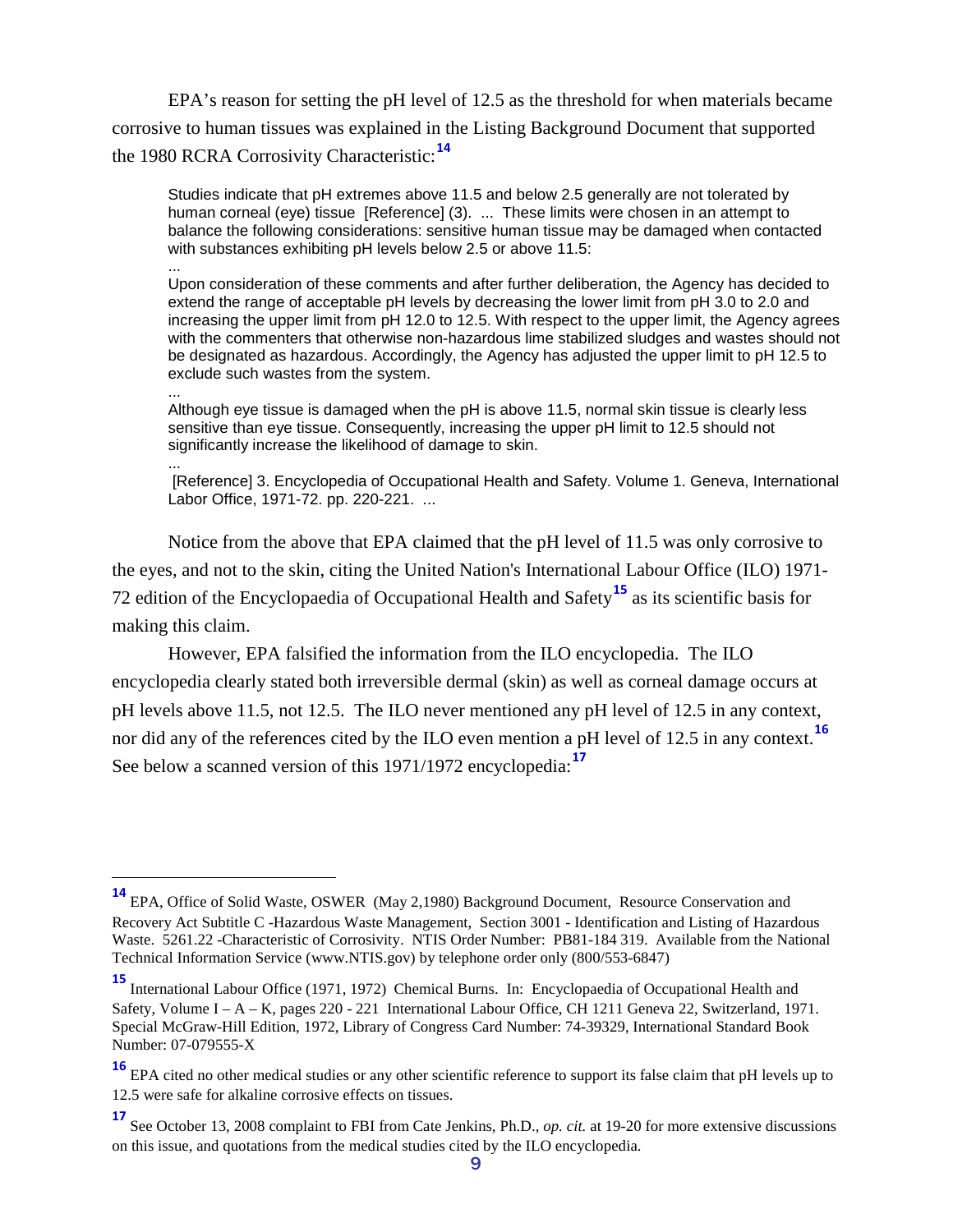EPA's reason for setting the pH level of 12.5 as the threshold for when materials became corrosive to human tissues was explained in the Listing Background Document that supported the 1980 RCRA Corrosivity Characteristic:**[14](#page-8-0)**

Studies indicate that pH extremes above 11.5 and below 2.5 generally are not tolerated by human corneal (eye) tissue [Reference] (3). ... These limits were chosen in an attempt to balance the following considerations: sensitive human tissue may be damaged when contacted with substances exhibiting pH levels below 2.5 or above 11.5:

... Upon consideration of these comments and after further deliberation, the Agency has decided to extend the range of acceptable pH levels by decreasing the lower limit from pH 3.0 to 2.0 and increasing the upper limit from pH 12.0 to 12.5. With respect to the upper limit, the Agency agrees with the commenters that otherwise non-hazardous lime stabilized sludges and wastes should not be designated as hazardous. Accordingly, the Agency has adjusted the upper limit to pH 12.5 to exclude such wastes from the system.

... Although eye tissue is damaged when the pH is above 11.5, normal skin tissue is clearly less sensitive than eye tissue. Consequently, increasing the upper pH limit to 12.5 should not significantly increase the likelihood of damage to skin.

... [Reference] 3. Encyclopedia of Occupational Health and Safety. Volume 1. Geneva, International Labor Office, 1971-72. pp. 220-221. ...

Notice from the above that EPA claimed that the pH level of 11.5 was only corrosive to the eyes, and not to the skin, citing the United Nation's International Labour Office (ILO) 1971- 72 edition of the Encyclopaedia of Occupational Health and Safety**[15](#page-8-1)** as its scientific basis for making this claim.

However, EPA falsified the information from the ILO encyclopedia. The ILO encyclopedia clearly stated both irreversible dermal (skin) as well as corneal damage occurs at pH levels above 11.5, not 12.5. The ILO never mentioned any pH level of 12.5 in any context, nor did any of the references cited by the ILO even mention a pH level of 12.5 in any context. **[16](#page-8-2)** See below a scanned version of this 1971/1972 encyclopedia:**[17](#page-8-3)**

<span id="page-8-0"></span>**<sup>14</sup>** EPA, Office of Solid Waste, OSWER (May 2,1980) Background Document, Resource Conservation and Recovery Act Subtitle C -Hazardous Waste Management, Section 3001 - Identification and Listing of Hazardous Waste. 5261.22 -Characteristic of Corrosivity. NTIS Order Number: PB81-184 319. Available from the National Technical Information Service (www.NTIS.gov) by telephone order only (800/553-6847)

<span id="page-8-1"></span>**<sup>15</sup>** International Labour Office (1971, 1972) Chemical Burns. In: Encyclopaedia of Occupational Health and Safety, Volume I – A – K, pages 220 - 221 International Labour Office, CH 1211 Geneva 22, Switzerland, 1971. Special McGraw-Hill Edition, 1972, Library of Congress Card Number: 74-39329, International Standard Book Number: 07-079555-X

<span id="page-8-2"></span>**<sup>16</sup>** EPA cited no other medical studies or any other scientific reference to support its false claim that pH levels up to 12.5 were safe for alkaline corrosive effects on tissues.

<span id="page-8-3"></span>**<sup>17</sup>** See October 13, 2008 complaint to FBI from Cate Jenkins, Ph.D., *op. cit.* at 19-20 for more extensive discussions on this issue, and quotations from the medical studies cited by the ILO encyclopedia.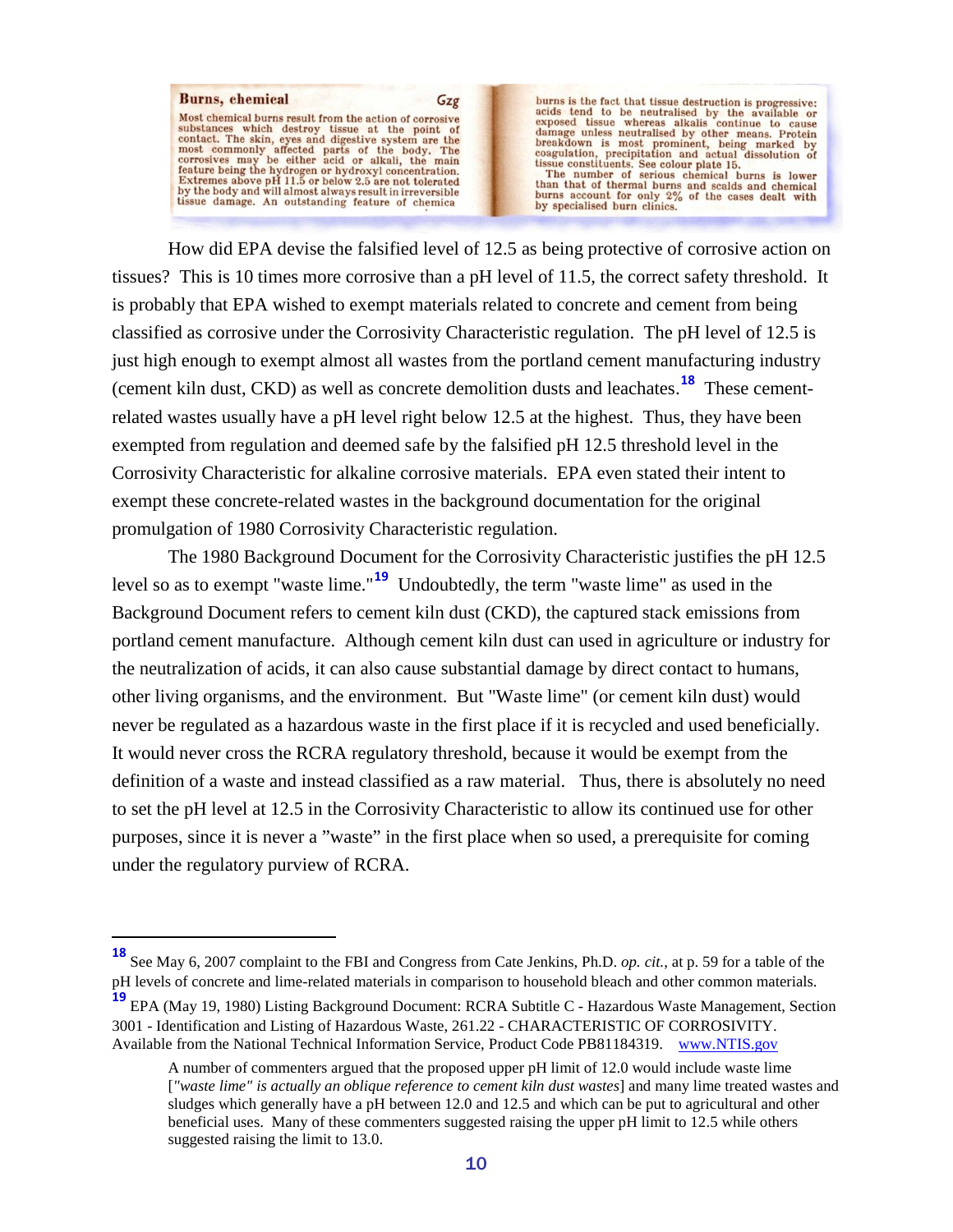

burns is the fact that tissue destruction is progressive:<br>acids tend to be neutralised by the available or<br>exposed tissue whereas alkalis continue to cause<br>damage unless neutralised by other means. Protein<br>breakdown is mo

How did EPA devise the falsified level of 12.5 as being protective of corrosive action on tissues? This is 10 times more corrosive than a pH level of 11.5, the correct safety threshold. It is probably that EPA wished to exempt materials related to concrete and cement from being classified as corrosive under the Corrosivity Characteristic regulation. The pH level of 12.5 is just high enough to exempt almost all wastes from the portland cement manufacturing industry (cement kiln dust, CKD) as well as concrete demolition dusts and leachates.**[18](#page-9-0)** These cementrelated wastes usually have a pH level right below 12.5 at the highest. Thus, they have been exempted from regulation and deemed safe by the falsified pH 12.5 threshold level in the Corrosivity Characteristic for alkaline corrosive materials. EPA even stated their intent to exempt these concrete-related wastes in the background documentation for the original promulgation of 1980 Corrosivity Characteristic regulation.

The 1980 Background Document for the Corrosivity Characteristic justifies the pH 12.5 level so as to exempt "waste lime."<sup>[19](#page-9-1)</sup> Undoubtedly, the term "waste lime" as used in the Background Document refers to cement kiln dust (CKD), the captured stack emissions from portland cement manufacture. Although cement kiln dust can used in agriculture or industry for the neutralization of acids, it can also cause substantial damage by direct contact to humans, other living organisms, and the environment. But "Waste lime" (or cement kiln dust) would never be regulated as a hazardous waste in the first place if it is recycled and used beneficially. It would never cross the RCRA regulatory threshold, because it would be exempt from the definition of a waste and instead classified as a raw material. Thus, there is absolutely no need to set the pH level at 12.5 in the Corrosivity Characteristic to allow its continued use for other purposes, since it is never a "waste" in the first place when so used, a prerequisite for coming under the regulatory purview of RCRA.

<span id="page-9-0"></span>**<sup>18</sup>** See May 6, 2007 complaint to the FBI and Congress from Cate Jenkins, Ph.D. *op. cit.*, at p. 59 for a table of the pH levels of concrete and lime-related materials in comparison to household bleach and other common materials.

<span id="page-9-1"></span>**<sup>19</sup>** EPA (May 19, 1980) Listing Background Document: RCRA Subtitle C - Hazardous Waste Management, Section 3001 - Identification and Listing of Hazardous Waste, 261.22 - CHARACTERISTIC OF CORROSIVITY. Available from the National Technical Information Service, Product Code PB81184319. [www.NTIS.gov](http://www.ntis.gov/)

A number of commenters argued that the proposed upper pH limit of 12.0 would include waste lime [*"waste lime" is actually an oblique reference to cement kiln dust wastes*] and many lime treated wastes and sludges which generally have a pH between 12.0 and 12.5 and which can be put to agricultural and other beneficial uses. Many of these commenters suggested raising the upper pH limit to 12.5 while others suggested raising the limit to 13.0.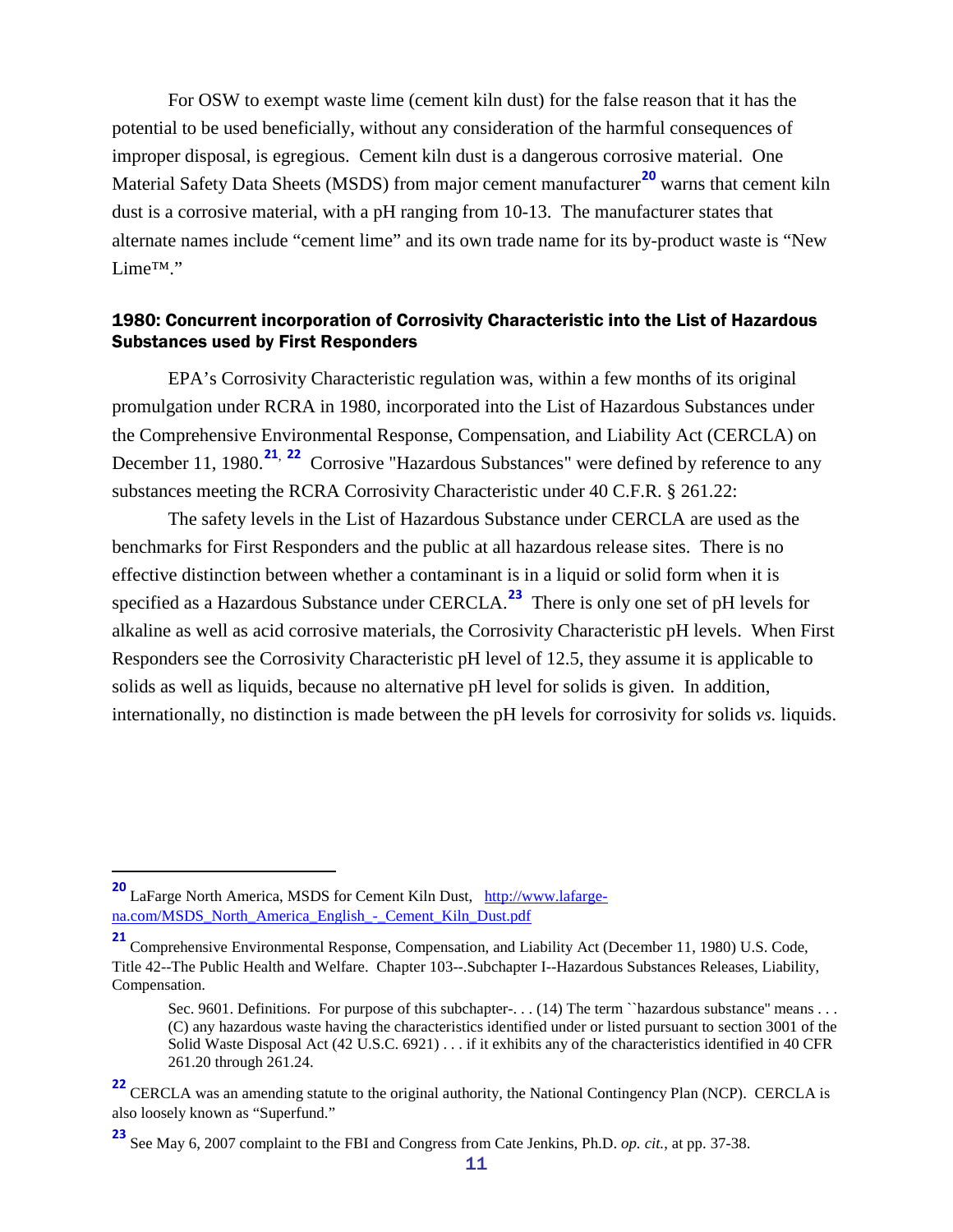For OSW to exempt waste lime (cement kiln dust) for the false reason that it has the potential to be used beneficially, without any consideration of the harmful consequences of improper disposal, is egregious. Cement kiln dust is a dangerous corrosive material. One Material Safety Data Sheets (MSDS) from major cement manufacturer **[20](#page-10-1)** warns that cement kiln dust is a corrosive material, with a pH ranging from 10-13. The manufacturer states that alternate names include "cement lime" and its own trade name for its by-product waste is "New Lime™."

#### <span id="page-10-0"></span>1980: Concurrent incorporation of Corrosivity Characteristic into the List of Hazardous Substances used by First Responders

EPA's Corrosivity Characteristic regulation was, within a few months of its original promulgation under RCRA in 1980, incorporated into the List of Hazardous Substances under the Comprehensive Environmental Response, Compensation, and Liability Act (CERCLA) on December 11, 1980.<sup>[21](#page-10-2), [22](#page-10-3)</sup> Corrosive "Hazardous Substances" were defined by reference to any substances meeting the RCRA Corrosivity Characteristic under 40 C.F.R. § 261.22:

The safety levels in the List of Hazardous Substance under CERCLA are used as the benchmarks for First Responders and the public at all hazardous release sites. There is no effective distinction between whether a contaminant is in a liquid or solid form when it is specified as a Hazardous Substance under CERCLA. **[23](#page-10-4)** There is only one set of pH levels for alkaline as well as acid corrosive materials, the Corrosivity Characteristic pH levels. When First Responders see the Corrosivity Characteristic pH level of 12.5, they assume it is applicable to solids as well as liquids, because no alternative pH level for solids is given. In addition, internationally, no distinction is made between the pH levels for corrosivity for solids *vs.* liquids.

<span id="page-10-1"></span><sup>&</sup>lt;sup>20</sup> LaFarge North America, MSDS for Cement Kiln Dust, [http://www.lafarge](http://www.lafarge-na.com/MSDS_North_America_English_-_Cement_Kiln_Dust.pdf)[na.com/MSDS\\_North\\_America\\_English\\_-\\_Cement\\_Kiln\\_Dust.pdf](http://www.lafarge-na.com/MSDS_North_America_English_-_Cement_Kiln_Dust.pdf)

<span id="page-10-2"></span>**<sup>21</sup>** Comprehensive Environmental Response, Compensation, and Liability Act (December 11, 1980) U.S. Code, Title 42--The Public Health and Welfare. Chapter 103--.Subchapter I--Hazardous Substances Releases, Liability, Compensation.

Sec. 9601. Definitions. For purpose of this subchapter-... (14) The term ``hazardous substance'' means ... (C) any hazardous waste having the characteristics identified under or listed pursuant to section 3001 of the Solid Waste Disposal Act (42 U.S.C. 6921) . . . if it exhibits any of the characteristics identified in 40 CFR 261.20 through 261.24.

<span id="page-10-3"></span><sup>&</sup>lt;sup>22</sup> CERCLA was an amending statute to the original authority, the National Contingency Plan (NCP). CERCLA is also loosely known as "Superfund."

<span id="page-10-4"></span>**<sup>23</sup>** See May 6, 2007 complaint to the FBI and Congress from Cate Jenkins, Ph.D. *op. cit.*, at pp. 37-38.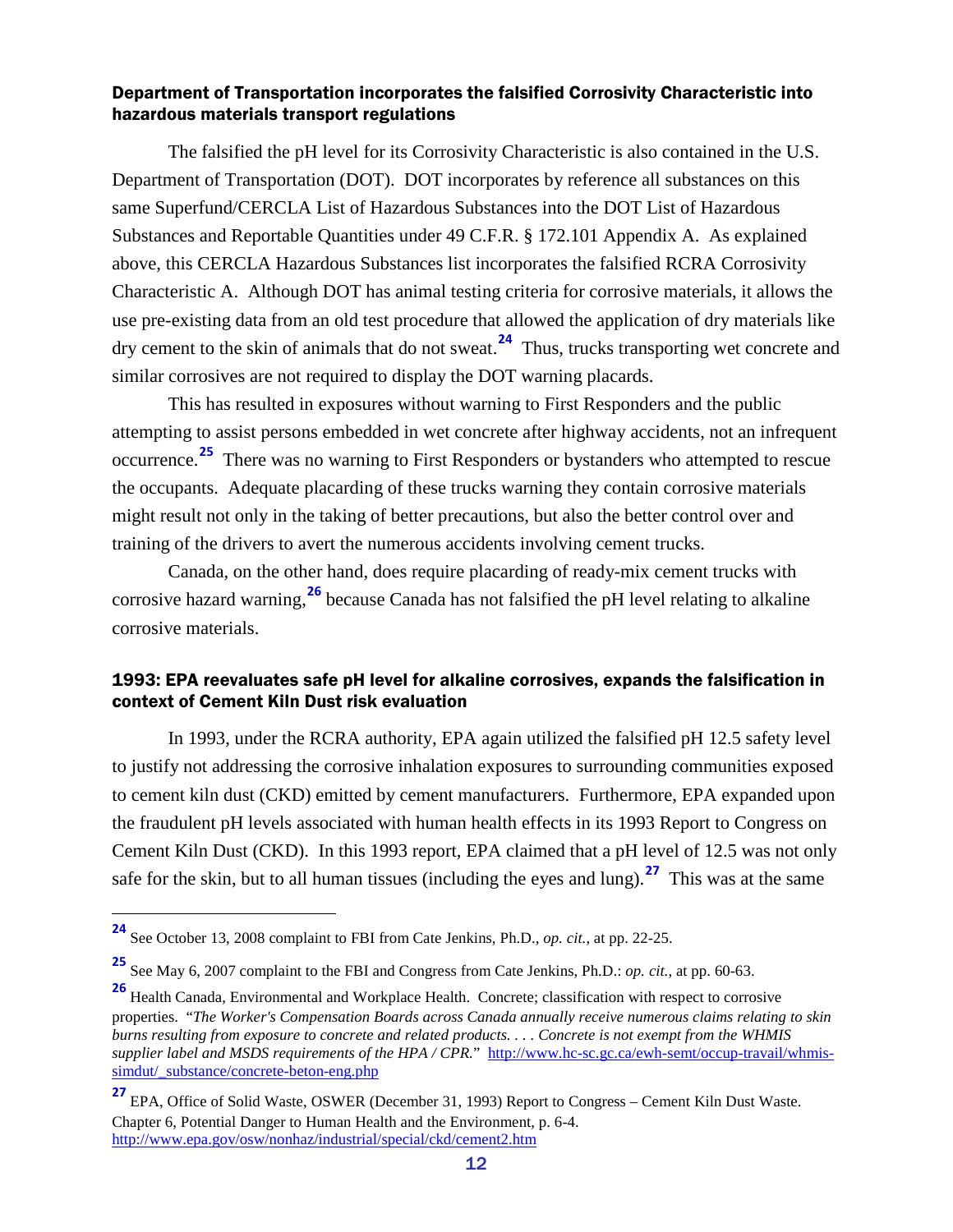#### <span id="page-11-0"></span>Department of Transportation incorporates the falsified Corrosivity Characteristic into hazardous materials transport regulations

The falsified the pH level for its Corrosivity Characteristic is also contained in the U.S. Department of Transportation (DOT). DOT incorporates by reference all substances on this same Superfund/CERCLA List of Hazardous Substances into the DOT List of Hazardous Substances and Reportable Quantities under 49 C.F.R. § 172.101 Appendix A. As explained above, this CERCLA Hazardous Substances list incorporates the falsified RCRA Corrosivity Characteristic A. Although DOT has animal testing criteria for corrosive materials, it allows the use pre-existing data from an old test procedure that allowed the application of dry materials like dry cement to the skin of animals that do not sweat.**[24](#page-11-2)** Thus, trucks transporting wet concrete and similar corrosives are not required to display the DOT warning placards.

This has resulted in exposures without warning to First Responders and the public attempting to assist persons embedded in wet concrete after highway accidents, not an infrequent occurrence. **[25](#page-11-3)** There was no warning to First Responders or bystanders who attempted to rescue the occupants. Adequate placarding of these trucks warning they contain corrosive materials might result not only in the taking of better precautions, but also the better control over and training of the drivers to avert the numerous accidents involving cement trucks.

Canada, on the other hand, does require placarding of ready-mix cement trucks with corrosive hazard warning, **[26](#page-11-4)** because Canada has not falsified the pH level relating to alkaline corrosive materials.

#### <span id="page-11-1"></span>1993: EPA reevaluates safe pH level for alkaline corrosives, expands the falsification in context of Cement Kiln Dust risk evaluation

In 1993, under the RCRA authority, EPA again utilized the falsified pH 12.5 safety level to justify not addressing the corrosive inhalation exposures to surrounding communities exposed to cement kiln dust (CKD) emitted by cement manufacturers. Furthermore, EPA expanded upon the fraudulent pH levels associated with human health effects in its 1993 Report to Congress on Cement Kiln Dust (CKD). In this 1993 report, EPA claimed that a pH level of 12.5 was not only safe for the skin, but to all human tissues (including the eyes and lung).**[27](#page-11-5)** This was at the same

<span id="page-11-2"></span>**<sup>24</sup>** See October 13, 2008 complaint to FBI from Cate Jenkins, Ph.D., *op. cit.*, at pp. 22-25.

<span id="page-11-3"></span>**<sup>25</sup>** See May 6, 2007 complaint to the FBI and Congress from Cate Jenkins, Ph.D.: *op. cit.*, at pp. 60-63.

<span id="page-11-4"></span>**<sup>26</sup>** Health Canada, Environmental and Workplace Health. Concrete; classification with respect to corrosive properties. "*The Worker's Compensation Boards across Canada annually receive numerous claims relating to skin burns resulting from exposure to concrete and related products. . . . Concrete is not exempt from the WHMIS supplier label and MSDS requirements of the HPA / CPR.*" [http://www.hc-sc.gc.ca/ewh-semt/occup-travail/whmis](http://www.hc-sc.gc.ca/ewh-semt/occup-travail/whmis-simdut/_substance/concrete-beton-eng.php)[simdut/\\_substance/concrete-beton-eng.php](http://www.hc-sc.gc.ca/ewh-semt/occup-travail/whmis-simdut/_substance/concrete-beton-eng.php)

<span id="page-11-5"></span>**<sup>27</sup>** EPA, Office of Solid Waste, OSWER (December 31, 1993) Report to Congress – Cement Kiln Dust Waste. Chapter 6, Potential Danger to Human Health and the Environment, p. 6-4. <http://www.epa.gov/osw/nonhaz/industrial/special/ckd/cement2.htm>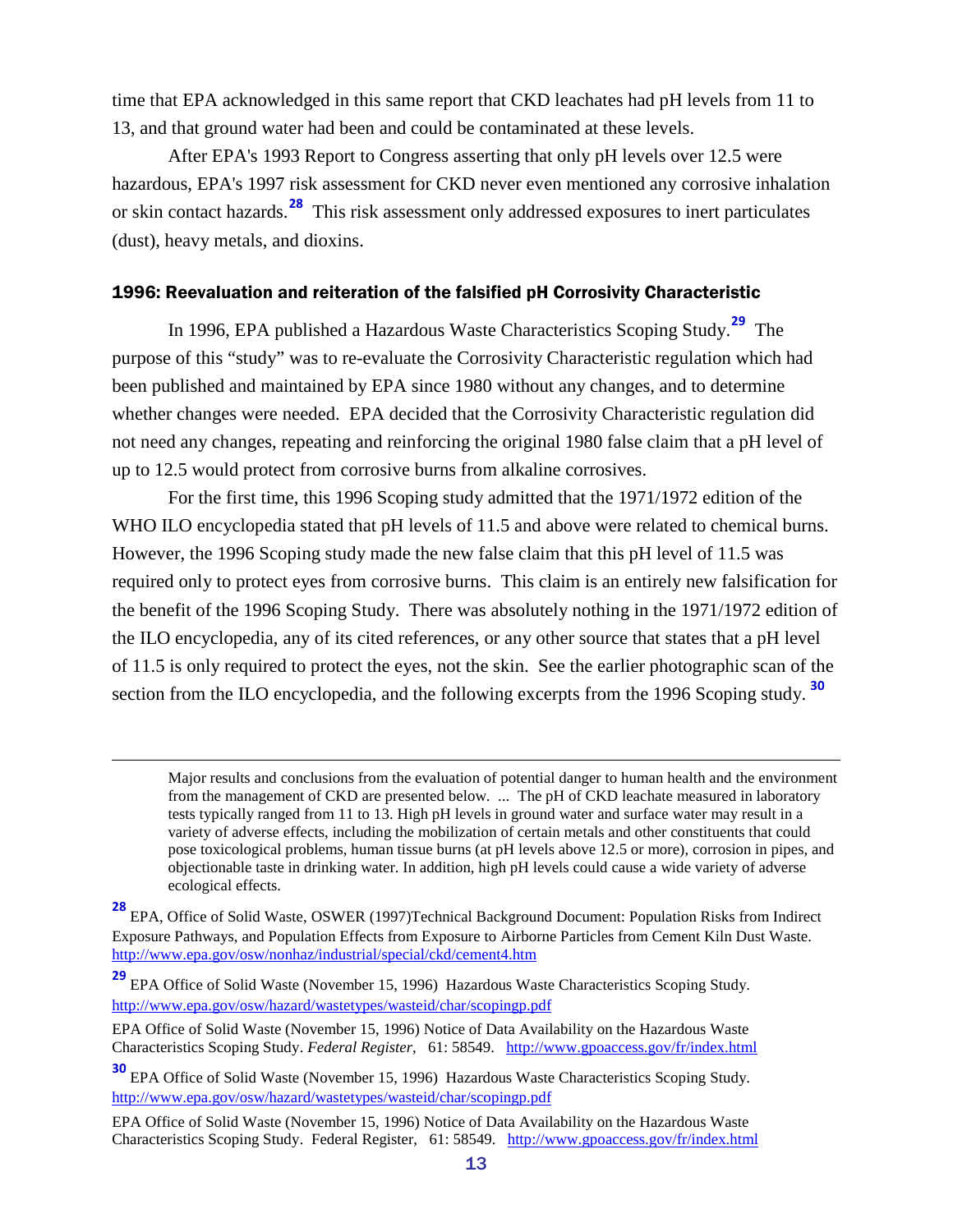time that EPA acknowledged in this same report that CKD leachates had pH levels from 11 to 13, and that ground water had been and could be contaminated at these levels.

After EPA's 1993 Report to Congress asserting that only pH levels over 12.5 were hazardous, EPA's 1997 risk assessment for CKD never even mentioned any corrosive inhalation or skin contact hazards.**[28](#page-12-1)** This risk assessment only addressed exposures to inert particulates (dust), heavy metals, and dioxins.

#### <span id="page-12-0"></span>1996: Reevaluation and reiteration of the falsified pH Corrosivity Characteristic

In 1996, EPA published a Hazardous Waste Characteristics Scoping Study. **[29](#page-12-2)** The purpose of this "study" was to re-evaluate the Corrosivity Characteristic regulation which had been published and maintained by EPA since 1980 without any changes, and to determine whether changes were needed. EPA decided that the Corrosivity Characteristic regulation did not need any changes, repeating and reinforcing the original 1980 false claim that a pH level of up to 12.5 would protect from corrosive burns from alkaline corrosives.

For the first time, this 1996 Scoping study admitted that the 1971/1972 edition of the WHO ILO encyclopedia stated that pH levels of 11.5 and above were related to chemical burns. However, the 1996 Scoping study made the new false claim that this pH level of 11.5 was required only to protect eyes from corrosive burns. This claim is an entirely new falsification for the benefit of the 1996 Scoping Study. There was absolutely nothing in the 1971/1972 edition of the ILO encyclopedia, any of its cited references, or any other source that states that a pH level of 11.5 is only required to protect the eyes, not the skin. See the earlier photographic scan of the section from the ILO encyclopedia, and the following excerpts from the 1996 Scoping study. **[30](#page-12-3)**

 $\overline{a}$ 

Major results and conclusions from the evaluation of potential danger to human health and the environment from the management of CKD are presented below. ... The pH of CKD leachate measured in laboratory tests typically ranged from 11 to 13. High pH levels in ground water and surface water may result in a variety of adverse effects, including the mobilization of certain metals and other constituents that could pose toxicological problems, human tissue burns (at pH levels above 12.5 or more), corrosion in pipes, and objectionable taste in drinking water. In addition, high pH levels could cause a wide variety of adverse ecological effects.

<span id="page-12-1"></span>**<sup>28</sup>** EPA, Office of Solid Waste, OSWER (1997)Technical Background Document: Population Risks from Indirect Exposure Pathways, and Population Effects from Exposure to Airborne Particles from Cement Kiln Dust Waste. <http://www.epa.gov/osw/nonhaz/industrial/special/ckd/cement4.htm>

<span id="page-12-2"></span>**<sup>29</sup>** EPA Office of Solid Waste (November 15, 1996) Hazardous Waste Characteristics Scoping Study. <http://www.epa.gov/osw/hazard/wastetypes/wasteid/char/scopingp.pdf>

EPA Office of Solid Waste (November 15, 1996) Notice of Data Availability on the Hazardous Waste Characteristics Scoping Study. *Federal Register*, 61: 58549. <http://www.gpoaccess.gov/fr/index.html>

<span id="page-12-3"></span>**<sup>30</sup>** EPA Office of Solid Waste (November 15, 1996) Hazardous Waste Characteristics Scoping Study. <http://www.epa.gov/osw/hazard/wastetypes/wasteid/char/scopingp.pdf>

EPA Office of Solid Waste (November 15, 1996) Notice of Data Availability on the Hazardous Waste Characteristics Scoping Study. Federal Register, 61: 58549. <http://www.gpoaccess.gov/fr/index.html>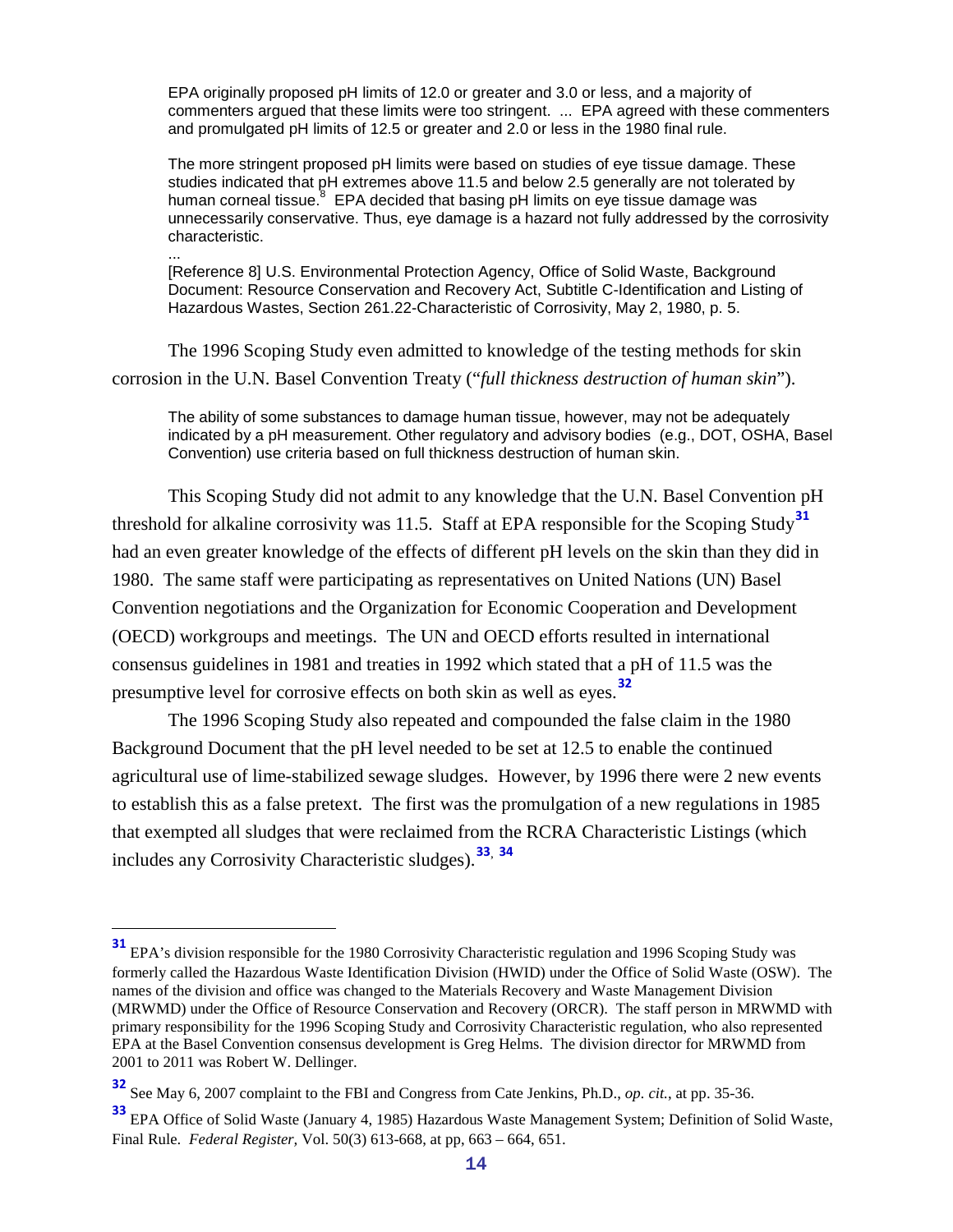EPA originally proposed pH limits of 12.0 or greater and 3.0 or less, and a majority of commenters argued that these limits were too stringent. ... EPA agreed with these commenters and promulgated pH limits of 12.5 or greater and 2.0 or less in the 1980 final rule.

The more stringent proposed pH limits were based on studies of eye tissue damage. These studies indicated that pH extremes above 11.5 and below 2.5 generally are not tolerated by human corneal tissue. $8$  EPA decided that basing pH limits on eye tissue damage was unnecessarily conservative. Thus, eye damage is a hazard not fully addressed by the corrosivity characteristic.

[Reference 8] U.S. Environmental Protection Agency, Office of Solid Waste, Background Document: Resource Conservation and Recovery Act, Subtitle C-Identification and Listing of Hazardous Wastes, Section 261.22-Characteristic of Corrosivity, May 2, 1980, p. 5.

The 1996 Scoping Study even admitted to knowledge of the testing methods for skin corrosion in the U.N. Basel Convention Treaty ("*full thickness destruction of human skin*").

...

The ability of some substances to damage human tissue, however, may not be adequately indicated by a pH measurement. Other regulatory and advisory bodies (e.g., DOT, OSHA, Basel Convention) use criteria based on full thickness destruction of human skin.

This Scoping Study did not admit to any knowledge that the U.N. Basel Convention pH threshold for alkaline corrosivity was 11.5. Staff at EPA responsible for the Scoping Study**[31](#page-13-0)** had an even greater knowledge of the effects of different pH levels on the skin than they did in 1980. The same staff were participating as representatives on United Nations (UN) Basel Convention negotiations and the Organization for Economic Cooperation and Development (OECD) workgroups and meetings. The UN and OECD efforts resulted in international consensus guidelines in 1981 and treaties in 1992 which stated that a pH of 11.5 was the presumptive level for corrosive effects on both skin as well as eyes.**[32](#page-13-1)**

<span id="page-13-3"></span>The 1996 Scoping Study also repeated and compounded the false claim in the 1980 Background Document that the pH level needed to be set at 12.5 to enable the continued agricultural use of lime-stabilized sewage sludges. However, by 1996 there were 2 new events to establish this as a false pretext. The first was the promulgation of a new regulations in 1985 that exempted all sludges that were reclaimed from the RCRA Characteristic Listings (which includes any Corrosivity Characteristic sludges).**[33](#page-13-2)**, **[34](#page-13-3)**

<span id="page-13-0"></span>**<sup>31</sup>** EPA's division responsible for the 1980 Corrosivity Characteristic regulation and 1996 Scoping Study was formerly called the Hazardous Waste Identification Division (HWID) under the Office of Solid Waste (OSW). The names of the division and office was changed to the Materials Recovery and Waste Management Division (MRWMD) under the Office of Resource Conservation and Recovery (ORCR). The staff person in MRWMD with primary responsibility for the 1996 Scoping Study and Corrosivity Characteristic regulation, who also represented EPA at the Basel Convention consensus development is Greg Helms. The division director for MRWMD from 2001 to 2011 was Robert W. Dellinger.

<span id="page-13-1"></span>**<sup>32</sup>** See May 6, 2007 complaint to the FBI and Congress from Cate Jenkins, Ph.D., *op. cit.*, at pp. 35-36.

<span id="page-13-2"></span>**<sup>33</sup>** EPA Office of Solid Waste (January 4, 1985) Hazardous Waste Management System; Definition of Solid Waste, Final Rule. *Federal Register,* Vol. 50(3) 613-668, at pp, 663 – 664, 651.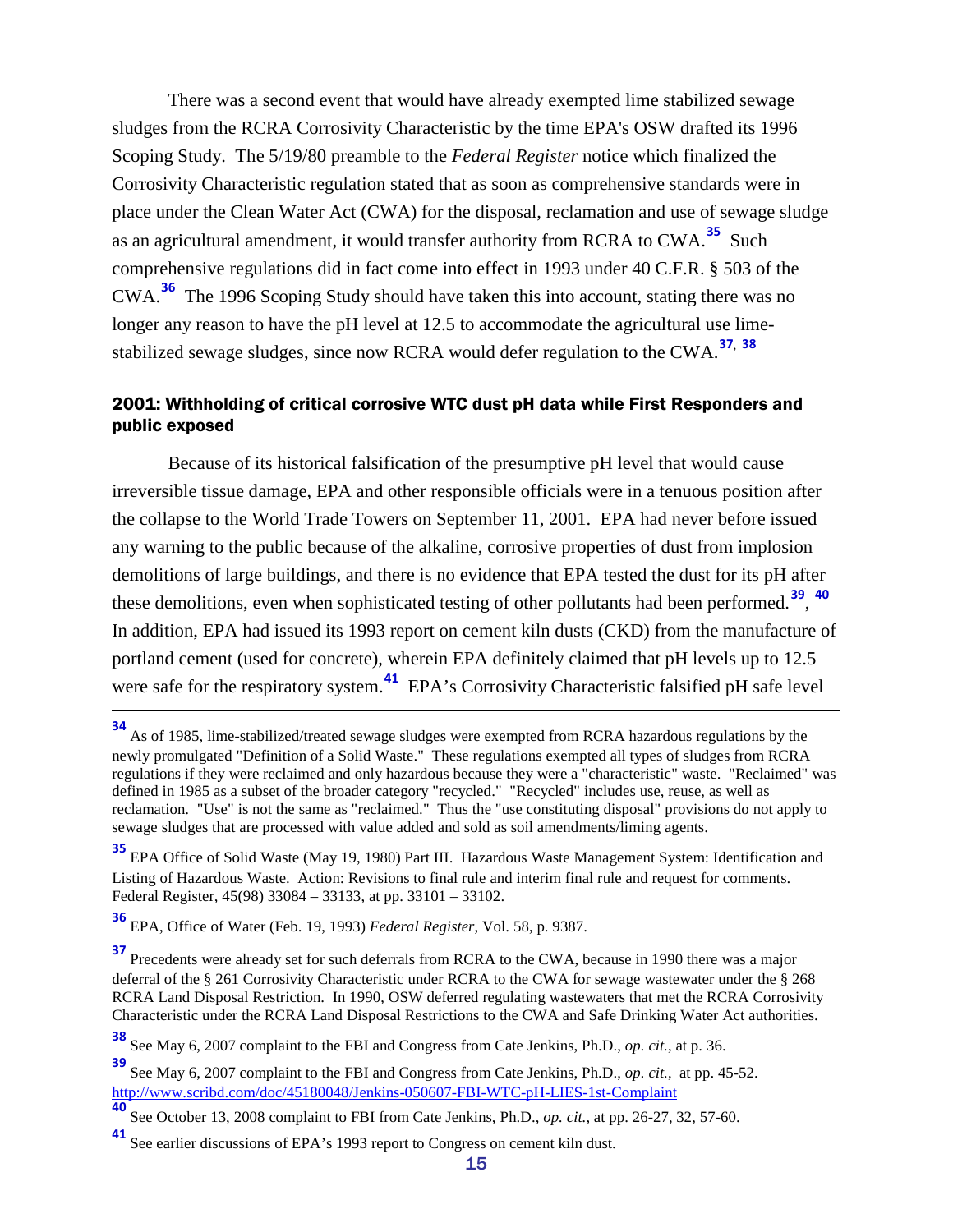There was a second event that would have already exempted lime stabilized sewage sludges from the RCRA Corrosivity Characteristic by the time EPA's OSW drafted its 1996 Scoping Study. The 5/19/80 preamble to the *Federal Register* notice which finalized the Corrosivity Characteristic regulation stated that as soon as comprehensive standards were in place under the Clean Water Act (CWA) for the disposal, reclamation and use of sewage sludge as an agricultural amendment, it would transfer authority from RCRA to CWA.**[35](#page-14-1)** Such comprehensive regulations did in fact come into effect in 1993 under 40 C.F.R. § 503 of the CWA.**[36](#page-14-2)** The 1996 Scoping Study should have taken this into account, stating there was no longer any reason to have the pH level at 12.5 to accommodate the agricultural use limestabilized sewage sludges, since now RCRA would defer regulation to the CWA.**[37](#page-14-3)**, **[38](#page-14-4)**

#### <span id="page-14-0"></span>2001: Withholding of critical corrosive WTC dust pH data while First Responders and public exposed

Because of its historical falsification of the presumptive pH level that would cause irreversible tissue damage, EPA and other responsible officials were in a tenuous position after the collapse to the World Trade Towers on September 11, 2001. EPA had never before issued any warning to the public because of the alkaline, corrosive properties of dust from implosion demolitions of large buildings, and there is no evidence that EPA tested the dust for its pH after these demolitions, even when sophisticated testing of other pollutants had been performed.**[39](#page-14-5)**, **[40](#page-14-6)** In addition, EPA had issued its 1993 report on cement kiln dusts (CKD) from the manufacture of portland cement (used for concrete), wherein EPA definitely claimed that pH levels up to 12.5 were safe for the respiratory system.<sup>[41](#page-14-7)</sup> EPA's Corrosivity Characteristic falsified pH safe level

**<sup>34</sup>** As of 1985, lime-stabilized/treated sewage sludges were exempted from RCRA hazardous regulations by the newly promulgated "Definition of a Solid Waste." These regulations exempted all types of sludges from RCRA regulations if they were reclaimed and only hazardous because they were a "characteristic" waste. "Reclaimed" was defined in 1985 as a subset of the broader category "recycled." "Recycled" includes use, reuse, as well as reclamation. "Use" is not the same as "reclaimed." Thus the "use constituting disposal" provisions do not apply to sewage sludges that are processed with value added and sold as soil amendments/liming agents.

<span id="page-14-1"></span>**<sup>35</sup>** EPA Office of Solid Waste (May 19, 1980) Part III. Hazardous Waste Management System: Identification and Listing of Hazardous Waste. Action: Revisions to final rule and interim final rule and request for comments. Federal Register, 45(98) 33084 – 33133, at pp. 33101 – 33102.

<span id="page-14-2"></span>**<sup>36</sup>** EPA, Office of Water (Feb. 19, 1993) *Federal Register*, Vol. 58, p. 9387.

<span id="page-14-3"></span>**<sup>37</sup>** Precedents were already set for such deferrals from RCRA to the CWA, because in 1990 there was a major deferral of the § 261 Corrosivity Characteristic under RCRA to the CWA for sewage wastewater under the § 268 RCRA Land Disposal Restriction. In 1990, OSW deferred regulating wastewaters that met the RCRA Corrosivity Characteristic under the RCRA Land Disposal Restrictions to the CWA and Safe Drinking Water Act authorities.

<span id="page-14-4"></span>**<sup>38</sup>** See May 6, 2007 complaint to the FBI and Congress from Cate Jenkins, Ph.D., *op. cit.*, at p. 36.

<span id="page-14-5"></span>**<sup>39</sup>** See May 6, 2007 complaint to the FBI and Congress from Cate Jenkins, Ph.D., *op. cit.*, at pp. 45-52. <http://www.scribd.com/doc/45180048/Jenkins-050607-FBI-WTC-pH-LIES-1st-Complaint>

<span id="page-14-6"></span>**<sup>40</sup>** See October 13, 2008 complaint to FBI from Cate Jenkins, Ph.D., *op. cit.*, at pp. 26-27, 32, 57-60.

<span id="page-14-7"></span>See earlier discussions of EPA's 1993 report to Congress on cement kiln dust.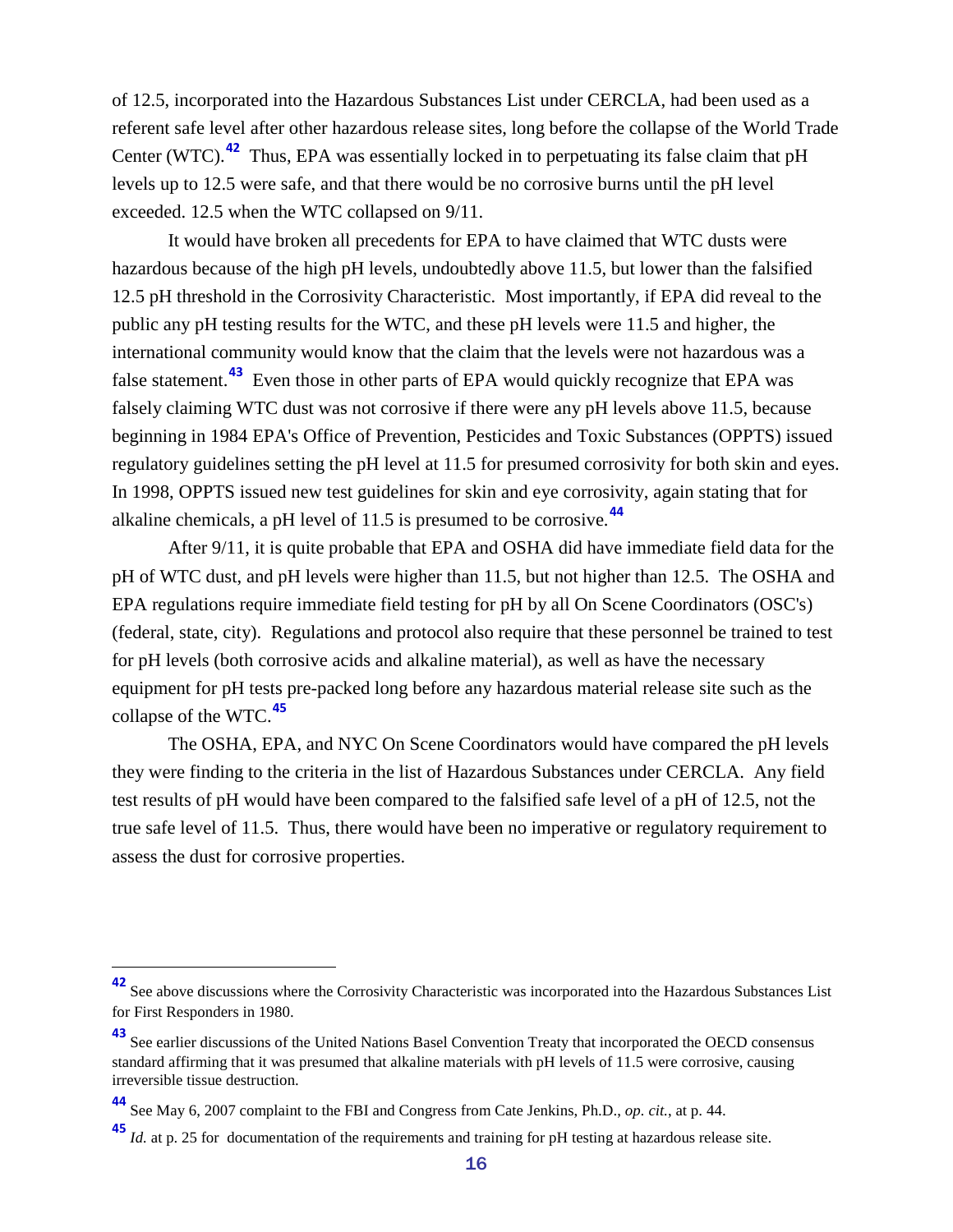of 12.5, incorporated into the Hazardous Substances List under CERCLA, had been used as a referent safe level after other hazardous release sites, long before the collapse of the World Trade Center (WTC).<sup>[42](#page-15-0)</sup> Thus, EPA was essentially locked in to perpetuating its false claim that pH levels up to 12.5 were safe, and that there would be no corrosive burns until the pH level exceeded. 12.5 when the WTC collapsed on 9/11.

It would have broken all precedents for EPA to have claimed that WTC dusts were hazardous because of the high pH levels, undoubtedly above 11.5, but lower than the falsified 12.5 pH threshold in the Corrosivity Characteristic. Most importantly, if EPA did reveal to the public any pH testing results for the WTC, and these pH levels were 11.5 and higher, the international community would know that the claim that the levels were not hazardous was a false statement.<sup>[43](#page-15-1)</sup> Even those in other parts of EPA would quickly recognize that EPA was falsely claiming WTC dust was not corrosive if there were any pH levels above 11.5, because beginning in 1984 EPA's Office of Prevention, Pesticides and Toxic Substances (OPPTS) issued regulatory guidelines setting the pH level at 11.5 for presumed corrosivity for both skin and eyes. In 1998, OPPTS issued new test guidelines for skin and eye corrosivity, again stating that for alkaline chemicals, a pH level of 11.5 is presumed to be corrosive.**[44](#page-15-2)**

After 9/11, it is quite probable that EPA and OSHA did have immediate field data for the pH of WTC dust, and pH levels were higher than 11.5, but not higher than 12.5. The OSHA and EPA regulations require immediate field testing for pH by all On Scene Coordinators (OSC's) (federal, state, city). Regulations and protocol also require that these personnel be trained to test for pH levels (both corrosive acids and alkaline material), as well as have the necessary equipment for pH tests pre-packed long before any hazardous material release site such as the collapse of the WTC.**[45](#page-15-3)**

The OSHA, EPA, and NYC On Scene Coordinators would have compared the pH levels they were finding to the criteria in the list of Hazardous Substances under CERCLA. Any field test results of pH would have been compared to the falsified safe level of a pH of 12.5, not the true safe level of 11.5. Thus, there would have been no imperative or regulatory requirement to assess the dust for corrosive properties.

<span id="page-15-0"></span>**<sup>42</sup>** See above discussions where the Corrosivity Characteristic was incorporated into the Hazardous Substances List for First Responders in 1980.

<span id="page-15-1"></span>**<sup>43</sup>** See earlier discussions of the United Nations Basel Convention Treaty that incorporated the OECD consensus standard affirming that it was presumed that alkaline materials with pH levels of 11.5 were corrosive, causing irreversible tissue destruction.

<span id="page-15-2"></span>**<sup>44</sup>** See May 6, 2007 complaint to the FBI and Congress from Cate Jenkins, Ph.D., *op. cit.*, at p. 44.

<span id="page-15-3"></span>**<sup>45</sup>** *Id.* at p. 25 for documentation of the requirements and training for pH testing at hazardous release site.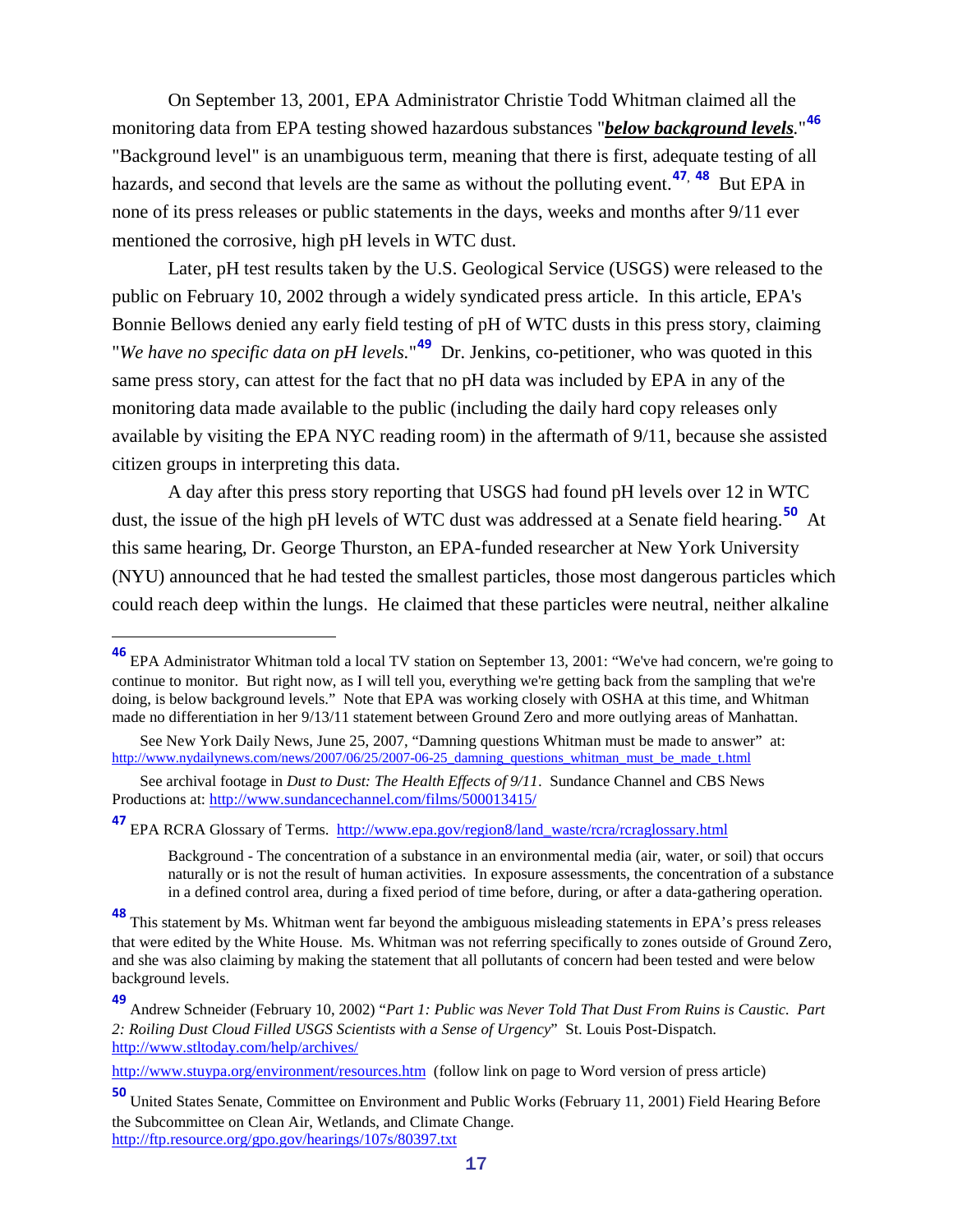On September 13, 2001, EPA Administrator Christie Todd Whitman claimed all the monitoring data from EPA testing showed hazardous substances "*below background levels.*" **[46](#page-16-0)** "Background level" is an unambiguous term, meaning that there is first, adequate testing of all hazards, and second that levels are the same as without the polluting event.**[47](#page-16-1)**, **[48](#page-16-2)** But EPA in none of its press releases or public statements in the days, weeks and months after 9/11 ever mentioned the corrosive, high pH levels in WTC dust.

Later, pH test results taken by the U.S. Geological Service (USGS) were released to the public on February 10, 2002 through a widely syndicated press article. In this article, EPA's Bonnie Bellows denied any early field testing of pH of WTC dusts in this press story, claiming "*We have no specific data on pH levels*."<sup>[49](#page-16-3)</sup> Dr. Jenkins, co-petitioner, who was quoted in this same press story, can attest for the fact that no pH data was included by EPA in any of the monitoring data made available to the public (including the daily hard copy releases only available by visiting the EPA NYC reading room) in the aftermath of 9/11, because she assisted citizen groups in interpreting this data.

A day after this press story reporting that USGS had found pH levels over 12 in WTC dust, the issue of the high pH levels of WTC dust was addressed at a Senate field hearing. **[50](#page-16-4)** At this same hearing, Dr. George Thurston, an EPA-funded researcher at New York University (NYU) announced that he had tested the smallest particles, those most dangerous particles which could reach deep within the lungs. He claimed that these particles were neutral, neither alkaline

<span id="page-16-1"></span>**<sup>47</sup>** EPA RCRA Glossary of Terms. [http://www.epa.gov/region8/land\\_waste/rcra/rcraglossary.html](http://www.epa.gov/region8/land_waste/rcra/rcraglossary.html)

<span id="page-16-0"></span>**<sup>46</sup>** EPA Administrator Whitman told a local TV station on September 13, 2001: "We've had concern, we're going to continue to monitor. But right now, as I will tell you, everything we're getting back from the sampling that we're doing, is below background levels." Note that EPA was working closely with OSHA at this time, and Whitman made no differentiation in her 9/13/11 statement between Ground Zero and more outlying areas of Manhattan.

See New York Daily News, June 25, 2007, "Damning questions Whitman must be made to answer" at: [http://www.nydailynews.com/news/2007/06/25/2007-06-25\\_damning\\_questions\\_whitman\\_must\\_be\\_made\\_t.html](http://www.nydailynews.com/news/2007/06/25/2007-06-25_damning_questions_whitman_must_be_made_t.html)

See archival footage in *Dust to Dust: The Health Effects of 9/11*. Sundance Channel and CBS News Productions at:<http://www.sundancechannel.com/films/500013415/>

Background - The concentration of a substance in an environmental media (air, water, or soil) that occurs naturally or is not the result of human activities. In exposure assessments, the concentration of a substance in a defined control area, during a fixed period of time before, during, or after a data-gathering operation.

<span id="page-16-2"></span>**<sup>48</sup>** This statement by Ms. Whitman went far beyond the ambiguous misleading statements in EPA's press releases that were edited by the White House. Ms. Whitman was not referring specifically to zones outside of Ground Zero, and she was also claiming by making the statement that all pollutants of concern had been tested and were below background levels.

<span id="page-16-3"></span>**<sup>49</sup>** Andrew Schneider (February 10, 2002) "*Part 1: Public was Never Told That Dust From Ruins is Caustic. Part 2: Roiling Dust Cloud Filled USGS Scientists with a Sense of Urgency*" St. Louis Post-Dispatch. <http://www.stltoday.com/help/archives/>

<http://www.stuypa.org/environment/resources.htm>(follow link on page to Word version of press article)

<span id="page-16-4"></span>**<sup>50</sup>** United States Senate, Committee on Environment and Public Works (February 11, 2001) Field Hearing Before the Subcommittee on Clean Air, Wetlands, and Climate Change. <http://ftp.resource.org/gpo.gov/hearings/107s/80397.txt>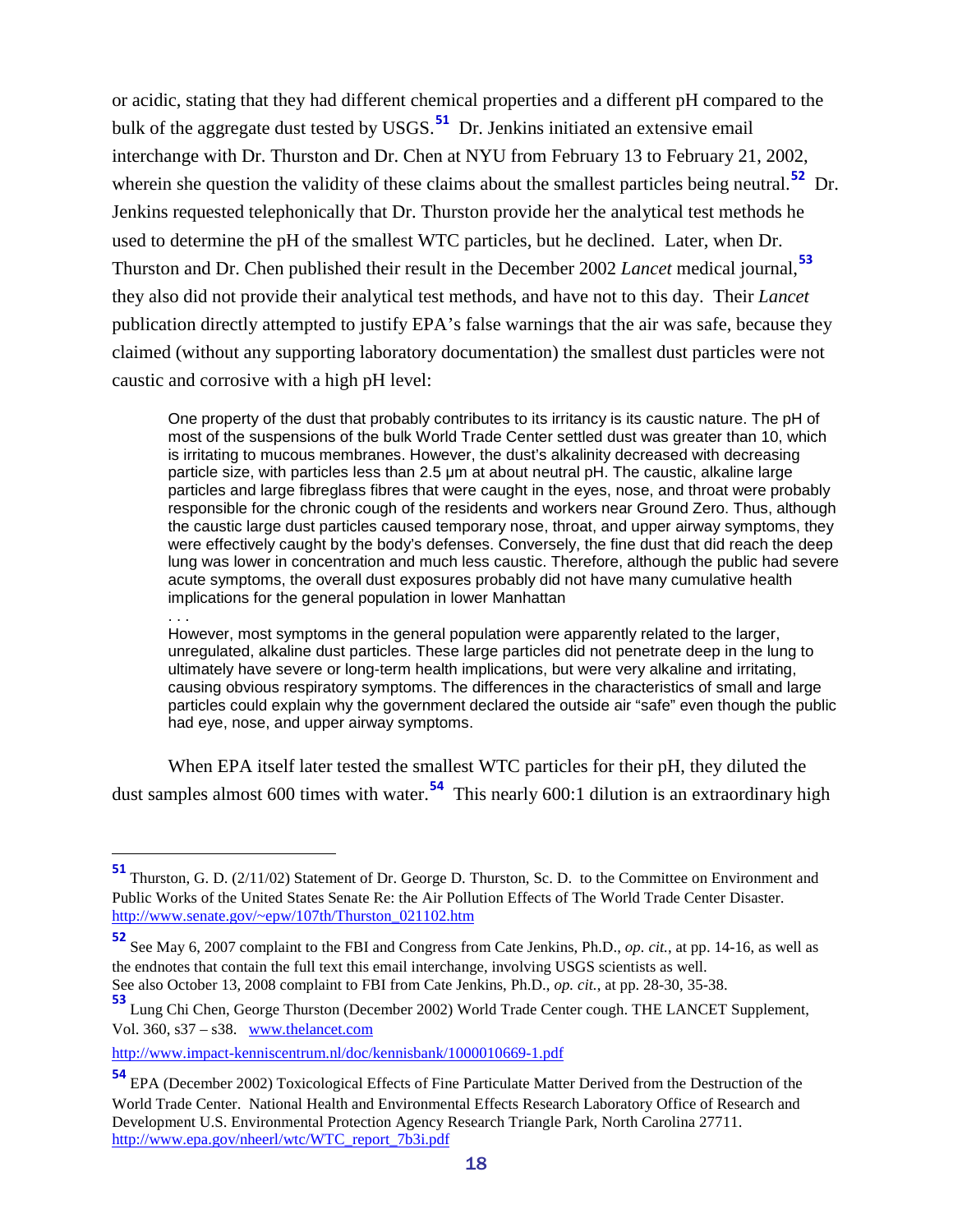or acidic, stating that they had different chemical properties and a different pH compared to the bulk of the aggregate dust tested by USGS.**[51](#page-17-0)** Dr. Jenkins initiated an extensive email interchange with Dr. Thurston and Dr. Chen at NYU from February 13 to February 21, 2002, wherein she question the validity of these claims about the smallest particles being neutral.<sup>[52](#page-17-1)</sup> Dr. Jenkins requested telephonically that Dr. Thurston provide her the analytical test methods he used to determine the pH of the smallest WTC particles, but he declined. Later, when Dr. Thurston and Dr. Chen published their result in the December 2002 *Lancet* medical journal,**[53](#page-17-2)** they also did not provide their analytical test methods, and have not to this day. Their *Lancet* publication directly attempted to justify EPA's false warnings that the air was safe, because they claimed (without any supporting laboratory documentation) the smallest dust particles were not caustic and corrosive with a high pH level:

One property of the dust that probably contributes to its irritancy is its caustic nature. The pH of most of the suspensions of the bulk World Trade Center settled dust was greater than 10, which is irritating to mucous membranes. However, the dust's alkalinity decreased with decreasing particle size, with particles less than 2.5 μm at about neutral pH. The caustic, alkaline large particles and large fibreglass fibres that were caught in the eyes, nose, and throat were probably responsible for the chronic cough of the residents and workers near Ground Zero. Thus, although the caustic large dust particles caused temporary nose, throat, and upper airway symptoms, they were effectively caught by the body's defenses. Conversely, the fine dust that did reach the deep lung was lower in concentration and much less caustic. Therefore, although the public had severe acute symptoms, the overall dust exposures probably did not have many cumulative health implications for the general population in lower Manhattan . . .

However, most symptoms in the general population were apparently related to the larger, unregulated, alkaline dust particles. These large particles did not penetrate deep in the lung to ultimately have severe or long-term health implications, but were very alkaline and irritating, causing obvious respiratory symptoms. The differences in the characteristics of small and large particles could explain why the government declared the outside air "safe" even though the public had eye, nose, and upper airway symptoms.

When EPA itself later tested the smallest WTC particles for their pH, they diluted the dust samples almost 600 times with water.**[54](#page-17-3)** This nearly 600:1 dilution is an extraordinary high

<span id="page-17-0"></span>**<sup>51</sup>** Thurston, G. D. (2/11/02) Statement of Dr. George D. Thurston, Sc. D. to the Committee on Environment and Public Works of the United States Senate Re: the Air Pollution Effects of The World Trade Center Disaster. [http://www.senate.gov/~epw/107th/Thurston\\_021102.htm](http://www.senate.gov/~epw/107th/Thurston_021102.htm)

<span id="page-17-1"></span>**<sup>52</sup>** See May 6, 2007 complaint to the FBI and Congress from Cate Jenkins, Ph.D., *op. cit.*, at pp. 14-16, as well as the endnotes that contain the full text this email interchange, involving USGS scientists as well. See also October 13, 2008 complaint to FBI from Cate Jenkins, Ph.D., *op. cit.*, at pp. 28-30, 35-38.

<span id="page-17-2"></span>**<sup>53</sup>** Lung Chi Chen, George Thurston (December 2002) World Trade Center cough. THE LANCET Supplement, Vol. 360, s37 – s38. [www.thelancet.com](http://www.thelancet.com/)

<http://www.impact-kenniscentrum.nl/doc/kennisbank/1000010669-1.pdf>

<span id="page-17-3"></span>**<sup>54</sup>** EPA (December 2002) Toxicological Effects of Fine Particulate Matter Derived from the Destruction of the World Trade Center. National Health and Environmental Effects Research Laboratory Office of Research and Development U.S. Environmental Protection Agency Research Triangle Park, North Carolina 27711. [http://www.epa.gov/nheerl/wtc/WTC\\_report\\_7b3i.pdf](http://www.epa.gov/nheerl/wtc/WTC_report_7b3i.pdf)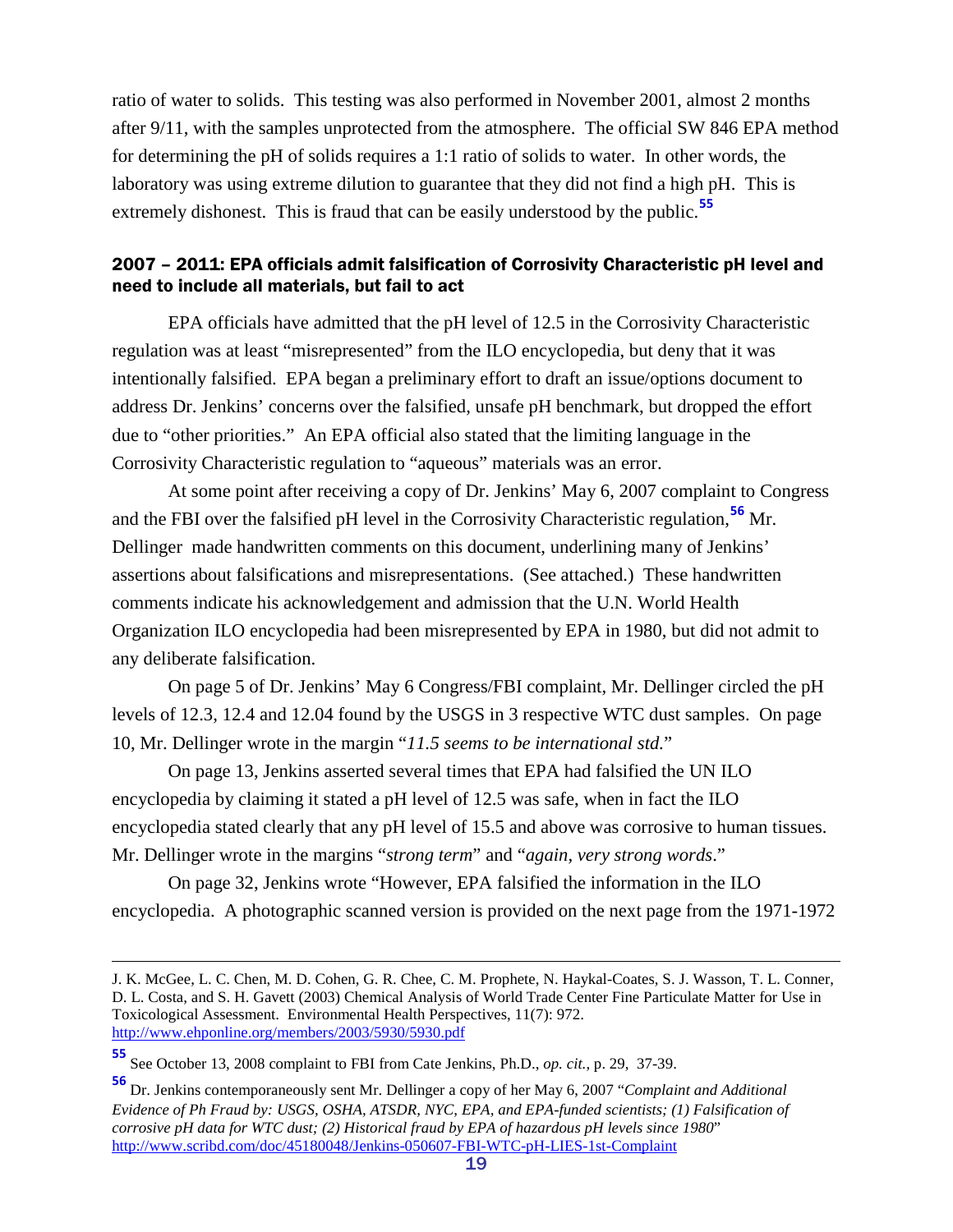ratio of water to solids. This testing was also performed in November 2001, almost 2 months after 9/11, with the samples unprotected from the atmosphere. The official SW 846 EPA method for determining the pH of solids requires a 1:1 ratio of solids to water. In other words, the laboratory was using extreme dilution to guarantee that they did not find a high pH. This is extremely dishonest. This is fraud that can be easily understood by the public.**[55](#page-18-1)**

#### <span id="page-18-0"></span>2007 – 2011: EPA officials admit falsification of Corrosivity Characteristic pH level and need to include all materials, but fail to act

EPA officials have admitted that the pH level of 12.5 in the Corrosivity Characteristic regulation was at least "misrepresented" from the ILO encyclopedia, but deny that it was intentionally falsified. EPA began a preliminary effort to draft an issue/options document to address Dr. Jenkins' concerns over the falsified, unsafe pH benchmark, but dropped the effort due to "other priorities." An EPA official also stated that the limiting language in the Corrosivity Characteristic regulation to "aqueous" materials was an error.

At some point after receiving a copy of Dr. Jenkins' May 6, 2007 complaint to Congress and the FBI over the falsified pH level in the Corrosivity Characteristic regulation,**[56](#page-18-2)** Mr. Dellinger made handwritten comments on this document, underlining many of Jenkins' assertions about falsifications and misrepresentations. (See attached.) These handwritten comments indicate his acknowledgement and admission that the U.N. World Health Organization ILO encyclopedia had been misrepresented by EPA in 1980, but did not admit to any deliberate falsification.

On page 5 of Dr. Jenkins' May 6 Congress/FBI complaint, Mr. Dellinger circled the pH levels of 12.3, 12.4 and 12.04 found by the USGS in 3 respective WTC dust samples. On page 10, Mr. Dellinger wrote in the margin "*11.5 seems to be international std.*"

On page 13, Jenkins asserted several times that EPA had falsified the UN ILO encyclopedia by claiming it stated a pH level of 12.5 was safe, when in fact the ILO encyclopedia stated clearly that any pH level of 15.5 and above was corrosive to human tissues. Mr. Dellinger wrote in the margins "*strong term*" and "*again, very strong words*."

On page 32, Jenkins wrote "However, EPA falsified the information in the ILO encyclopedia. A photographic scanned version is provided on the next page from the 1971-1972

 $\overline{a}$ 

J. K. McGee, L. C. Chen, M. D. Cohen, G. R. Chee, C. M. Prophete, N. Haykal-Coates, S. J. Wasson, T. L. Conner, D. L. Costa, and S. H. Gavett (2003) Chemical Analysis of World Trade Center Fine Particulate Matter for Use in Toxicological Assessment. Environmental Health Perspectives, 11(7): 972. <http://www.ehponline.org/members/2003/5930/5930.pdf>

<span id="page-18-1"></span>**<sup>55</sup>** See October 13, 2008 complaint to FBI from Cate Jenkins, Ph.D., *op. cit.*, p. 29, 37-39.

<span id="page-18-2"></span>**<sup>56</sup>** Dr. Jenkins contemporaneously sent Mr. Dellinger a copy of her May 6, 2007 "*Complaint and Additional Evidence of Ph Fraud by: USGS, OSHA, ATSDR, NYC, EPA, and EPA-funded scientists; (1) Falsification of corrosive pH data for WTC dust; (2) Historical fraud by EPA of hazardous pH levels since 1980*" <http://www.scribd.com/doc/45180048/Jenkins-050607-FBI-WTC-pH-LIES-1st-Complaint>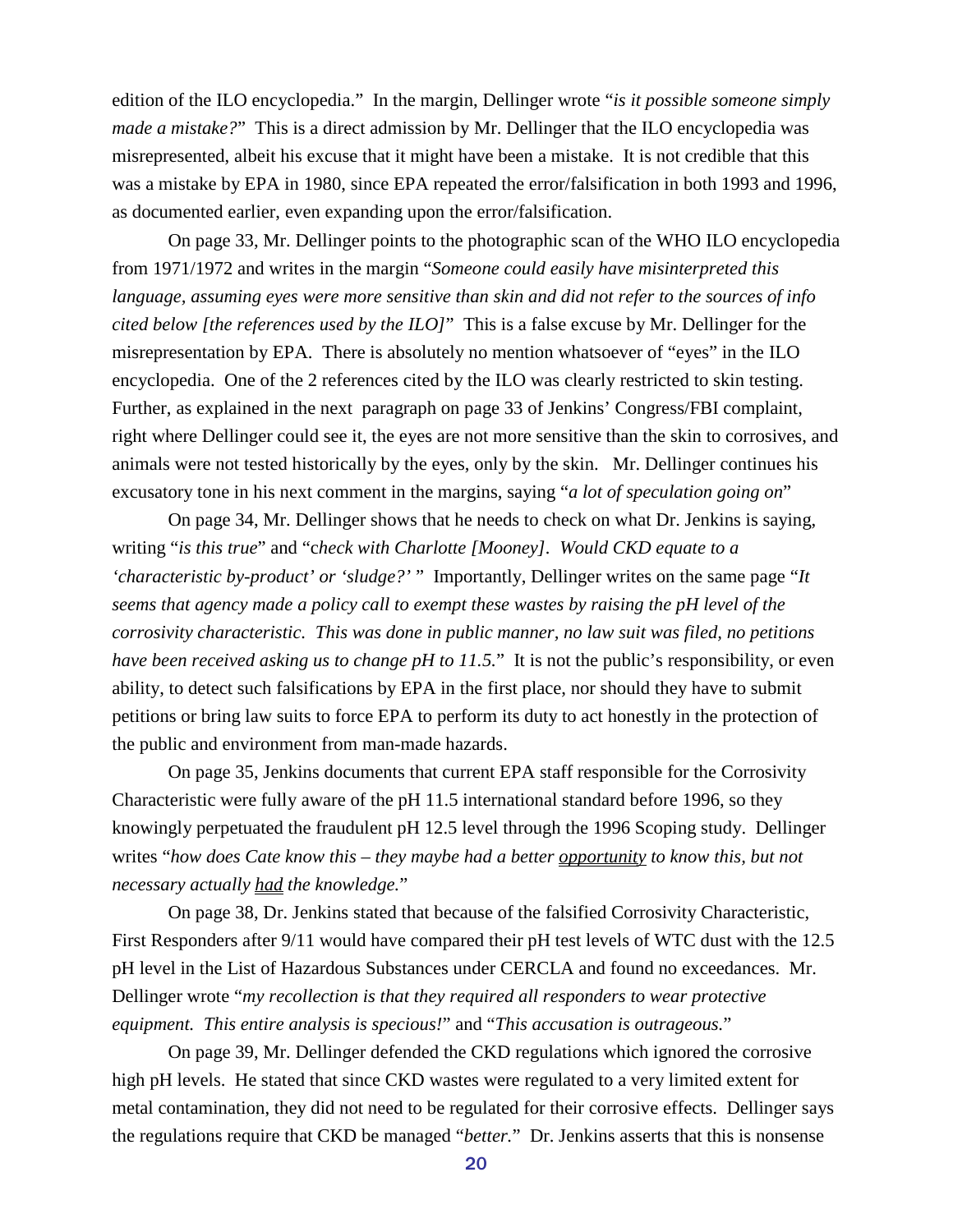edition of the ILO encyclopedia." In the margin, Dellinger wrote "*is it possible someone simply made a mistake?*" This is a direct admission by Mr. Dellinger that the ILO encyclopedia was misrepresented, albeit his excuse that it might have been a mistake. It is not credible that this was a mistake by EPA in 1980, since EPA repeated the error/falsification in both 1993 and 1996, as documented earlier, even expanding upon the error/falsification.

On page 33, Mr. Dellinger points to the photographic scan of the WHO ILO encyclopedia from 1971/1972 and writes in the margin "*Someone could easily have misinterpreted this language, assuming eyes were more sensitive than skin and did not refer to the sources of info cited below [the references used by the ILO]*" This is a false excuse by Mr. Dellinger for the misrepresentation by EPA. There is absolutely no mention whatsoever of "eyes" in the ILO encyclopedia. One of the 2 references cited by the ILO was clearly restricted to skin testing. Further, as explained in the next paragraph on page 33 of Jenkins' Congress/FBI complaint, right where Dellinger could see it, the eyes are not more sensitive than the skin to corrosives, and animals were not tested historically by the eyes, only by the skin. Mr. Dellinger continues his excusatory tone in his next comment in the margins, saying "*a lot of speculation going on*"

On page 34, Mr. Dellinger shows that he needs to check on what Dr. Jenkins is saying, writing "*is this true*" and "c*heck with Charlotte [Mooney]. Would CKD equate to a 'characteristic by-product' or 'sludge?'* " Importantly, Dellinger writes on the same page "*It seems that agency made a policy call to exempt these wastes by raising the pH level of the corrosivity characteristic. This was done in public manner, no law suit was filed, no petitions have been received asking us to change pH to 11.5.*" It is not the public's responsibility, or even ability, to detect such falsifications by EPA in the first place, nor should they have to submit petitions or bring law suits to force EPA to perform its duty to act honestly in the protection of the public and environment from man-made hazards.

On page 35, Jenkins documents that current EPA staff responsible for the Corrosivity Characteristic were fully aware of the pH 11.5 international standard before 1996, so they knowingly perpetuated the fraudulent pH 12.5 level through the 1996 Scoping study. Dellinger writes "*how does Cate know this – they maybe had a better opportunity to know this, but not necessary actually had the knowledge.*"

On page 38, Dr. Jenkins stated that because of the falsified Corrosivity Characteristic, First Responders after 9/11 would have compared their pH test levels of WTC dust with the 12.5 pH level in the List of Hazardous Substances under CERCLA and found no exceedances. Mr. Dellinger wrote "*my recollection is that they required all responders to wear protective equipment. This entire analysis is specious!*" and "*This accusation is outrageous.*"

On page 39, Mr. Dellinger defended the CKD regulations which ignored the corrosive high pH levels. He stated that since CKD wastes were regulated to a very limited extent for metal contamination, they did not need to be regulated for their corrosive effects. Dellinger says the regulations require that CKD be managed "*better.*" Dr. Jenkins asserts that this is nonsense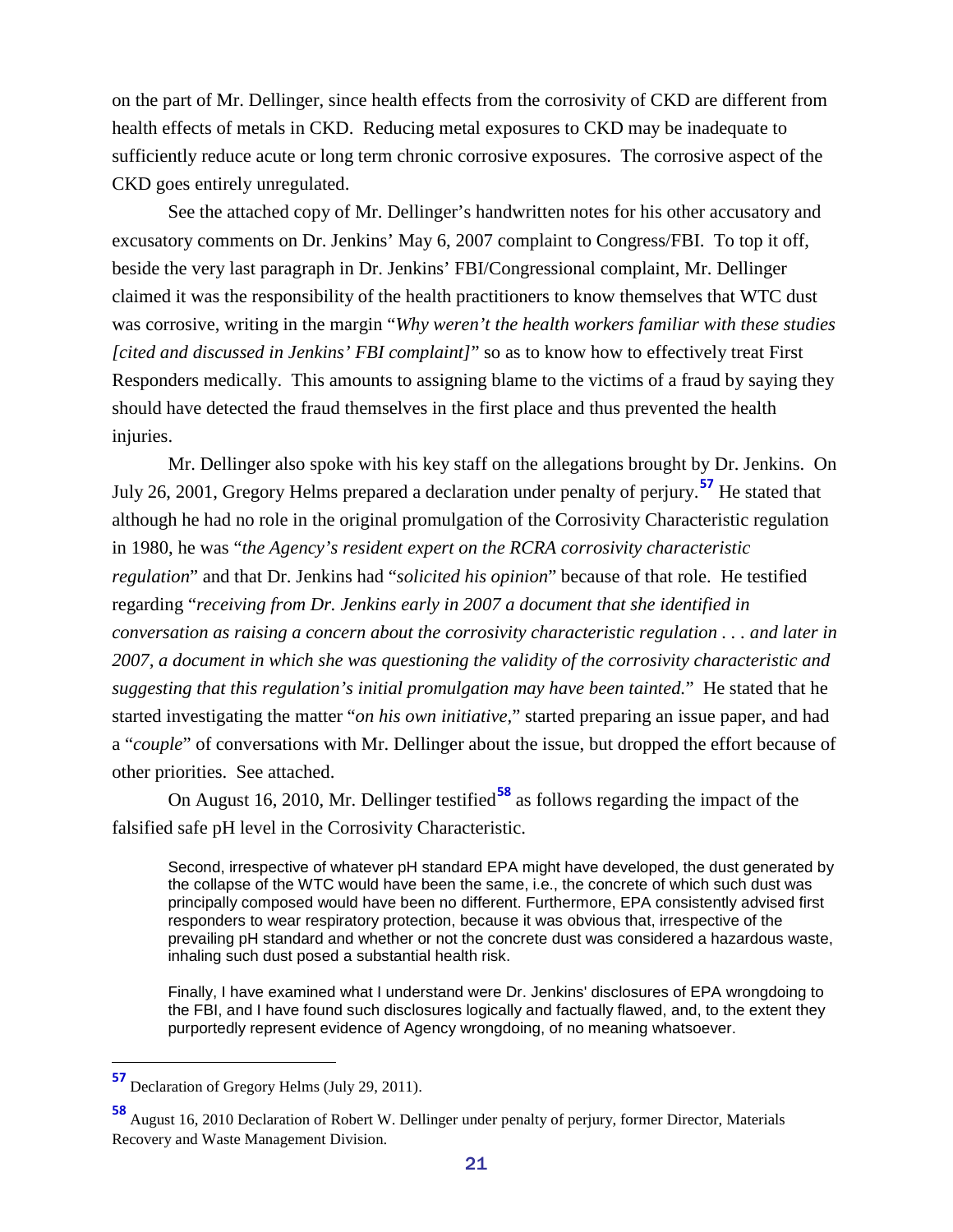on the part of Mr. Dellinger, since health effects from the corrosivity of CKD are different from health effects of metals in CKD. Reducing metal exposures to CKD may be inadequate to sufficiently reduce acute or long term chronic corrosive exposures. The corrosive aspect of the CKD goes entirely unregulated.

See the attached copy of Mr. Dellinger's handwritten notes for his other accusatory and excusatory comments on Dr. Jenkins' May 6, 2007 complaint to Congress/FBI. To top it off, beside the very last paragraph in Dr. Jenkins' FBI/Congressional complaint, Mr. Dellinger claimed it was the responsibility of the health practitioners to know themselves that WTC dust was corrosive, writing in the margin "*Why weren't the health workers familiar with these studies [cited and discussed in Jenkins' FBI complaint]*" so as to know how to effectively treat First Responders medically. This amounts to assigning blame to the victims of a fraud by saying they should have detected the fraud themselves in the first place and thus prevented the health injuries.

Mr. Dellinger also spoke with his key staff on the allegations brought by Dr. Jenkins. On July 26, 2001, Gregory Helms prepared a declaration under penalty of perjury. **[57](#page-20-0)** He stated that although he had no role in the original promulgation of the Corrosivity Characteristic regulation in 1980, he was "*the Agency's resident expert on the RCRA corrosivity characteristic regulation*" and that Dr. Jenkins had "*solicited his opinion*" because of that role. He testified regarding "*receiving from Dr. Jenkins early in 2007 a document that she identified in conversation as raising a concern about the corrosivity characteristic regulation . . . and later in 2007, a document in which she was questioning the validity of the corrosivity characteristic and suggesting that this regulation's initial promulgation may have been tainted.*" He stated that he started investigating the matter "*on his own initiative,*" started preparing an issue paper, and had a "*couple*" of conversations with Mr. Dellinger about the issue, but dropped the effort because of other priorities. See attached.

On August 16, 2010, Mr. Dellinger testified **[58](#page-20-1)** as follows regarding the impact of the falsified safe pH level in the Corrosivity Characteristic.

Second, irrespective of whatever pH standard EPA might have developed, the dust generated by the collapse of the WTC would have been the same, i.e., the concrete of which such dust was principally composed would have been no different. Furthermore, EPA consistently advised first responders to wear respiratory protection, because it was obvious that, irrespective of the prevailing pH standard and whether or not the concrete dust was considered a hazardous waste, inhaling such dust posed a substantial health risk.

Finally, I have examined what I understand were Dr. Jenkins' disclosures of EPA wrongdoing to the FBI, and I have found such disclosures logically and factually flawed, and, to the extent they purportedly represent evidence of Agency wrongdoing, of no meaning whatsoever.

<span id="page-20-0"></span>**<sup>57</sup>** Declaration of Gregory Helms (July 29, 2011).

<span id="page-20-1"></span>**<sup>58</sup>** August 16, 2010 Declaration of Robert W. Dellinger under penalty of perjury, former Director, Materials Recovery and Waste Management Division.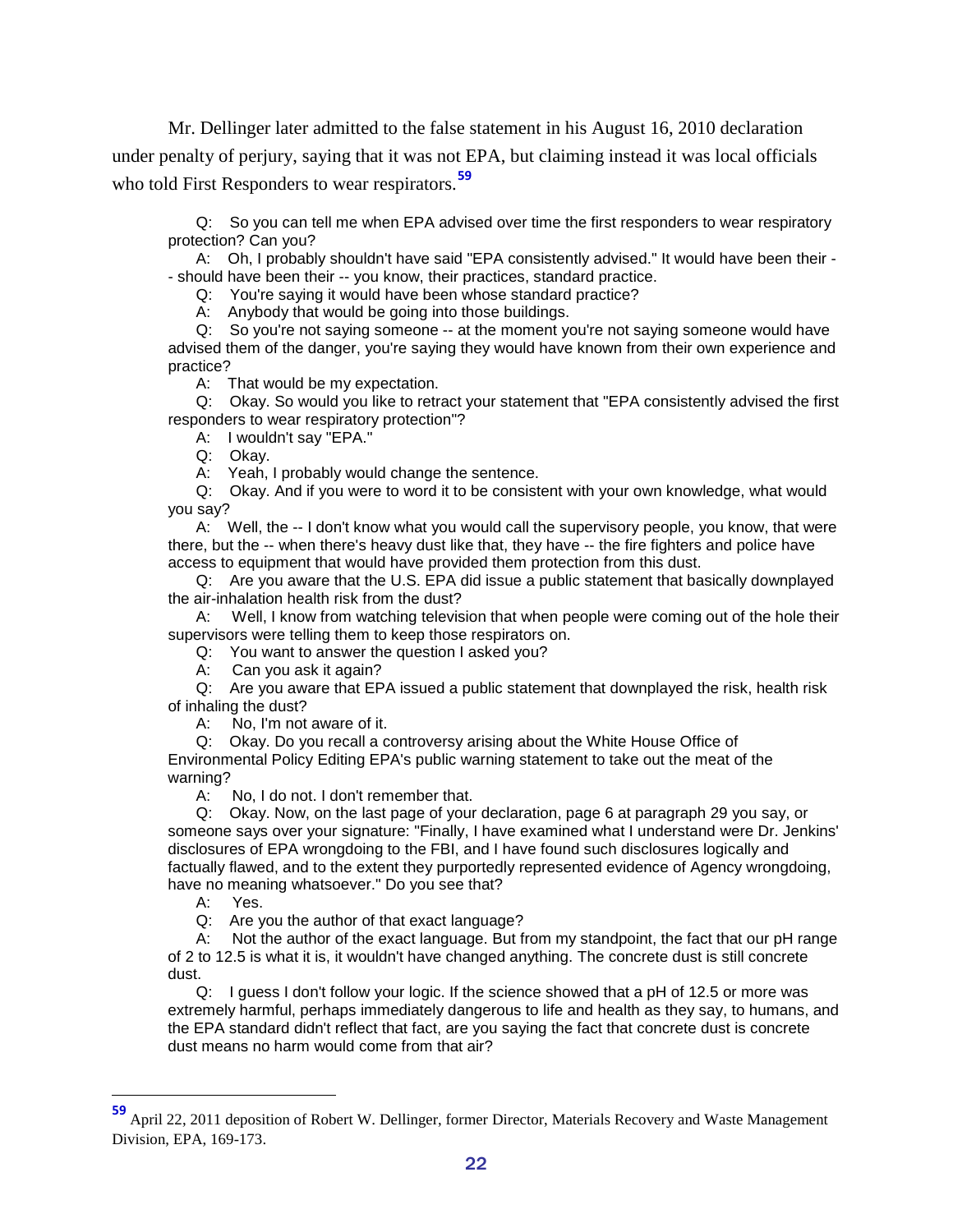Mr. Dellinger later admitted to the false statement in his August 16, 2010 declaration under penalty of perjury, saying that it was not EPA, but claiming instead it was local officials who told First Responders to wear respirators.**[59](#page-21-0)**

Q: So you can tell me when EPA advised over time the first responders to wear respiratory protection? Can you?

A: Oh, I probably shouldn't have said "EPA consistently advised." It would have been their - - should have been their -- you know, their practices, standard practice.

Q: You're saying it would have been whose standard practice?

A: Anybody that would be going into those buildings.

Q: So you're not saying someone -- at the moment you're not saying someone would have advised them of the danger, you're saying they would have known from their own experience and practice?

A: That would be my expectation.

Q: Okay. So would you like to retract your statement that "EPA consistently advised the first responders to wear respiratory protection"?

A: I wouldn't say "EPA."

Q: Okay.

A: Yeah, I probably would change the sentence.

Q: Okay. And if you were to word it to be consistent with your own knowledge, what would you say?

A: Well, the -- I don't know what you would call the supervisory people, you know, that were there, but the -- when there's heavy dust like that, they have -- the fire fighters and police have access to equipment that would have provided them protection from this dust.

Q: Are you aware that the U.S. EPA did issue a public statement that basically downplayed the air-inhalation health risk from the dust?

A: Well, I know from watching television that when people were coming out of the hole their supervisors were telling them to keep those respirators on.

Q: You want to answer the question I asked you?

A: Can you ask it again?

Q: Are you aware that EPA issued a public statement that downplayed the risk, health risk of inhaling the dust?

A: No, I'm not aware of it.

Q: Okay. Do you recall a controversy arising about the White House Office of Environmental Policy Editing EPA's public warning statement to take out the meat of the warning?<br>A:

No, I do not. I don't remember that.

Q: Okay. Now, on the last page of your declaration, page 6 at paragraph 29 you say, or someone says over your signature: "Finally, I have examined what I understand were Dr. Jenkins' disclosures of EPA wrongdoing to the FBI, and I have found such disclosures logically and factually flawed, and to the extent they purportedly represented evidence of Agency wrongdoing, have no meaning whatsoever." Do you see that?

A: Yes.

Q: Are you the author of that exact language?

A: Not the author of the exact language. But from my standpoint, the fact that our pH range of 2 to 12.5 is what it is, it wouldn't have changed anything. The concrete dust is still concrete dust.

Q: I guess I don't follow your logic. If the science showed that a pH of 12.5 or more was extremely harmful, perhaps immediately dangerous to life and health as they say, to humans, and the EPA standard didn't reflect that fact, are you saying the fact that concrete dust is concrete dust means no harm would come from that air?

<span id="page-21-0"></span>**<sup>59</sup>** April 22, 2011 deposition of Robert W. Dellinger, former Director, Materials Recovery and Waste Management Division, EPA, 169-173.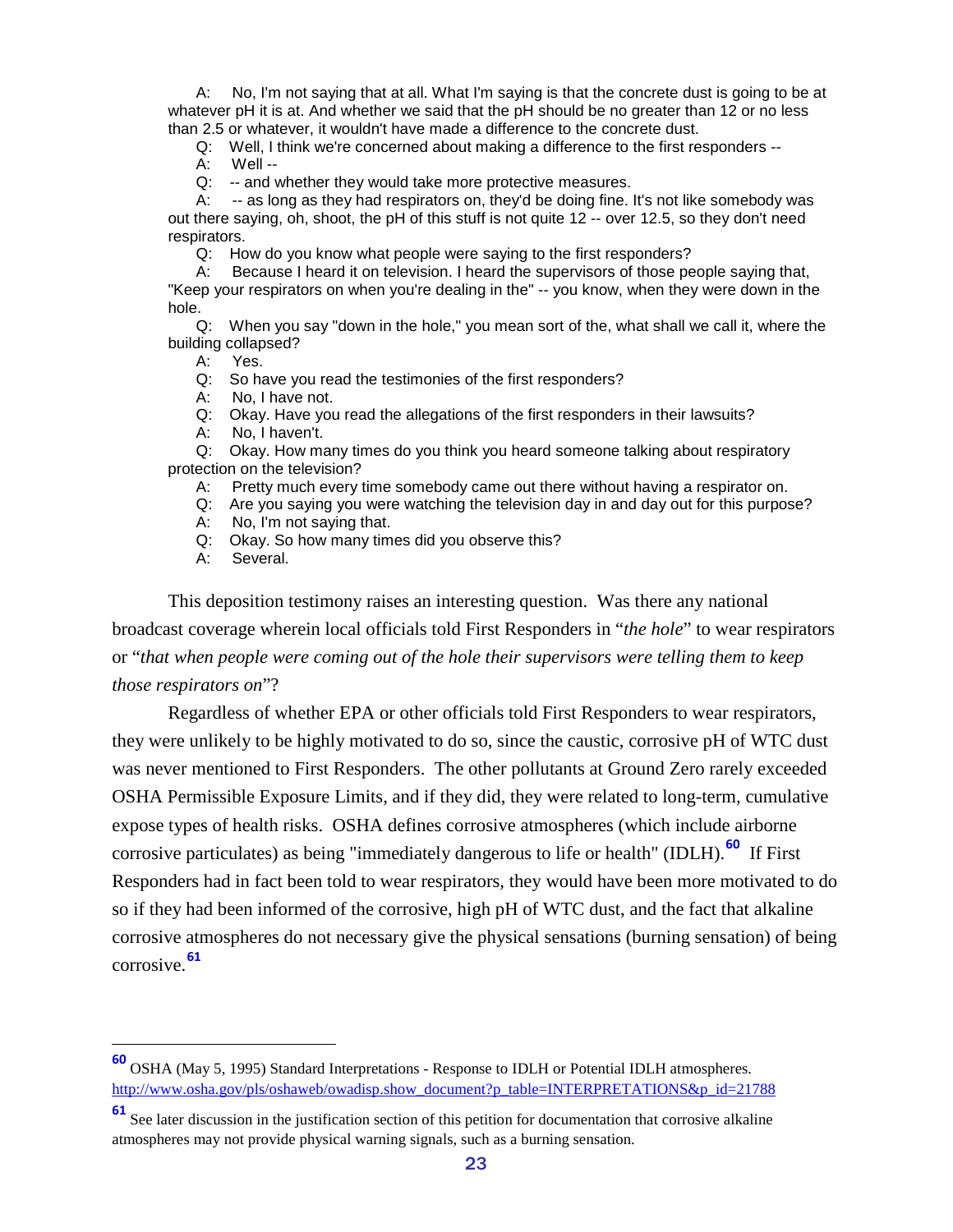A: No, I'm not saying that at all. What I'm saying is that the concrete dust is going to be at whatever pH it is at. And whether we said that the pH should be no greater than 12 or no less than 2.5 or whatever, it wouldn't have made a difference to the concrete dust.

Q: Well, I think we're concerned about making a difference to the first responders --

A: Well --

Q: -- and whether they would take more protective measures.

A: -- as long as they had respirators on, they'd be doing fine. It's not like somebody was out there saying, oh, shoot, the pH of this stuff is not quite 12 -- over 12.5, so they don't need respirators.

Q: How do you know what people were saying to the first responders?

A: Because I heard it on television. I heard the supervisors of those people saying that, "Keep your respirators on when you're dealing in the" -- you know, when they were down in the hole.

Q: When you say "down in the hole," you mean sort of the, what shall we call it, where the building collapsed?

A: Yes.

Q: So have you read the testimonies of the first responders?

A: No, I have not.

Q: Okay. Have you read the allegations of the first responders in their lawsuits?

A: No, I haven't.

Q: Okay. How many times do you think you heard someone talking about respiratory protection on the television?

A: Pretty much every time somebody came out there without having a respirator on.

Q: Are you saying you were watching the television day in and day out for this purpose?

A: No, I'm not saying that.

Q: Okay. So how many times did you observe this?

A: Several.

This deposition testimony raises an interesting question. Was there any national broadcast coverage wherein local officials told First Responders in "*the hole*" to wear respirators or "*that when people were coming out of the hole their supervisors were telling them to keep those respirators on*"?

Regardless of whether EPA or other officials told First Responders to wear respirators, they were unlikely to be highly motivated to do so, since the caustic, corrosive pH of WTC dust was never mentioned to First Responders. The other pollutants at Ground Zero rarely exceeded OSHA Permissible Exposure Limits, and if they did, they were related to long-term, cumulative expose types of health risks. OSHA defines corrosive atmospheres (which include airborne corrosive particulates) as being "immediately dangerous to life or health" (IDLH).**[60](#page-22-0)** If First Responders had in fact been told to wear respirators, they would have been more motivated to do so if they had been informed of the corrosive, high pH of WTC dust, and the fact that alkaline corrosive atmospheres do not necessary give the physical sensations (burning sensation) of being corrosive.**[61](#page-22-1)**

<span id="page-22-0"></span>**<sup>60</sup>** OSHA (May 5, 1995) Standard Interpretations - Response to IDLH or Potential IDLH atmospheres. [http://www.osha.gov/pls/oshaweb/owadisp.show\\_document?p\\_table=INTERPRETATIONS&p\\_id=21788](http://www.osha.gov/pls/oshaweb/owadisp.show_document?p_table=INTERPRETATIONS&p_id=21788)

<span id="page-22-1"></span>**<sup>61</sup>** See later discussion in the justification section of this petition for documentation that corrosive alkaline atmospheres may not provide physical warning signals, such as a burning sensation.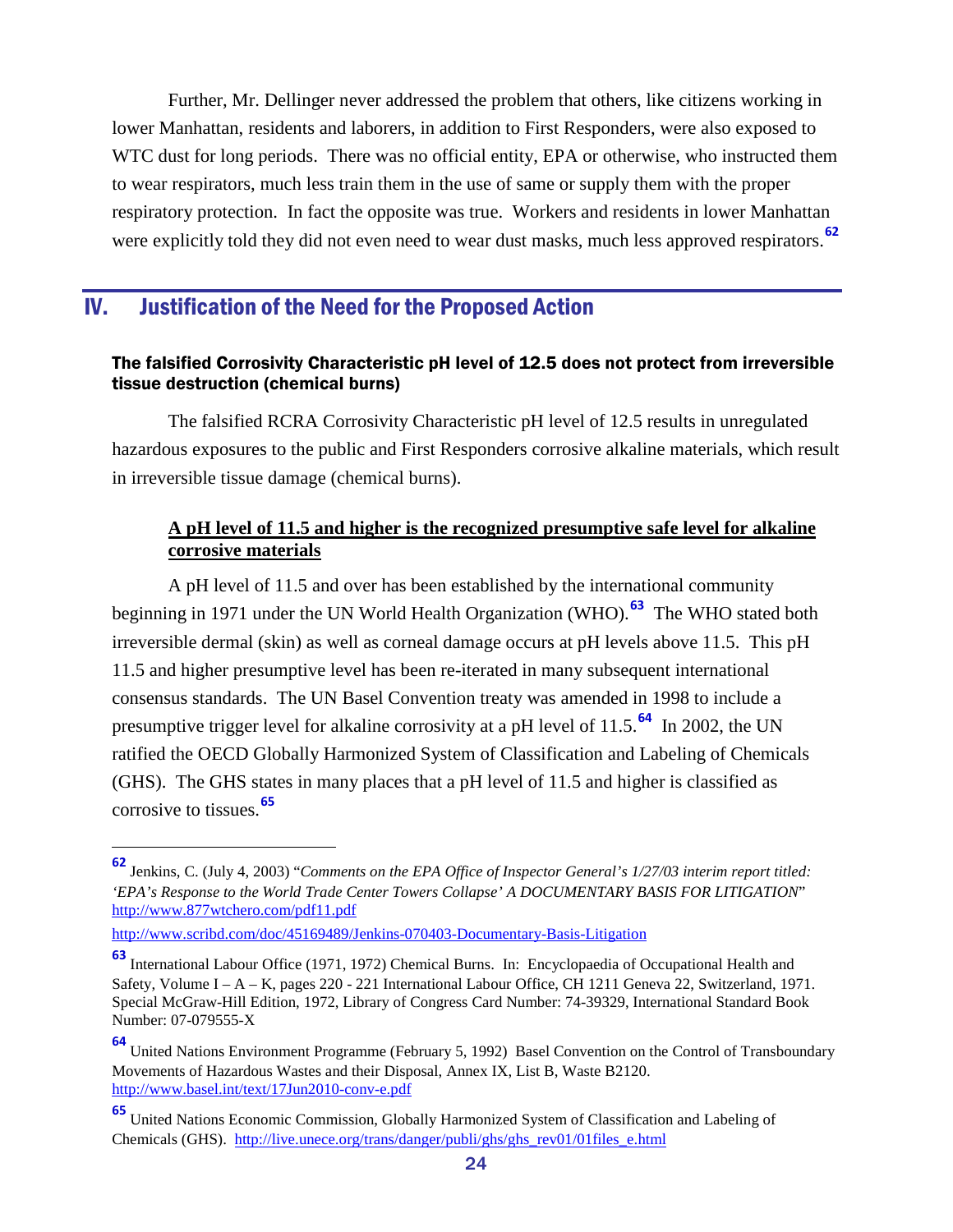Further, Mr. Dellinger never addressed the problem that others, like citizens working in lower Manhattan, residents and laborers, in addition to First Responders, were also exposed to WTC dust for long periods. There was no official entity, EPA or otherwise, who instructed them to wear respirators, much less train them in the use of same or supply them with the proper respiratory protection. In fact the opposite was true. Workers and residents in lower Manhattan were explicitly told they did not even need to wear dust masks, much less approved respirators.**[62](#page-23-3)**

## <span id="page-23-0"></span>IV. Justification of the Need for the Proposed Action

#### <span id="page-23-1"></span>The falsified Corrosivity Characteristic pH level of 12.5 does not protect from irreversible tissue destruction (chemical burns)

The falsified RCRA Corrosivity Characteristic pH level of 12.5 results in unregulated hazardous exposures to the public and First Responders corrosive alkaline materials, which result in irreversible tissue damage (chemical burns).

#### <span id="page-23-2"></span>**A pH level of 11.5 and higher is the recognized presumptive safe level for alkaline corrosive materials**

A pH level of 11.5 and over has been established by the international community beginning in 1971 under the UN World Health Organization (WHO).**[63](#page-23-4)** The WHO stated both irreversible dermal (skin) as well as corneal damage occurs at pH levels above 11.5. This pH 11.5 and higher presumptive level has been re-iterated in many subsequent international consensus standards. The UN Basel Convention treaty was amended in 1998 to include a presumptive trigger level for alkaline corrosivity at a pH level of 11.5.**[64](#page-23-5)** In 2002, the UN ratified the OECD Globally Harmonized System of Classification and Labeling of Chemicals (GHS). The GHS states in many places that a pH level of 11.5 and higher is classified as corrosive to tissues.**[65](#page-23-6)**

<http://www.scribd.com/doc/45169489/Jenkins-070403-Documentary-Basis-Litigation>

<span id="page-23-3"></span>**<sup>62</sup>** Jenkins, C. (July 4, 2003) "*Comments on the EPA Office of Inspector General's 1/27/03 interim report titled: 'EPA's Response to the World Trade Center Towers Collapse' A DOCUMENTARY BASIS FOR LITIGATION*" <http://www.877wtchero.com/pdf11.pdf>

<span id="page-23-4"></span>**<sup>63</sup>** International Labour Office (1971, 1972) Chemical Burns. In: Encyclopaedia of Occupational Health and Safety, Volume I – A – K, pages 220 - 221 International Labour Office, CH 1211 Geneva 22, Switzerland, 1971. Special McGraw-Hill Edition, 1972, Library of Congress Card Number: 74-39329, International Standard Book Number: 07-079555-X

<span id="page-23-5"></span>**<sup>64</sup>** United Nations Environment Programme (February 5, 1992) Basel Convention on the Control of Transboundary Movements of Hazardous Wastes and their Disposal, Annex IX, List B, Waste B2120. <http://www.basel.int/text/17Jun2010-conv-e.pdf>

<span id="page-23-6"></span>**<sup>65</sup>** United Nations Economic Commission, Globally Harmonized System of Classification and Labeling of Chemicals (GHS). [http://live.unece.org/trans/danger/publi/ghs/ghs\\_rev01/01files\\_e.html](http://live.unece.org/trans/danger/publi/ghs/ghs_rev01/01files_e.html)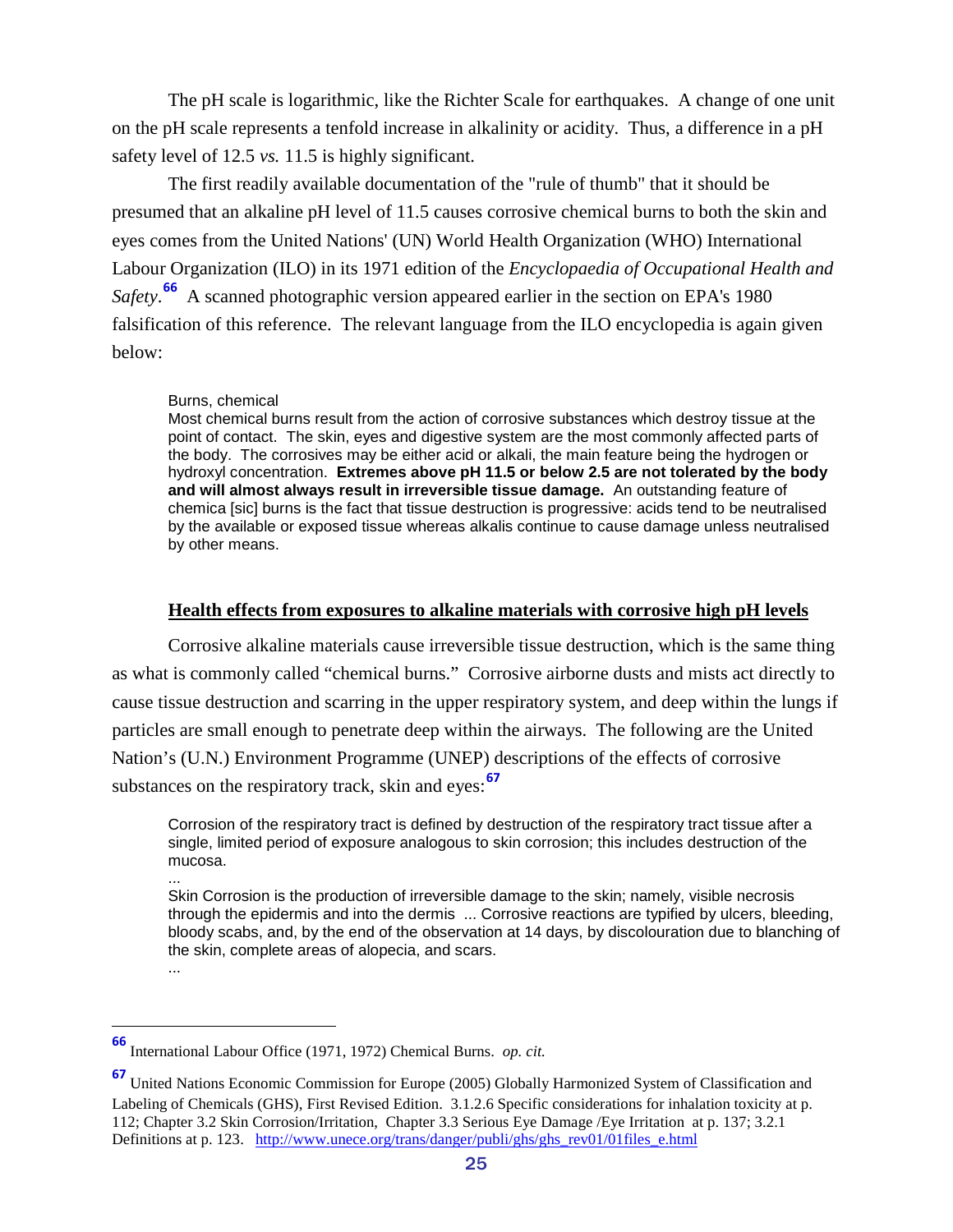The pH scale is logarithmic, like the Richter Scale for earthquakes. A change of one unit on the pH scale represents a tenfold increase in alkalinity or acidity. Thus, a difference in a pH safety level of 12.5 *vs.* 11.5 is highly significant.

The first readily available documentation of the "rule of thumb" that it should be presumed that an alkaline pH level of 11.5 causes corrosive chemical burns to both the skin and eyes comes from the United Nations' (UN) World Health Organization (WHO) International Labour Organization (ILO) in its 1971 edition of the *Encyclopaedia of Occupational Health and Safety*. **[66](#page-24-1)** A scanned photographic version appeared earlier in the section on EPA's 1980 falsification of this reference. The relevant language from the ILO encyclopedia is again given below:

#### Burns, chemical

Most chemical burns result from the action of corrosive substances which destroy tissue at the point of contact. The skin, eyes and digestive system are the most commonly affected parts of the body. The corrosives may be either acid or alkali, the main feature being the hydrogen or hydroxyl concentration. **Extremes above pH 11.5 or below 2.5 are not tolerated by the body and will almost always result in irreversible tissue damage.** An outstanding feature of chemica [sic] burns is the fact that tissue destruction is progressive: acids tend to be neutralised by the available or exposed tissue whereas alkalis continue to cause damage unless neutralised by other means.

#### <span id="page-24-0"></span>**Health effects from exposures to alkaline materials with corrosive high pH levels**

Corrosive alkaline materials cause irreversible tissue destruction, which is the same thing as what is commonly called "chemical burns." Corrosive airborne dusts and mists act directly to cause tissue destruction and scarring in the upper respiratory system, and deep within the lungs if particles are small enough to penetrate deep within the airways. The following are the United Nation's (U.N.) Environment Programme (UNEP) descriptions of the effects of corrosive substances on the respiratory track, skin and eyes:**[67](#page-24-2)**

Corrosion of the respiratory tract is defined by destruction of the respiratory tract tissue after a single, limited period of exposure analogous to skin corrosion; this includes destruction of the mucosa.

... Skin Corrosion is the production of irreversible damage to the skin; namely, visible necrosis through the epidermis and into the dermis ... Corrosive reactions are typified by ulcers, bleeding, bloody scabs, and, by the end of the observation at 14 days, by discolouration due to blanching of the skin, complete areas of alopecia, and scars.

<sup>...</sup>

<span id="page-24-1"></span>**<sup>66</sup>** International Labour Office (1971, 1972) Chemical Burns. *op. cit.*

<span id="page-24-2"></span>**<sup>67</sup>** United Nations Economic Commission for Europe (2005) Globally Harmonized System of Classification and Labeling of Chemicals (GHS), First Revised Edition. 3.1.2.6 Specific considerations for inhalation toxicity at p. 112; Chapter 3.2 Skin Corrosion/Irritation, Chapter 3.3 Serious Eye Damage /Eye Irritation at p. 137; 3.2.1 Definitions at p. 123. [http://www.unece.org/trans/danger/publi/ghs/ghs\\_rev01/01files\\_e.html](http://www.unece.org/trans/danger/publi/ghs/ghs_rev01/01files_e.html)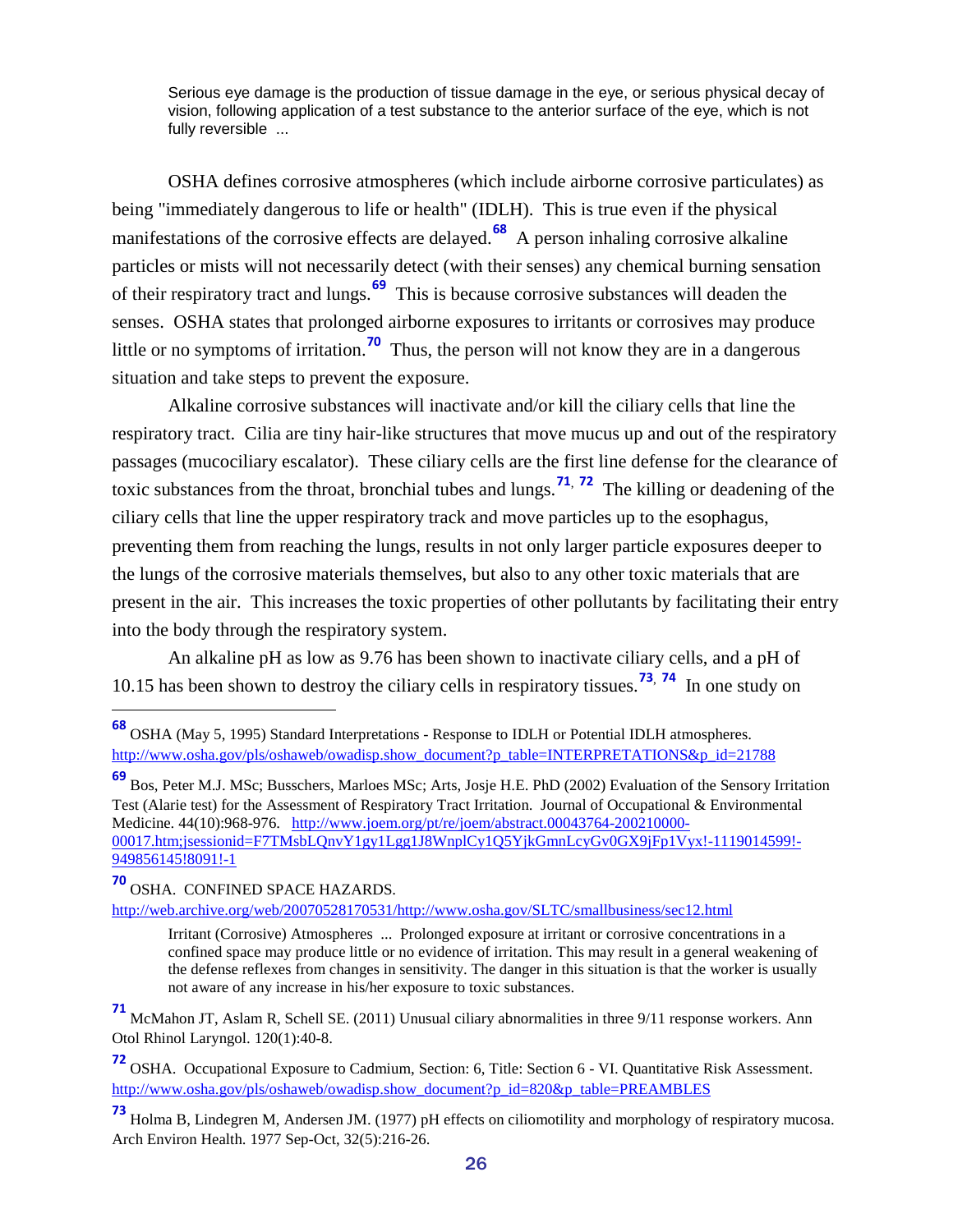Serious eye damage is the production of tissue damage in the eye, or serious physical decay of vision, following application of a test substance to the anterior surface of the eye, which is not fully reversible ...

OSHA defines corrosive atmospheres (which include airborne corrosive particulates) as being "immediately dangerous to life or health" (IDLH). This is true even if the physical manifestations of the corrosive effects are delayed.<sup>[68](#page-25-0)</sup> A person inhaling corrosive alkaline particles or mists will not necessarily detect (with their senses) any chemical burning sensation of their respiratory tract and lungs.**[69](#page-25-1)** This is because corrosive substances will deaden the senses. OSHA states that prolonged airborne exposures to irritants or corrosives may produce little or no symptoms of irritation.**[70](#page-25-2)** Thus, the person will not know they are in a dangerous situation and take steps to prevent the exposure.

Alkaline corrosive substances will inactivate and/or kill the ciliary cells that line the respiratory tract. Cilia are tiny hair-like structures that move mucus up and out of the respiratory passages (mucociliary escalator). These ciliary cells are the first line defense for the clearance of toxic substances from the throat, bronchial tubes and lungs. **[71](#page-25-3)**, **[72](#page-25-4)** The killing or deadening of the ciliary cells that line the upper respiratory track and move particles up to the esophagus, preventing them from reaching the lungs, results in not only larger particle exposures deeper to the lungs of the corrosive materials themselves, but also to any other toxic materials that are present in the air. This increases the toxic properties of other pollutants by facilitating their entry into the body through the respiratory system.

An alkaline pH as low as 9.76 has been shown to inactivate ciliary cells, and a pH of 10.15 has been shown to destroy the ciliary cells in respiratory tissues. **[73](#page-25-5)**, **[74](#page-25-6)** In one study on

<span id="page-25-2"></span>**<sup>70</sup>** OSHA. CONFINED SPACE HAZARDS.

<span id="page-25-6"></span>[http://web.archive.org/web/20070528170531/http://www.osha.gov/SLTC/smallbusiness/sec12.html](http://web.archive.org/web/20070528170531/http:/www.osha.gov/SLTC/smallbusiness/sec12.html)

<span id="page-25-0"></span>**<sup>68</sup>** OSHA (May 5, 1995) Standard Interpretations - Response to IDLH or Potential IDLH atmospheres. [http://www.osha.gov/pls/oshaweb/owadisp.show\\_document?p\\_table=INTERPRETATIONS&p\\_id=21788](http://www.osha.gov/pls/oshaweb/owadisp.show_document?p_table=INTERPRETATIONS&p_id=21788)

<span id="page-25-1"></span>**<sup>69</sup>** Bos, Peter M.J. MSc; Busschers, Marloes MSc; Arts, Josje H.E. PhD (2002) Evaluation of the Sensory Irritation Test (Alarie test) for the Assessment of Respiratory Tract Irritation. Journal of Occupational & Environmental Medicine. 44(10):968-976. [http://www.joem.org/pt/re/joem/abstract.00043764-200210000-](http://www.joem.org/pt/re/joem/abstract.00043764-200210000-00017.htm;jsessionid=F7TMsbLQnvY1gy1Lgg1J8WnplCy1Q5YjkGmnLcyGv0GX9jFp1Vyx!-1119014599!-949856145!8091!-1) [00017.htm;jsessionid=F7TMsbLQnvY1gy1Lgg1J8WnplCy1Q5YjkGmnLcyGv0GX9jFp1Vyx!-1119014599!-](http://www.joem.org/pt/re/joem/abstract.00043764-200210000-00017.htm;jsessionid=F7TMsbLQnvY1gy1Lgg1J8WnplCy1Q5YjkGmnLcyGv0GX9jFp1Vyx!-1119014599!-949856145!8091!-1) [949856145!8091!-1](http://www.joem.org/pt/re/joem/abstract.00043764-200210000-00017.htm;jsessionid=F7TMsbLQnvY1gy1Lgg1J8WnplCy1Q5YjkGmnLcyGv0GX9jFp1Vyx!-1119014599!-949856145!8091!-1)

Irritant (Corrosive) Atmospheres ... Prolonged exposure at irritant or corrosive concentrations in a confined space may produce little or no evidence of irritation. This may result in a general weakening of the defense reflexes from changes in sensitivity. The danger in this situation is that the worker is usually not aware of any increase in his/her exposure to toxic substances.

<span id="page-25-3"></span>**<sup>71</sup>** McMahon JT, Aslam R, Schell SE. (2011) Unusual ciliary abnormalities in three 9/11 response workers. Ann Otol Rhinol Laryngol. 120(1):40-8.

<span id="page-25-4"></span>**<sup>72</sup>** OSHA. Occupational Exposure to Cadmium, Section: 6, Title: Section 6 - VI. Quantitative Risk Assessment. [http://www.osha.gov/pls/oshaweb/owadisp.show\\_document?p\\_id=820&p\\_table=PREAMBLES](http://www.osha.gov/pls/oshaweb/owadisp.show_document?p_id=820&p_table=PREAMBLES)

<span id="page-25-5"></span>**<sup>73</sup>** Holma B, Lindegren M, Andersen JM. (1977) pH effects on ciliomotility and morphology of respiratory mucosa. Arch Environ Health. 1977 Sep-Oct, 32(5):216-26.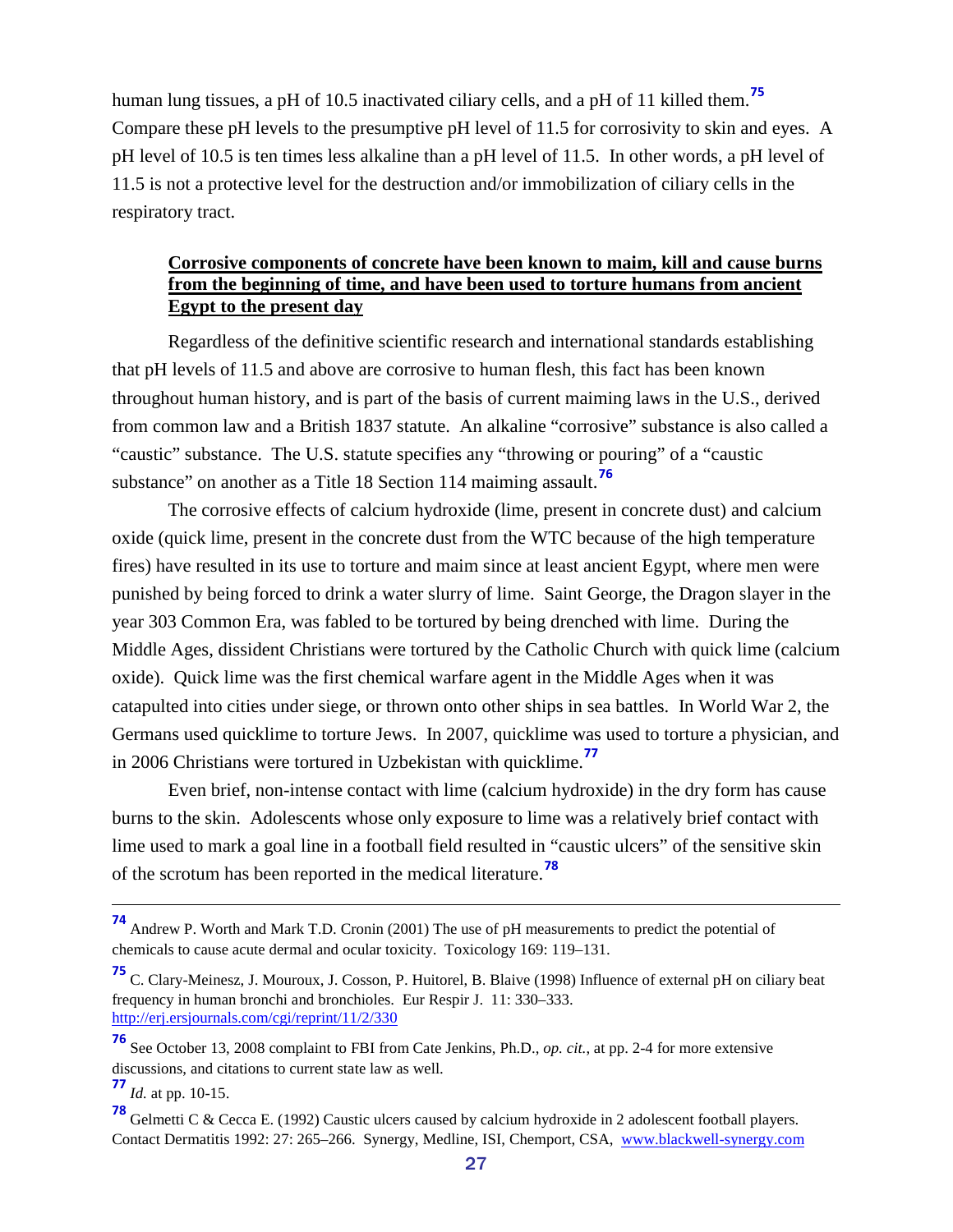human lung tissues, a pH of 10.5 inactivated ciliary cells, and a pH of 11 killed them.**[75](#page-26-1)** Compare these pH levels to the presumptive pH level of 11.5 for corrosivity to skin and eyes. A pH level of 10.5 is ten times less alkaline than a pH level of 11.5. In other words, a pH level of 11.5 is not a protective level for the destruction and/or immobilization of ciliary cells in the respiratory tract.

#### <span id="page-26-0"></span>**Corrosive components of concrete have been known to maim, kill and cause burns from the beginning of time, and have been used to torture humans from ancient Egypt to the present day**

Regardless of the definitive scientific research and international standards establishing that pH levels of 11.5 and above are corrosive to human flesh, this fact has been known throughout human history, and is part of the basis of current maiming laws in the U.S., derived from common law and a British 1837 statute. An alkaline "corrosive" substance is also called a "caustic" substance. The U.S. statute specifies any "throwing or pouring" of a "caustic substance" on another as a Title 18 Section 114 maiming assault.**[76](#page-26-2)**

The corrosive effects of calcium hydroxide (lime, present in concrete dust) and calcium oxide (quick lime, present in the concrete dust from the WTC because of the high temperature fires) have resulted in its use to torture and maim since at least ancient Egypt, where men were punished by being forced to drink a water slurry of lime. Saint George, the Dragon slayer in the year 303 Common Era, was fabled to be tortured by being drenched with lime. During the Middle Ages, dissident Christians were tortured by the Catholic Church with quick lime (calcium oxide). Quick lime was the first chemical warfare agent in the Middle Ages when it was catapulted into cities under siege, or thrown onto other ships in sea battles. In World War 2, the Germans used quicklime to torture Jews. In 2007, quicklime was used to torture a physician, and in 2006 Christians were tortured in Uzbekistan with quicklime. **[77](#page-26-3)**

Even brief, non-intense contact with lime (calcium hydroxide) in the dry form has cause burns to the skin. Adolescents whose only exposure to lime was a relatively brief contact with lime used to mark a goal line in a football field resulted in "caustic ulcers" of the sensitive skin of the scrotum has been reported in the medical literature.**[78](#page-26-4)**

<span id="page-26-3"></span>**<sup>77</sup>** *Id.* at pp. 10-15.

**<sup>74</sup>** Andrew P. Worth and Mark T.D. Cronin (2001) The use of pH measurements to predict the potential of chemicals to cause acute dermal and ocular toxicity. Toxicology 169: 119–131.

<span id="page-26-1"></span>**<sup>75</sup>** C. Clary-Meinesz, J. Mouroux, J. Cosson, P. Huitorel, B. Blaive (1998) Influence of external pH on ciliary beat frequency in human bronchi and bronchioles. Eur Respir J. 11: 330–333. <http://erj.ersjournals.com/cgi/reprint/11/2/330>

<span id="page-26-2"></span>**<sup>76</sup>** See October 13, 2008 complaint to FBI from Cate Jenkins, Ph.D., *op. cit.*, at pp. 2-4 for more extensive discussions, and citations to current state law as well.

<span id="page-26-4"></span>**<sup>78</sup>** Gelmetti C & Cecca E. (1992) Caustic ulcers caused by calcium hydroxide in 2 adolescent football players. Contact Dermatitis 1992: 27: 265–266. Synergy, Medline, ISI, Chemport, CSA, [www.blackwell-synergy.com](http://www.blackwell-synergy.com/)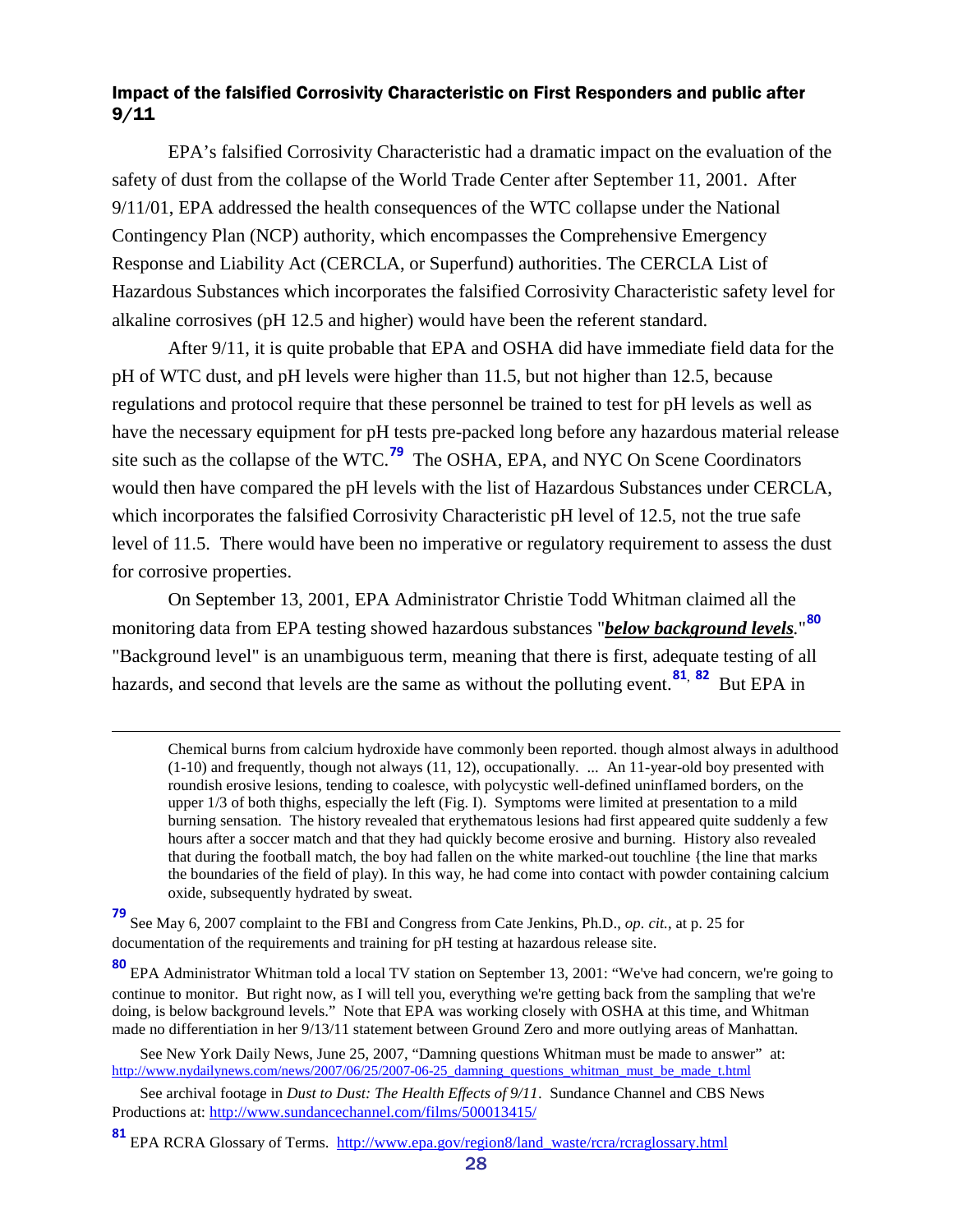#### <span id="page-27-0"></span>Impact of the falsified Corrosivity Characteristic on First Responders and public after 9/11

EPA's falsified Corrosivity Characteristic had a dramatic impact on the evaluation of the safety of dust from the collapse of the World Trade Center after September 11, 2001. After 9/11/01, EPA addressed the health consequences of the WTC collapse under the National Contingency Plan (NCP) authority, which encompasses the Comprehensive Emergency Response and Liability Act (CERCLA, or Superfund) authorities. The CERCLA List of Hazardous Substances which incorporates the falsified Corrosivity Characteristic safety level for alkaline corrosives (pH 12.5 and higher) would have been the referent standard.

After 9/11, it is quite probable that EPA and OSHA did have immediate field data for the pH of WTC dust, and pH levels were higher than 11.5, but not higher than 12.5, because regulations and protocol require that these personnel be trained to test for pH levels as well as have the necessary equipment for pH tests pre-packed long before any hazardous material release site such as the collapse of the WTC.**[79](#page-27-1)** The OSHA, EPA, and NYC On Scene Coordinators would then have compared the pH levels with the list of Hazardous Substances under CERCLA, which incorporates the falsified Corrosivity Characteristic pH level of 12.5, not the true safe level of 11.5. There would have been no imperative or regulatory requirement to assess the dust for corrosive properties.

On September 13, 2001, EPA Administrator Christie Todd Whitman claimed all the monitoring data from EPA testing showed hazardous substances "*below background levels.*" **[80](#page-27-2)** "Background level" is an unambiguous term, meaning that there is first, adequate testing of all hazards, and second that levels are the same as without the polluting event.**[81](#page-27-3)**, **[82](#page-27-4)** But EPA in

Chemical burns from calcium hydroxide have commonly been reported. though almost always in adulthood (1-10) and frequently, though not always (11, 12), occupationally. ... An 11-year-old boy presented with roundish erosive lesions, tending to coalesce, with polycystic well-defined uninfIamed borders, on the upper 1/3 of both thighs, especially the left (Fig. I). Symptoms were limited at presentation to a mild burning sensation. The history revealed that erythematous lesions had first appeared quite suddenly a few hours after a soccer match and that they had quickly become erosive and burning. History also revealed that during the football match, the boy had fallen on the white marked-out touchline {the line that marks the boundaries of the field of play). In this way, he had come into contact with powder containing calcium oxide, subsequently hydrated by sweat.

<span id="page-27-4"></span><span id="page-27-1"></span>**<sup>79</sup>** See May 6, 2007 complaint to the FBI and Congress from Cate Jenkins, Ph.D., *op. cit.*, at p. 25 for documentation of the requirements and training for pH testing at hazardous release site.

 $\overline{a}$ 

<span id="page-27-2"></span>**<sup>80</sup>** EPA Administrator Whitman told a local TV station on September 13, 2001: "We've had concern, we're going to continue to monitor. But right now, as I will tell you, everything we're getting back from the sampling that we're doing, is below background levels." Note that EPA was working closely with OSHA at this time, and Whitman made no differentiation in her 9/13/11 statement between Ground Zero and more outlying areas of Manhattan.

See New York Daily News, June 25, 2007, "Damning questions Whitman must be made to answer" at: [http://www.nydailynews.com/news/2007/06/25/2007-06-25\\_damning\\_questions\\_whitman\\_must\\_be\\_made\\_t.html](http://www.nydailynews.com/news/2007/06/25/2007-06-25_damning_questions_whitman_must_be_made_t.html)

See archival footage in *Dust to Dust: The Health Effects of 9/11*. Sundance Channel and CBS News Productions at:<http://www.sundancechannel.com/films/500013415/>

<span id="page-27-3"></span>**<sup>81</sup>** EPA RCRA Glossary of Terms. [http://www.epa.gov/region8/land\\_waste/rcra/rcraglossary.html](http://www.epa.gov/region8/land_waste/rcra/rcraglossary.html)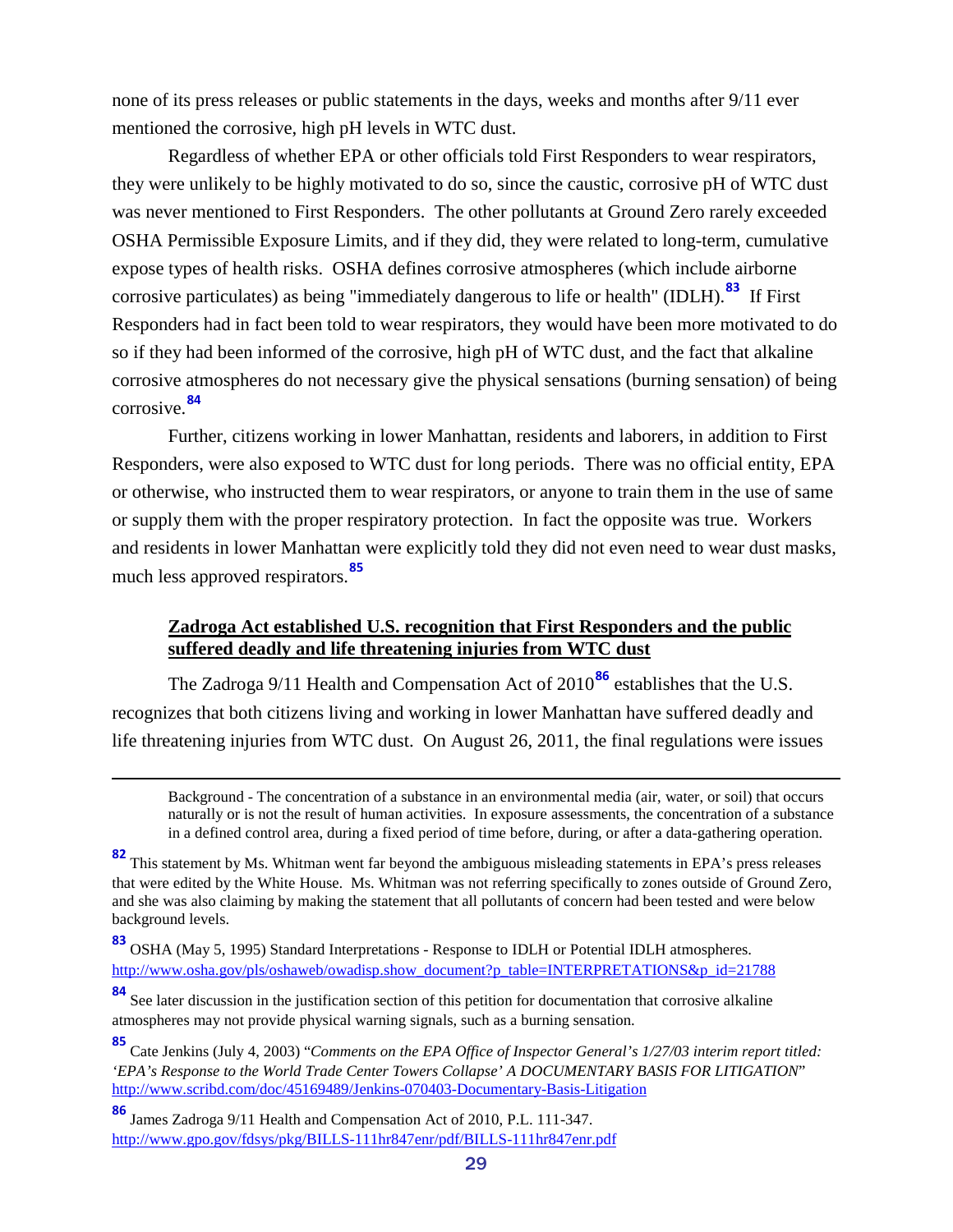none of its press releases or public statements in the days, weeks and months after 9/11 ever mentioned the corrosive, high pH levels in WTC dust.

Regardless of whether EPA or other officials told First Responders to wear respirators, they were unlikely to be highly motivated to do so, since the caustic, corrosive pH of WTC dust was never mentioned to First Responders. The other pollutants at Ground Zero rarely exceeded OSHA Permissible Exposure Limits, and if they did, they were related to long-term, cumulative expose types of health risks. OSHA defines corrosive atmospheres (which include airborne corrosive particulates) as being "immediately dangerous to life or health" (IDLH).**[83](#page-28-1)** If First Responders had in fact been told to wear respirators, they would have been more motivated to do so if they had been informed of the corrosive, high pH of WTC dust, and the fact that alkaline corrosive atmospheres do not necessary give the physical sensations (burning sensation) of being corrosive.**[84](#page-28-2)**

Further, citizens working in lower Manhattan, residents and laborers, in addition to First Responders, were also exposed to WTC dust for long periods. There was no official entity, EPA or otherwise, who instructed them to wear respirators, or anyone to train them in the use of same or supply them with the proper respiratory protection. In fact the opposite was true. Workers and residents in lower Manhattan were explicitly told they did not even need to wear dust masks, much less approved respirators.**[85](#page-28-3)**

#### <span id="page-28-0"></span>**Zadroga Act established U.S. recognition that First Responders and the public suffered deadly and life threatening injuries from WTC dust**

The Zadroga 9/11 Health and Compensation Act of 2010**[86](#page-28-4)** establishes that the U.S. recognizes that both citizens living and working in lower Manhattan have suffered deadly and life threatening injuries from WTC dust. On August 26, 2011, the final regulations were issues

Background - The concentration of a substance in an environmental media (air, water, or soil) that occurs naturally or is not the result of human activities. In exposure assessments, the concentration of a substance in a defined control area, during a fixed period of time before, during, or after a data-gathering operation.

**<sup>82</sup>** This statement by Ms. Whitman went far beyond the ambiguous misleading statements in EPA's press releases that were edited by the White House. Ms. Whitman was not referring specifically to zones outside of Ground Zero, and she was also claiming by making the statement that all pollutants of concern had been tested and were below background levels.

<span id="page-28-1"></span>**<sup>83</sup>** OSHA (May 5, 1995) Standard Interpretations - Response to IDLH or Potential IDLH atmospheres. [http://www.osha.gov/pls/oshaweb/owadisp.show\\_document?p\\_table=INTERPRETATIONS&p\\_id=21788](http://www.osha.gov/pls/oshaweb/owadisp.show_document?p_table=INTERPRETATIONS&p_id=21788)

<span id="page-28-2"></span>**<sup>84</sup>** See later discussion in the justification section of this petition for documentation that corrosive alkaline atmospheres may not provide physical warning signals, such as a burning sensation.

<span id="page-28-3"></span>**<sup>85</sup>** Cate Jenkins (July 4, 2003) "*Comments on the EPA Office of Inspector General's 1/27/03 interim report titled: 'EPA's Response to the World Trade Center Towers Collapse' A DOCUMENTARY BASIS FOR LITIGATION*" <http://www.scribd.com/doc/45169489/Jenkins-070403-Documentary-Basis-Litigation>

<span id="page-28-4"></span>**<sup>86</sup>** James Zadroga 9/11 Health and Compensation Act of 2010, P.L. 111-347. <http://www.gpo.gov/fdsys/pkg/BILLS-111hr847enr/pdf/BILLS-111hr847enr.pdf>

 $\overline{a}$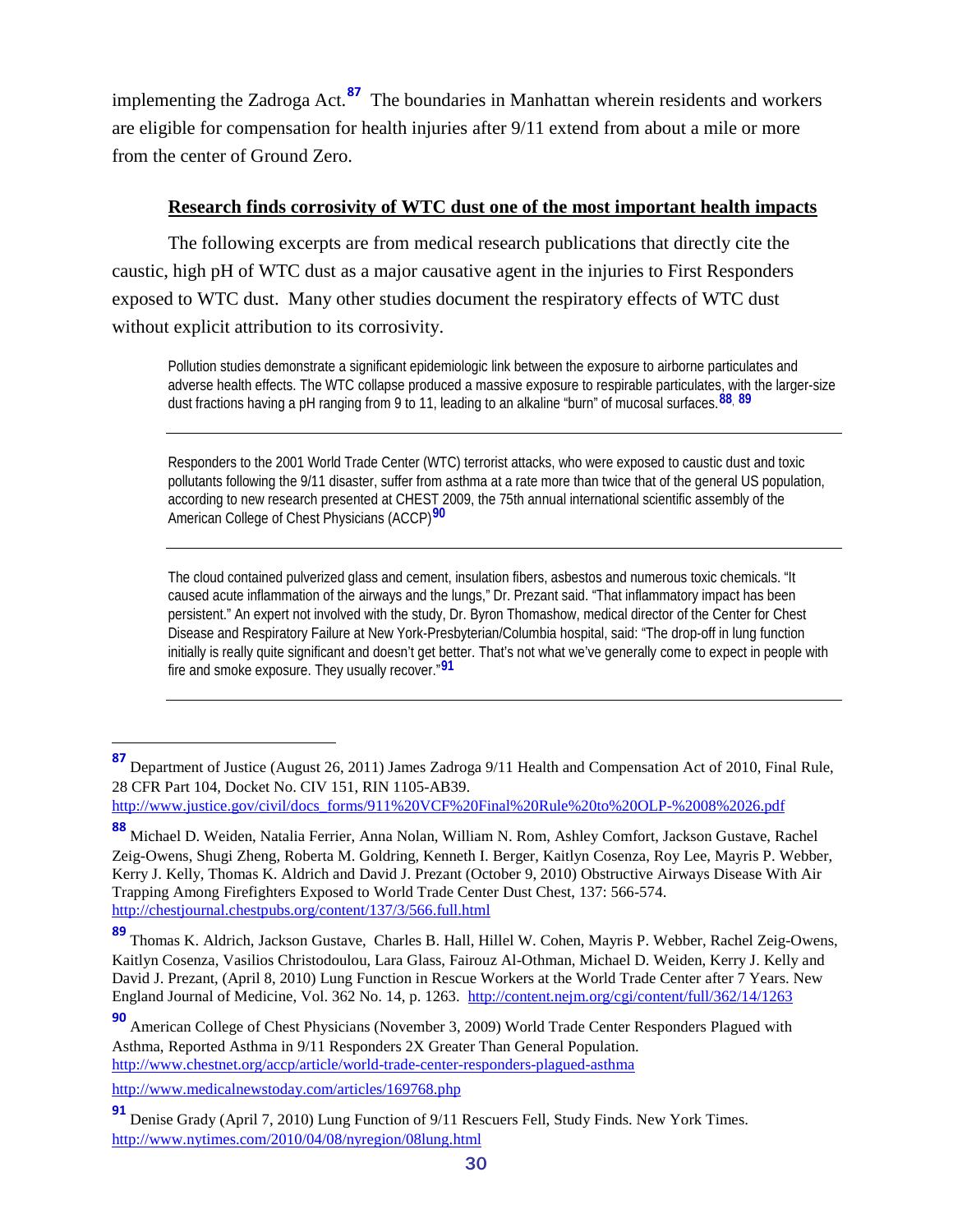implementing the Zadroga Act. **[87](#page-29-1)** The boundaries in Manhattan wherein residents and workers are eligible for compensation for health injuries after 9/11 extend from about a mile or more from the center of Ground Zero.

#### <span id="page-29-0"></span>**Research finds corrosivity of WTC dust one of the most important health impacts**

The following excerpts are from medical research publications that directly cite the caustic, high pH of WTC dust as a major causative agent in the injuries to First Responders exposed to WTC dust. Many other studies document the respiratory effects of WTC dust without explicit attribution to its corrosivity.

Pollution studies demonstrate a significant epidemiologic link between the exposure to airborne particulates and adverse health effects. The WTC collapse produced a massive exposure to respirable particulates, with the larger-size dust fractions having a pH ranging from 9 to 11, leading to an alkaline "burn" of mucosal surfaces.**[88](#page-29-2)**, **[89](#page-29-3)**

Responders to the 2001 World Trade Center (WTC) terrorist attacks, who were exposed to caustic dust and toxic pollutants following the 9/11 disaster, suffer from asthma at a rate more than twice that of the general US population, according to new research presented at CHEST 2009, the 75th annual international scientific assembly of the American College of Chest Physicians (ACCP)**[90](#page-29-4)**

The cloud contained pulverized glass and cement, insulation fibers, asbestos and numerous toxic chemicals. "It caused acute inflammation of the airways and the lungs," Dr. Prezant said. "That inflammatory impact has been persistent." An expert not involved with the study, Dr. Byron Thomashow, medical director of the Center for Chest Disease and Respiratory Failure at New York-Presbyterian/Columbia hospital, said: "The drop-off in lung function initially is really quite significant and doesn't get better. That's not what we've generally come to expect in people with fire and smoke exposure. They usually recover."**[91](#page-29-5)**

[http://www.justice.gov/civil/docs\\_forms/911%20VCF%20Final%20Rule%20to%20OLP-%2008%2026.pdf](http://www.justice.gov/civil/docs_forms/911%20VCF%20Final%20Rule%20to%20OLP-%2008%2026.pdf)

<http://www.medicalnewstoday.com/articles/169768.php>

<span id="page-29-1"></span>**<sup>87</sup>** Department of Justice (August 26, 2011) James Zadroga 9/11 Health and Compensation Act of 2010, Final Rule, 28 CFR Part 104, Docket No. CIV 151, RIN 1105-AB39.

<span id="page-29-2"></span>**<sup>88</sup>** Michael D. Weiden, Natalia Ferrier, Anna Nolan, William N. Rom, Ashley Comfort, Jackson Gustave, Rachel Zeig-Owens, Shugi Zheng, Roberta M. Goldring, Kenneth I. Berger, Kaitlyn Cosenza, Roy Lee, Mayris P. Webber, Kerry J. Kelly, Thomas K. Aldrich and David J. Prezant (October 9, 2010) Obstructive Airways Disease With Air Trapping Among Firefighters Exposed to World Trade Center Dust Chest, 137: 566-574. <http://chestjournal.chestpubs.org/content/137/3/566.full.html>

<span id="page-29-3"></span>**<sup>89</sup>** Thomas K. Aldrich, Jackson Gustave, Charles B. Hall, Hillel W. Cohen, Mayris P. Webber, Rachel Zeig-Owens, Kaitlyn Cosenza, Vasilios Christodoulou, Lara Glass, Fairouz Al-Othman, Michael D. Weiden, Kerry J. Kelly and David J. Prezant, (April 8, 2010) Lung Function in Rescue Workers at the World Trade Center after 7 Years. New England Journal of Medicine, Vol. 362 No. 14, p. 1263.<http://content.nejm.org/cgi/content/full/362/14/1263>

<span id="page-29-4"></span>American College of Chest Physicians (November 3, 2009) World Trade Center Responders Plagued with Asthma, Reported Asthma in 9/11 Responders 2X Greater Than General Population. <http://www.chestnet.org/accp/article/world-trade-center-responders-plagued-asthma>

<span id="page-29-5"></span>**<sup>91</sup>** Denise Grady (April 7, 2010) Lung Function of 9/11 Rescuers Fell, Study Finds. New York Times. <http://www.nytimes.com/2010/04/08/nyregion/08lung.html>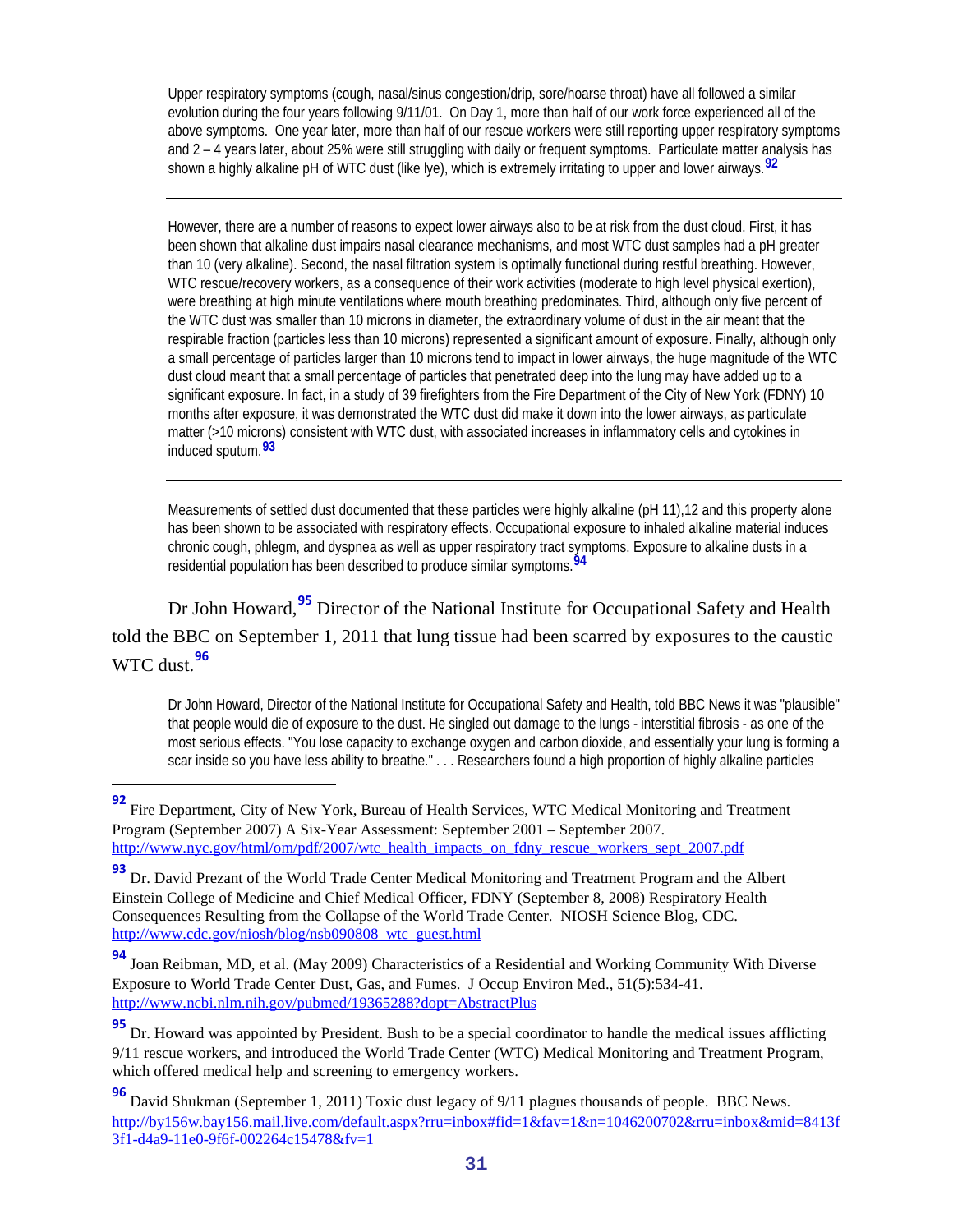Upper respiratory symptoms (cough, nasal/sinus congestion/drip, sore/hoarse throat) have all followed a similar evolution during the four years following 9/11/01. On Day 1, more than half of our work force experienced all of the above symptoms. One year later, more than half of our rescue workers were still reporting upper respiratory symptoms and 2 – 4 years later, about 25% were still struggling with daily or frequent symptoms. Particulate matter analysis has shown a highly alkaline pH of WTC dust (like lye), which is extremely irritating to upper and lower airways.**[92](#page-30-0)**

However, there are a number of reasons to expect lower airways also to be at risk from the dust cloud. First, it has been shown that alkaline dust impairs nasal clearance mechanisms, and most WTC dust samples had a pH greater than 10 (very alkaline). Second, the nasal filtration system is optimally functional during restful breathing. However, WTC rescue/recovery workers, as a consequence of their work activities (moderate to high level physical exertion), were breathing at high minute ventilations where mouth breathing predominates. Third, although only five percent of the WTC dust was smaller than 10 microns in diameter, the extraordinary volume of dust in the air meant that the respirable fraction (particles less than 10 microns) represented a significant amount of exposure. Finally, although only a small percentage of particles larger than 10 microns tend to impact in lower airways, the huge magnitude of the WTC dust cloud meant that a small percentage of particles that penetrated deep into the lung may have added up to a significant exposure. In fact, in a study of 39 firefighters from the Fire Department of the City of New York (FDNY) 10 months after exposure, it was demonstrated the WTC dust did make it down into the lower airways, as particulate matter (>10 microns) consistent with WTC dust, with associated increases in inflammatory cells and cytokines in induced sputum.**[93](#page-30-1)**

Measurements of settled dust documented that these particles were highly alkaline (pH 11),12 and this property alone has been shown to be associated with respiratory effects. Occupational exposure to inhaled alkaline material induces chronic cough, phlegm, and dyspnea as well as upper respiratory tract symptoms. Exposure to alkaline dusts in a residential population has been described to produce similar symptoms.**[94](#page-30-2)**

Dr John Howard,**[95](#page-30-3)** Director of the National Institute for Occupational Safety and Health told the BBC on September 1, 2011 that lung tissue had been scarred by exposures to the caustic WTC dust.**[96](#page-30-4)**

Dr John Howard, Director of the National Institute for Occupational Safety and Health, told BBC News it was "plausible" that people would die of exposure to the dust. He singled out damage to the lungs - interstitial fibrosis - as one of the most serious effects. "You lose capacity to exchange oxygen and carbon dioxide, and essentially your lung is forming a scar inside so you have less ability to breathe." . . . Researchers found a high proportion of highly alkaline particles

<span id="page-30-0"></span> **<sup>92</sup>** Fire Department, City of New York, Bureau of Health Services, WTC Medical Monitoring and Treatment Program (September 2007) A Six-Year Assessment: September 2001 – September 2007. [http://www.nyc.gov/html/om/pdf/2007/wtc\\_health\\_impacts\\_on\\_fdny\\_rescue\\_workers\\_sept\\_2007.pdf](http://www.nyc.gov/html/om/pdf/2007/wtc_health_impacts_on_fdny_rescue_workers_sept_2007.pdf)

<span id="page-30-1"></span>**<sup>93</sup>** Dr. David Prezant of the World Trade Center Medical Monitoring and Treatment Program and the Albert Einstein College of Medicine and Chief Medical Officer, FDNY (September 8, 2008) Respiratory Health Consequences Resulting from the Collapse of the World Trade Center. NIOSH Science Blog, CDC. [http://www.cdc.gov/niosh/blog/nsb090808\\_wtc\\_guest.html](http://www.cdc.gov/niosh/blog/nsb090808_wtc_guest.html)

<span id="page-30-2"></span>**<sup>94</sup>** Joan Reibman, MD, et al. (May 2009) Characteristics of a Residential and Working Community With Diverse Exposure to World Trade Center Dust, Gas, and Fumes. J Occup Environ Med., 51(5):534-41. <http://www.ncbi.nlm.nih.gov/pubmed/19365288?dopt=AbstractPlus>

<span id="page-30-3"></span>**<sup>95</sup>** Dr. Howard was appointed by President. Bush to be a special coordinator to handle the medical issues afflicting 9/11 rescue workers, and introduced the World Trade Center (WTC) Medical Monitoring and Treatment Program, which offered medical help and screening to emergency workers.

<span id="page-30-4"></span>**<sup>96</sup>** David Shukman (September 1, 2011) Toxic dust legacy of 9/11 plagues thousands of people. BBC News. [http://by156w.bay156.mail.live.com/default.aspx?rru=inbox#fid=1&fav=1&n=1046200702&rru=inbox&mid=8413f](http://by156w.bay156.mail.live.com/default.aspx?rru=inbox#fid=1&fav=1&n=1046200702&rru=inbox&mid=8413f3f1-d4a9-11e0-9f6f-002264c15478&fv=1) [3f1-d4a9-11e0-9f6f-002264c15478&fv=1](http://by156w.bay156.mail.live.com/default.aspx?rru=inbox#fid=1&fav=1&n=1046200702&rru=inbox&mid=8413f3f1-d4a9-11e0-9f6f-002264c15478&fv=1)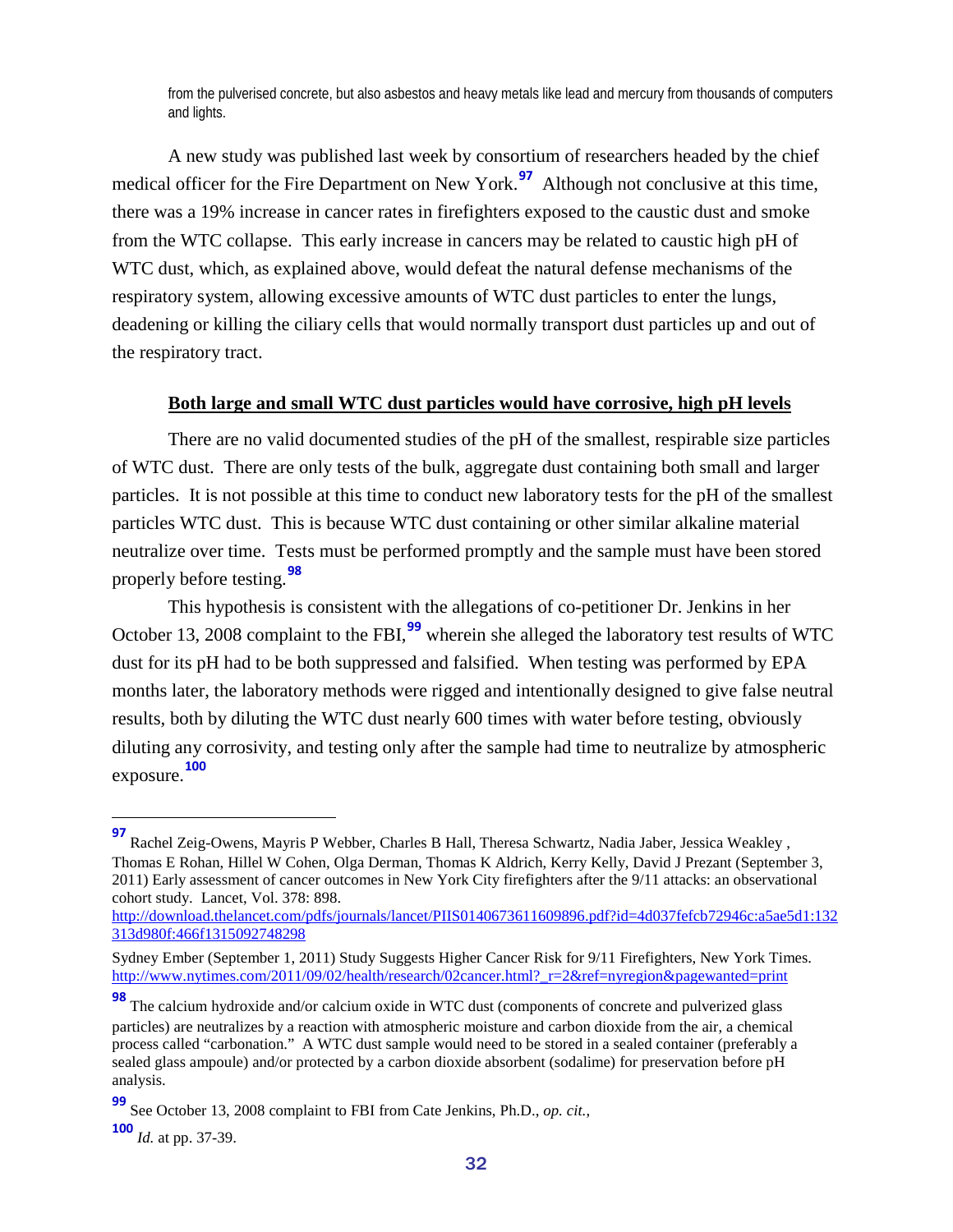from the pulverised concrete, but also asbestos and heavy metals like lead and mercury from thousands of computers and lights.

A new study was published last week by consortium of researchers headed by the chief medical officer for the Fire Department on New York.<sup>[97](#page-31-1)</sup> Although not conclusive at this time, there was a 19% increase in cancer rates in firefighters exposed to the caustic dust and smoke from the WTC collapse. This early increase in cancers may be related to caustic high pH of WTC dust, which, as explained above, would defeat the natural defense mechanisms of the respiratory system, allowing excessive amounts of WTC dust particles to enter the lungs, deadening or killing the ciliary cells that would normally transport dust particles up and out of the respiratory tract.

#### **Both large and small WTC dust particles would have corrosive, high pH levels**

<span id="page-31-0"></span>There are no valid documented studies of the pH of the smallest, respirable size particles of WTC dust. There are only tests of the bulk, aggregate dust containing both small and larger particles. It is not possible at this time to conduct new laboratory tests for the pH of the smallest particles WTC dust. This is because WTC dust containing or other similar alkaline material neutralize over time. Tests must be performed promptly and the sample must have been stored properly before testing.**[98](#page-31-2)**

This hypothesis is consistent with the allegations of co-petitioner Dr. Jenkins in her October 13, 2008 complaint to the FBI,<sup>[99](#page-31-3)</sup> wherein she alleged the laboratory test results of WTC dust for its pH had to be both suppressed and falsified. When testing was performed by EPA months later, the laboratory methods were rigged and intentionally designed to give false neutral results, both by diluting the WTC dust nearly 600 times with water before testing, obviously diluting any corrosivity, and testing only after the sample had time to neutralize by atmospheric exposure. **[100](#page-31-4)**

<span id="page-31-1"></span>**<sup>97</sup>** Rachel Zeig-Owens, Mayris P Webber, Charles B Hall, Theresa Schwartz, Nadia Jaber, Jessica Weakley , Thomas E Rohan, Hillel W Cohen, Olga Derman, Thomas K Aldrich, Kerry Kelly, David J Prezant (September 3, 2011) Early assessment of cancer outcomes in New York City firefighters after the 9/11 attacks: an observational cohort study. Lancet, Vol. 378: 898.

[http://download.thelancet.com/pdfs/journals/lancet/PIIS0140673611609896.pdf?id=4d037fefcb72946c:a5ae5d1:132](http://download.thelancet.com/pdfs/journals/lancet/PIIS0140673611609896.pdf?id=4d037fefcb72946c:a5ae5d1:132313d980f:466f1315092748298) [313d980f:466f1315092748298](http://download.thelancet.com/pdfs/journals/lancet/PIIS0140673611609896.pdf?id=4d037fefcb72946c:a5ae5d1:132313d980f:466f1315092748298)

Sydney Ember (September 1, 2011) Study Suggests Higher Cancer Risk for 9/11 Firefighters, New York Times. [http://www.nytimes.com/2011/09/02/health/research/02cancer.html?\\_r=2&ref=nyregion&pagewanted=print](http://www.nytimes.com/2011/09/02/health/research/02cancer.html?_r=2&ref=nyregion&pagewanted=print)

<span id="page-31-2"></span>**<sup>98</sup>** The calcium hydroxide and/or calcium oxide in WTC dust (components of concrete and pulverized glass particles) are neutralizes by a reaction with atmospheric moisture and carbon dioxide from the air, a chemical process called "carbonation." A WTC dust sample would need to be stored in a sealed container (preferably a sealed glass ampoule) and/or protected by a carbon dioxide absorbent (sodalime) for preservation before pH analysis.

<span id="page-31-3"></span>**<sup>99</sup>** See October 13, 2008 complaint to FBI from Cate Jenkins, Ph.D., *op. cit.*,

<span id="page-31-4"></span>**<sup>100</sup>** *Id.* at pp. 37-39.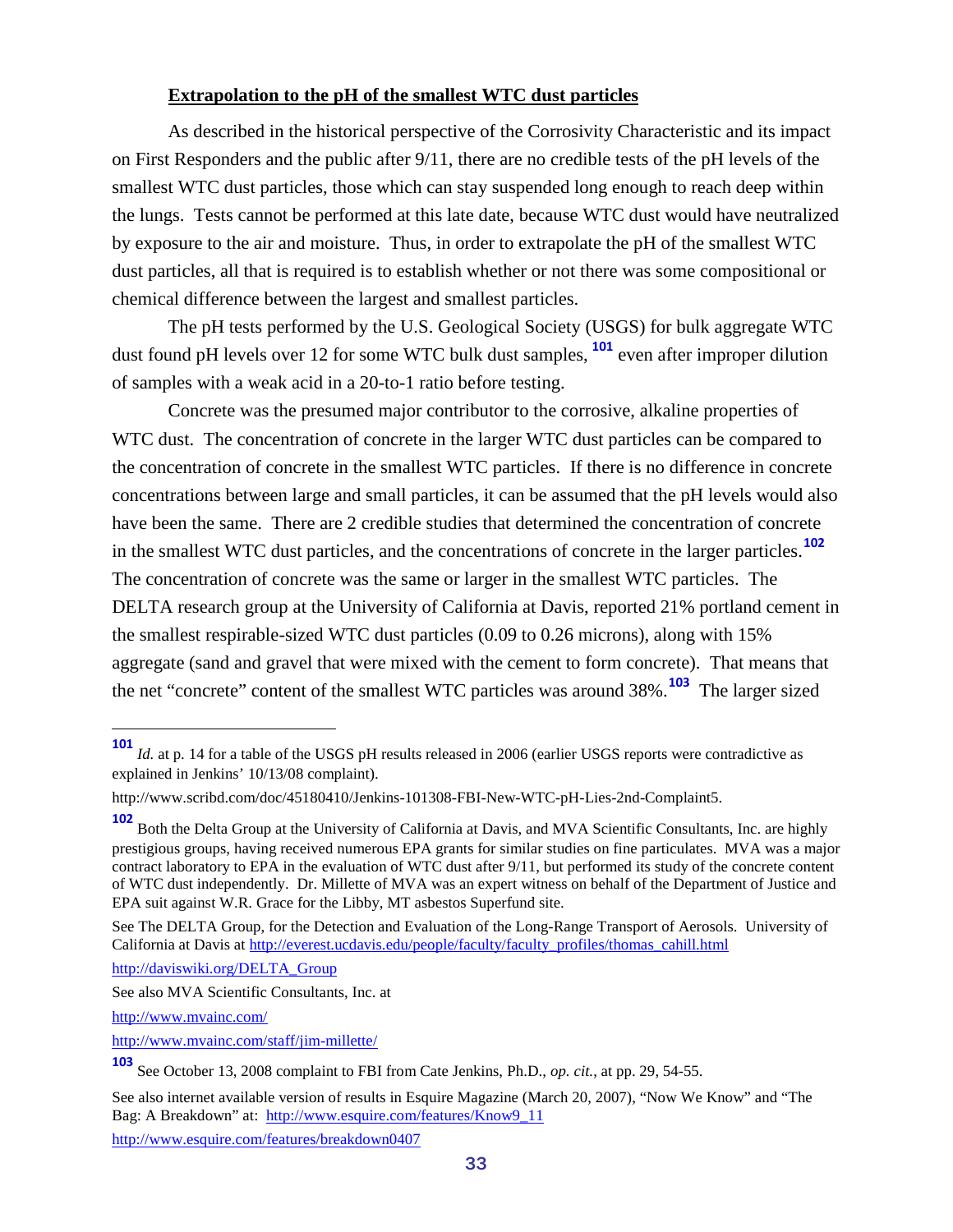#### **Extrapolation to the pH of the smallest WTC dust particles**

<span id="page-32-0"></span>As described in the historical perspective of the Corrosivity Characteristic and its impact on First Responders and the public after 9/11, there are no credible tests of the pH levels of the smallest WTC dust particles, those which can stay suspended long enough to reach deep within the lungs. Tests cannot be performed at this late date, because WTC dust would have neutralized by exposure to the air and moisture. Thus, in order to extrapolate the pH of the smallest WTC dust particles, all that is required is to establish whether or not there was some compositional or chemical difference between the largest and smallest particles.

The pH tests performed by the U.S. Geological Society (USGS) for bulk aggregate WTC dust found pH levels over 12 for some WTC bulk dust samples, **[101](#page-32-1)** even after improper dilution of samples with a weak acid in a 20-to-1 ratio before testing.

Concrete was the presumed major contributor to the corrosive, alkaline properties of WTC dust. The concentration of concrete in the larger WTC dust particles can be compared to the concentration of concrete in the smallest WTC particles. If there is no difference in concrete concentrations between large and small particles, it can be assumed that the pH levels would also have been the same. There are 2 credible studies that determined the concentration of concrete in the smallest WTC dust particles, and the concentrations of concrete in the larger particles. **[102](#page-32-2)** The concentration of concrete was the same or larger in the smallest WTC particles. The DELTA research group at the University of California at Davis, reported 21% portland cement in the smallest respirable-sized WTC dust particles (0.09 to 0.26 microns), along with 15% aggregate (sand and gravel that were mixed with the cement to form concrete). That means that the net "concrete" content of the smallest WTC particles was around 38%.**[103](#page-32-3)** The larger sized

[http://daviswiki.org/DELTA\\_Group](http://daviswiki.org/DELTA_Group)

<http://www.mvainc.com/>

<span id="page-32-1"></span>**<sup>101</sup>** *Id.* at p. 14 for a table of the USGS pH results released in 2006 (earlier USGS reports were contradictive as explained in Jenkins' 10/13/08 complaint).

http://www.scribd.com/doc/45180410/Jenkins-101308-FBI-New-WTC-pH-Lies-2nd-Complaint5.

<span id="page-32-2"></span>**<sup>102</sup>** Both the Delta Group at the University of California at Davis, and MVA Scientific Consultants, Inc. are highly prestigious groups, having received numerous EPA grants for similar studies on fine particulates. MVA was a major contract laboratory to EPA in the evaluation of WTC dust after 9/11, but performed its study of the concrete content of WTC dust independently. Dr. Millette of MVA was an expert witness on behalf of the Department of Justice and EPA suit against W.R. Grace for the Libby, MT asbestos Superfund site.

See The DELTA Group, for the Detection and Evaluation of the Long-Range Transport of Aerosols. University of California at Davis at [http://everest.ucdavis.edu/people/faculty/faculty\\_profiles/thomas\\_cahill.html](http://everest.ucdavis.edu/people/faculty/faculty_profiles/thomas_cahill.html)

See also MVA Scientific Consultants, Inc. at

<http://www.mvainc.com/staff/jim-millette/>

<span id="page-32-3"></span>**<sup>103</sup>** See October 13, 2008 complaint to FBI from Cate Jenkins, Ph.D., *op. cit.*, at pp. 29, 54-55.

See also internet available version of results in Esquire Magazine (March 20, 2007), "Now We Know" and "The Bag: A Breakdown" at: [http://www.esquire.com/features/Know9\\_11](http://www.esquire.com/features/Know9_11)

<http://www.esquire.com/features/breakdown0407>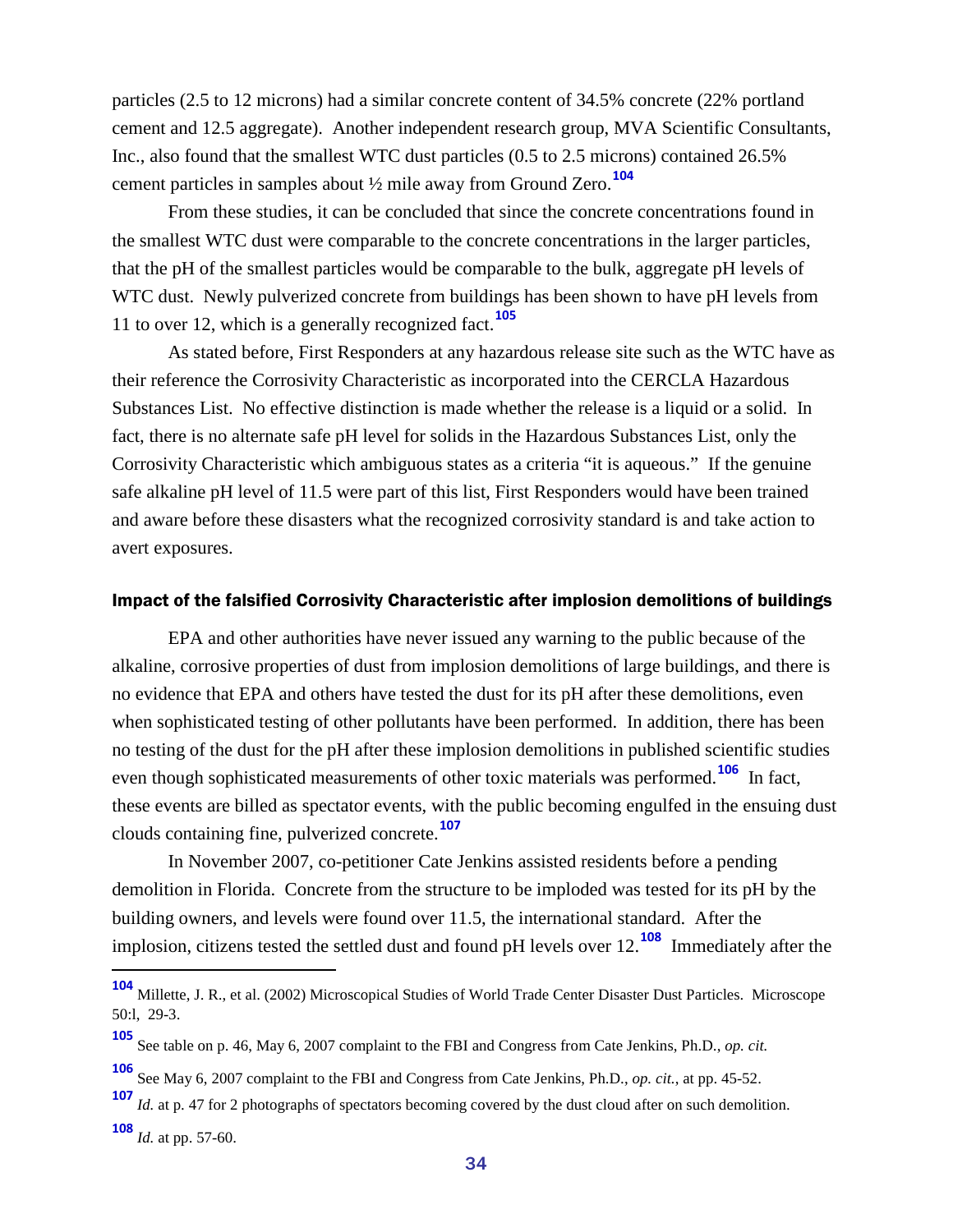particles (2.5 to 12 microns) had a similar concrete content of 34.5% concrete (22% portland cement and 12.5 aggregate). Another independent research group, MVA Scientific Consultants, Inc., also found that the smallest WTC dust particles (0.5 to 2.5 microns) contained 26.5% cement particles in samples about ½ mile away from Ground Zero.**[104](#page-33-1)**

From these studies, it can be concluded that since the concrete concentrations found in the smallest WTC dust were comparable to the concrete concentrations in the larger particles, that the pH of the smallest particles would be comparable to the bulk, aggregate pH levels of WTC dust. Newly pulverized concrete from buildings has been shown to have pH levels from 11 to over 12, which is a generally recognized fact.**[105](#page-33-2)**

As stated before, First Responders at any hazardous release site such as the WTC have as their reference the Corrosivity Characteristic as incorporated into the CERCLA Hazardous Substances List. No effective distinction is made whether the release is a liquid or a solid. In fact, there is no alternate safe pH level for solids in the Hazardous Substances List, only the Corrosivity Characteristic which ambiguous states as a criteria "it is aqueous." If the genuine safe alkaline pH level of 11.5 were part of this list, First Responders would have been trained and aware before these disasters what the recognized corrosivity standard is and take action to avert exposures.

#### <span id="page-33-0"></span>Impact of the falsified Corrosivity Characteristic after implosion demolitions of buildings

EPA and other authorities have never issued any warning to the public because of the alkaline, corrosive properties of dust from implosion demolitions of large buildings, and there is no evidence that EPA and others have tested the dust for its pH after these demolitions, even when sophisticated testing of other pollutants have been performed. In addition, there has been no testing of the dust for the pH after these implosion demolitions in published scientific studies even though sophisticated measurements of other toxic materials was performed.**[106](#page-33-3)** In fact, these events are billed as spectator events, with the public becoming engulfed in the ensuing dust clouds containing fine, pulverized concrete.**[107](#page-33-4)**

In November 2007, co-petitioner Cate Jenkins assisted residents before a pending demolition in Florida. Concrete from the structure to be imploded was tested for its pH by the building owners, and levels were found over 11.5, the international standard. After the implosion, citizens tested the settled dust and found pH levels over 12. **[108](#page-33-5)** Immediately after the

<span id="page-33-1"></span>**<sup>104</sup>** Millette, J. R., et al. (2002) Microscopical Studies of World Trade Center Disaster Dust Particles. Microscope 50:l, 29-3.

<span id="page-33-2"></span>**<sup>105</sup>** See table on p. 46, May 6, 2007 complaint to the FBI and Congress from Cate Jenkins, Ph.D., *op. cit.*

**<sup>106</sup>** See May 6, 2007 complaint to the FBI and Congress from Cate Jenkins, Ph.D., *op. cit.*, at pp. 45-52.

<span id="page-33-5"></span><span id="page-33-4"></span><span id="page-33-3"></span>**<sup>107</sup>** *Id.* at p. 47 for 2 photographs of spectators becoming covered by the dust cloud after on such demolition. **<sup>108</sup>** *Id.* at pp. 57-60.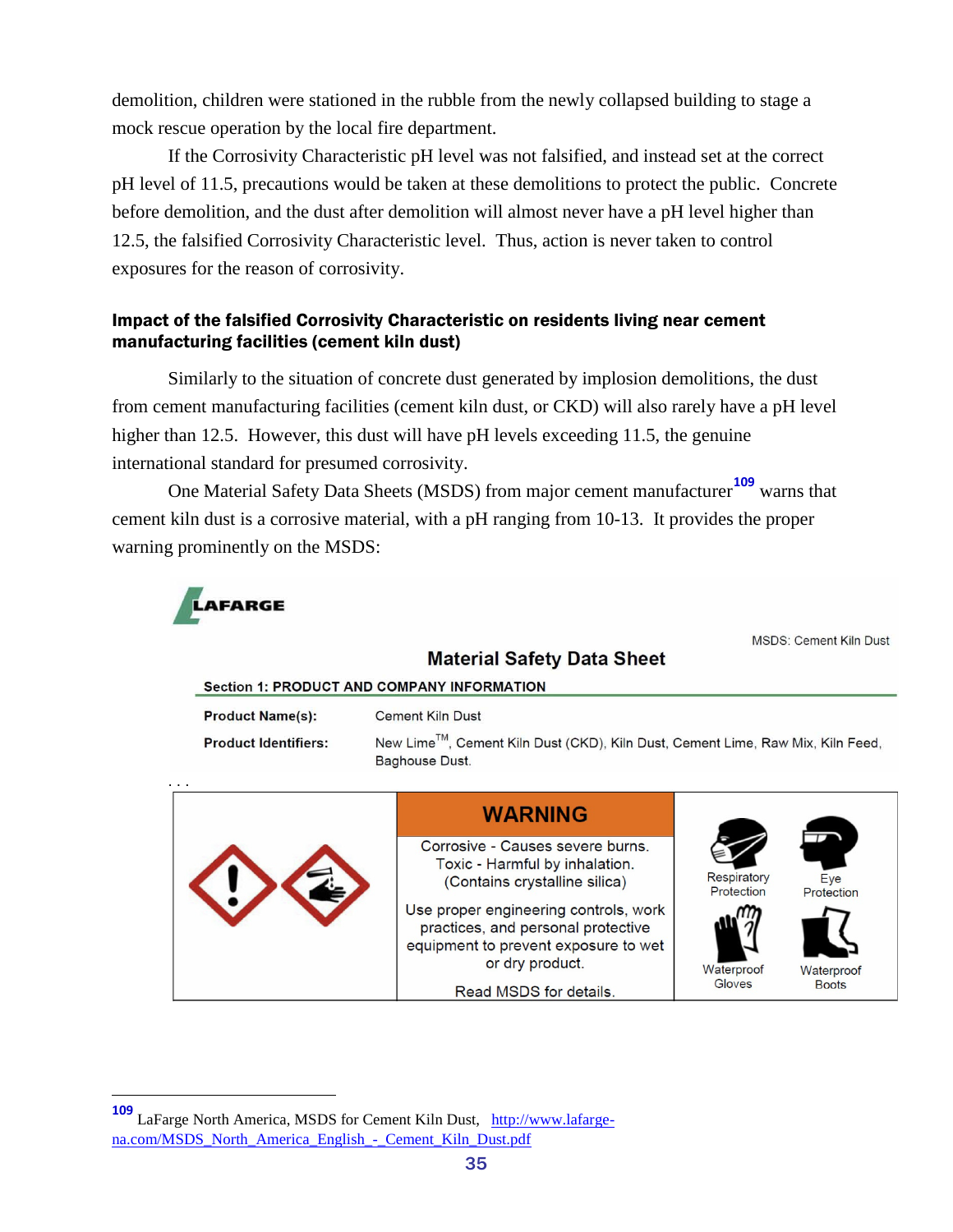demolition, children were stationed in the rubble from the newly collapsed building to stage a mock rescue operation by the local fire department.

If the Corrosivity Characteristic pH level was not falsified, and instead set at the correct pH level of 11.5, precautions would be taken at these demolitions to protect the public. Concrete before demolition, and the dust after demolition will almost never have a pH level higher than 12.5, the falsified Corrosivity Characteristic level. Thus, action is never taken to control exposures for the reason of corrosivity.

#### <span id="page-34-0"></span>Impact of the falsified Corrosivity Characteristic on residents living near cement manufacturing facilities (cement kiln dust)

Similarly to the situation of concrete dust generated by implosion demolitions, the dust from cement manufacturing facilities (cement kiln dust, or CKD) will also rarely have a pH level higher than 12.5. However, this dust will have pH levels exceeding 11.5, the genuine international standard for presumed corrosivity.

One Material Safety Data Sheets (MSDS) from major cement manufacturer**[109](#page-34-1)** warns that cement kiln dust is a corrosive material, with a pH ranging from 10-13. It provides the proper warning prominently on the MSDS:



**MSDS: Cement Kiln Dust** 

| <b>Section 1: PRODUCT AND COMPANY INFORMATION</b>      |                                                                                                                                        |                           |                   |  |  |  |  |  |  |  |
|--------------------------------------------------------|----------------------------------------------------------------------------------------------------------------------------------------|---------------------------|-------------------|--|--|--|--|--|--|--|
| <b>Product Name(s):</b><br><b>Product Identifiers:</b> | Cement Kiln Dust<br>New Lime™, Cement Kiln Dust (CKD), Kiln Dust, Cement Lime, Raw Mix, Kiln Feed,<br>Baghouse Dust.                   |                           |                   |  |  |  |  |  |  |  |
| .                                                      |                                                                                                                                        |                           |                   |  |  |  |  |  |  |  |
|                                                        | <b>WARNING</b>                                                                                                                         |                           |                   |  |  |  |  |  |  |  |
|                                                        | Corrosive - Causes severe burns.<br>Toxic - Harmful by inhalation.<br>(Contains crystalline silica)                                    | Respiratory<br>Protection | Eye<br>Protection |  |  |  |  |  |  |  |
|                                                        | Use proper engineering controls, work<br>practices, and personal protective<br>equipment to prevent exposure to wet<br>or dry product. | Waterproof                | Waterproof        |  |  |  |  |  |  |  |
|                                                        | Read MSDS for details.                                                                                                                 | Gloves                    | <b>Boots</b>      |  |  |  |  |  |  |  |

**Material Safety Data Sheet** 

<span id="page-34-1"></span>**<sup>109</sup>** LaFarge North America, MSDS for Cement Kiln Dust, [http://www.lafarge](http://www.lafarge-na.com/MSDS_North_America_English_-_Cement_Kiln_Dust.pdf)na.com/MSDS\_North\_America\_English - Cement\_Kiln\_Dust.pdf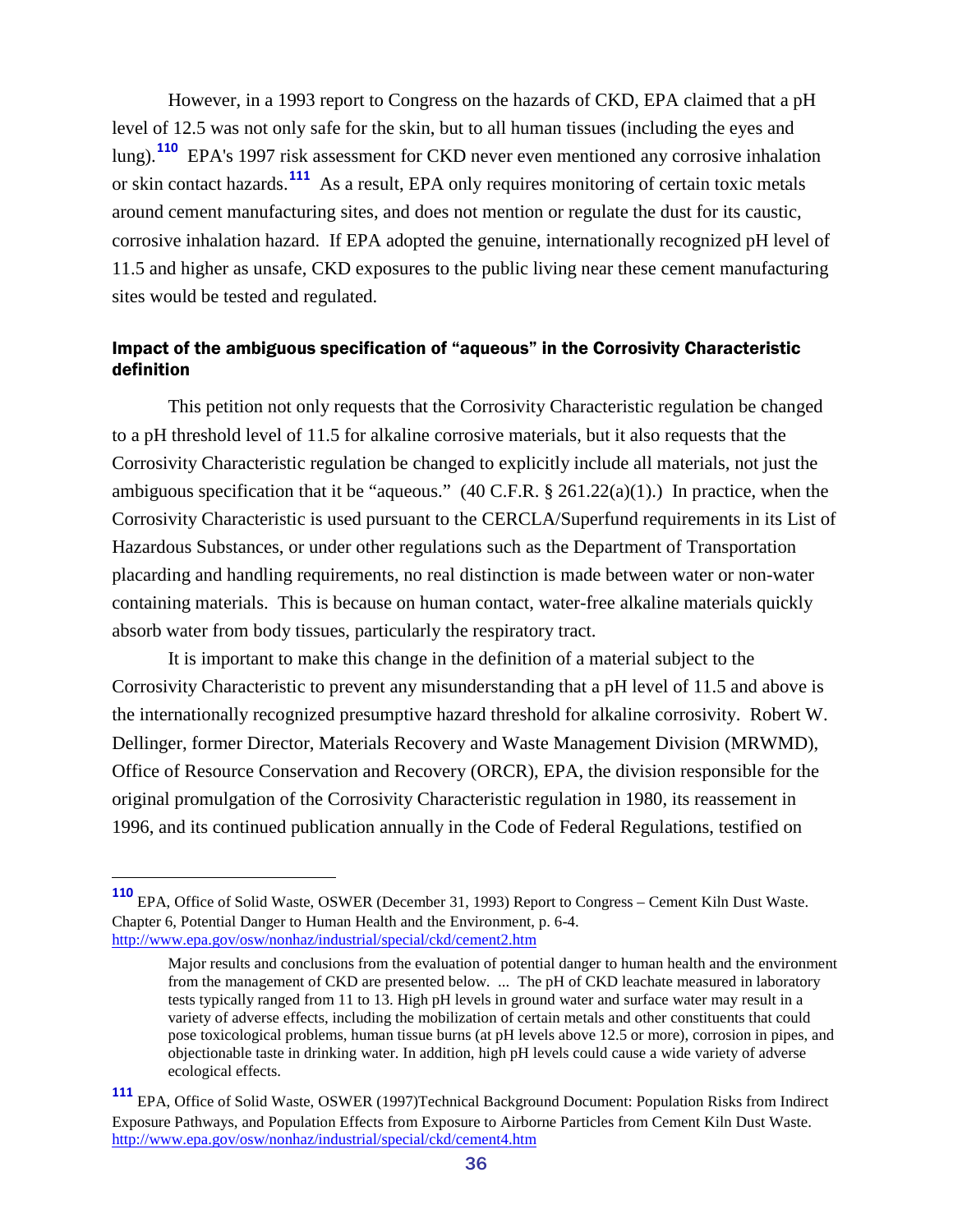However, in a 1993 report to Congress on the hazards of CKD, EPA claimed that a pH level of 12.5 was not only safe for the skin, but to all human tissues (including the eyes and lung).**[110](#page-35-1)** EPA's 1997 risk assessment for CKD never even mentioned any corrosive inhalation or skin contact hazards.**[111](#page-35-2)** As a result, EPA only requires monitoring of certain toxic metals around cement manufacturing sites, and does not mention or regulate the dust for its caustic, corrosive inhalation hazard. If EPA adopted the genuine, internationally recognized pH level of 11.5 and higher as unsafe, CKD exposures to the public living near these cement manufacturing sites would be tested and regulated.

#### <span id="page-35-0"></span>Impact of the ambiguous specification of "aqueous" in the Corrosivity Characteristic definition

This petition not only requests that the Corrosivity Characteristic regulation be changed to a pH threshold level of 11.5 for alkaline corrosive materials, but it also requests that the Corrosivity Characteristic regulation be changed to explicitly include all materials, not just the ambiguous specification that it be "aqueous."  $(40 \text{ C.F.R.} \$   $261.22(a)(1)$ .) In practice, when the Corrosivity Characteristic is used pursuant to the CERCLA/Superfund requirements in its List of Hazardous Substances, or under other regulations such as the Department of Transportation placarding and handling requirements, no real distinction is made between water or non-water containing materials. This is because on human contact, water-free alkaline materials quickly absorb water from body tissues, particularly the respiratory tract.

It is important to make this change in the definition of a material subject to the Corrosivity Characteristic to prevent any misunderstanding that a pH level of 11.5 and above is the internationally recognized presumptive hazard threshold for alkaline corrosivity. Robert W. Dellinger, former Director, Materials Recovery and Waste Management Division (MRWMD), Office of Resource Conservation and Recovery (ORCR), EPA, the division responsible for the original promulgation of the Corrosivity Characteristic regulation in 1980, its reassement in 1996, and its continued publication annually in the Code of Federal Regulations, testified on

<span id="page-35-1"></span>**<sup>110</sup>** EPA, Office of Solid Waste, OSWER (December 31, 1993) Report to Congress – Cement Kiln Dust Waste. Chapter 6, Potential Danger to Human Health and the Environment, p. 6-4. <http://www.epa.gov/osw/nonhaz/industrial/special/ckd/cement2.htm>

Major results and conclusions from the evaluation of potential danger to human health and the environment from the management of CKD are presented below. ... The pH of CKD leachate measured in laboratory tests typically ranged from 11 to 13. High pH levels in ground water and surface water may result in a variety of adverse effects, including the mobilization of certain metals and other constituents that could pose toxicological problems, human tissue burns (at pH levels above 12.5 or more), corrosion in pipes, and objectionable taste in drinking water. In addition, high pH levels could cause a wide variety of adverse ecological effects.

<span id="page-35-2"></span>**<sup>111</sup>** EPA, Office of Solid Waste, OSWER (1997)Technical Background Document: Population Risks from Indirect Exposure Pathways, and Population Effects from Exposure to Airborne Particles from Cement Kiln Dust Waste. <http://www.epa.gov/osw/nonhaz/industrial/special/ckd/cement4.htm>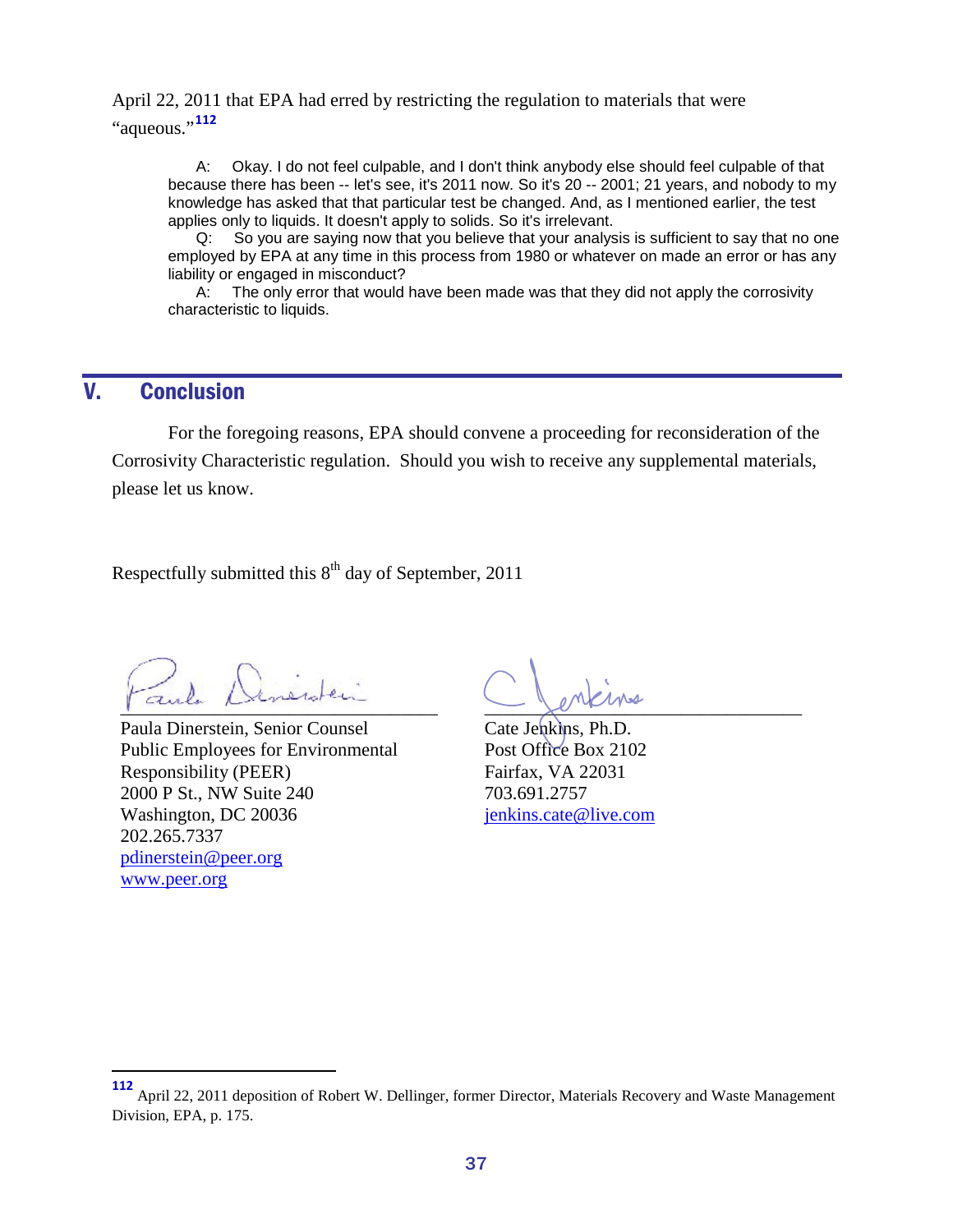April 22, 2011 that EPA had erred by restricting the regulation to materials that were "aqueous."**[112](#page-36-1)**

A: Okay. I do not feel culpable, and I don't think anybody else should feel culpable of that because there has been -- let's see, it's 2011 now. So it's 20 -- 2001; 21 years, and nobody to my knowledge has asked that that particular test be changed. And, as I mentioned earlier, the test applies only to liquids. It doesn't apply to solids. So it's irrelevant.

Q: So you are saying now that you believe that your analysis is sufficient to say that no one employed by EPA at any time in this process from 1980 or whatever on made an error or has any liability or engaged in misconduct?

A: The only error that would have been made was that they did not apply the corrosivity characteristic to liquids.

### <span id="page-36-0"></span>V. Conclusion

For the foregoing reasons, EPA should convene a proceeding for reconsideration of the Corrosivity Characteristic regulation. Should you wish to receive any supplemental materials, please let us know.

Respectfully submitted this  $8<sup>th</sup>$  day of September, 2011

 $\sum_{i=1}^{n}$ 

Paula Dinerstein, Senior Counsel Public Employees for Environmental Responsibility (PEER) 2000 P St., NW Suite 240 Washington, DC 20036 202.265.7337 [pdinerstein@peer.org](mailto:pdinerstein@peer.org) [www.peer.org](http://www.peer.org/)

 $\sim$ 

Cate Jenkins, Ph.D. Post Office Box 2102 Fairfax, VA 22031 703.691.2757 [jenkins.cate@live.com](mailto:jenkins.cate@live.com)

<span id="page-36-1"></span>April 22, 2011 deposition of Robert W. Dellinger, former Director, Materials Recovery and Waste Management Division, EPA, p. 175.